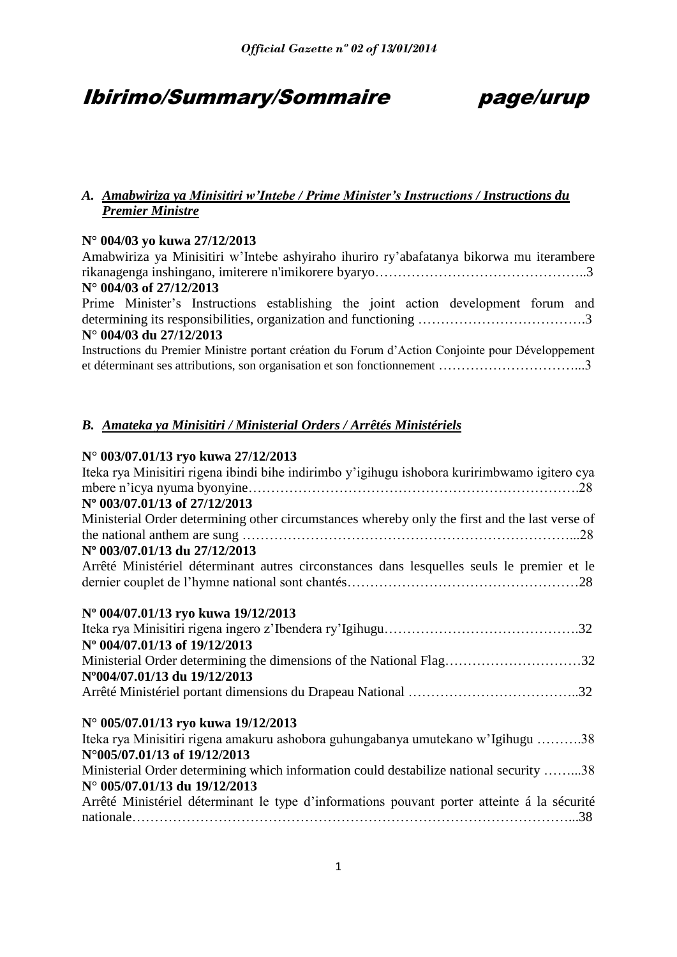## Ibirimo/Summary/Sommaire page/urup

## *A. Amabwiriza ya Minisitiri w'Intebe / Prime Minister's Instructions / Instructions du Premier Ministre*

## **N° 004/03 yo kuwa 27/12/2013**

Amabwiriza ya Minisitiri w'Intebe ashyiraho ihuriro ry'abafatanya bikorwa mu iterambere rikanagenga inshingano, imiterere n'imikorere byaryo………………………………………..3 **N° 004/03 of 27/12/2013**

Prime Minister's Instructions establishing the joint action development forum and determining its responsibilities, organization and functioning ……………………………….3 **N° 004/03 du 27/12/2013**

Instructions du Premier Ministre portant création du Forum d'Action Conjointe pour Développement et déterminant ses attributions, son organisation et son fonctionnement …………………………...3

## *B. Amateka ya Minisitiri / Ministerial Orders / Arrêtés Ministériels*

## **N° 003/07.01/13 ryo kuwa 27/12/2013**

| Iteka rya Minisitiri rigena ibindi bihe indirimbo y'igihugu ishobora kuririmbwamo igitero cya       |
|-----------------------------------------------------------------------------------------------------|
| Nº 003/07.01/13 of 27/12/2013                                                                       |
| Ministerial Order determining other circumstances whereby only the first and the last verse of      |
|                                                                                                     |
| N° 003/07.01/13 du 27/12/2013                                                                       |
| Arrêté Ministériel déterminant autres circonstances dans lesquelles seuls le premier et le          |
| Nº 004/07.01/13 ryo kuwa 19/12/2013                                                                 |
|                                                                                                     |
| N° 004/07.01/13 of 19/12/2013                                                                       |
| Ministerial Order determining the dimensions of the National Flag32<br>N°004/07.01/13 du 19/12/2013 |
|                                                                                                     |
| N° 005/07.01/13 ryo kuwa 19/12/2013                                                                 |
| Iteka rya Minisitiri rigena amakuru ashobora guhungabanya umutekano w'Igihugu 38                    |
| N°005/07.01/13 of 19/12/2013                                                                        |
| Ministerial Order determining which information could destabilize national security 38              |
| N° 005/07.01/13 du 19/12/2013                                                                       |
| Arrêté Ministériel déterminant le type d'informations pouvant porter atteinte á la sécurité         |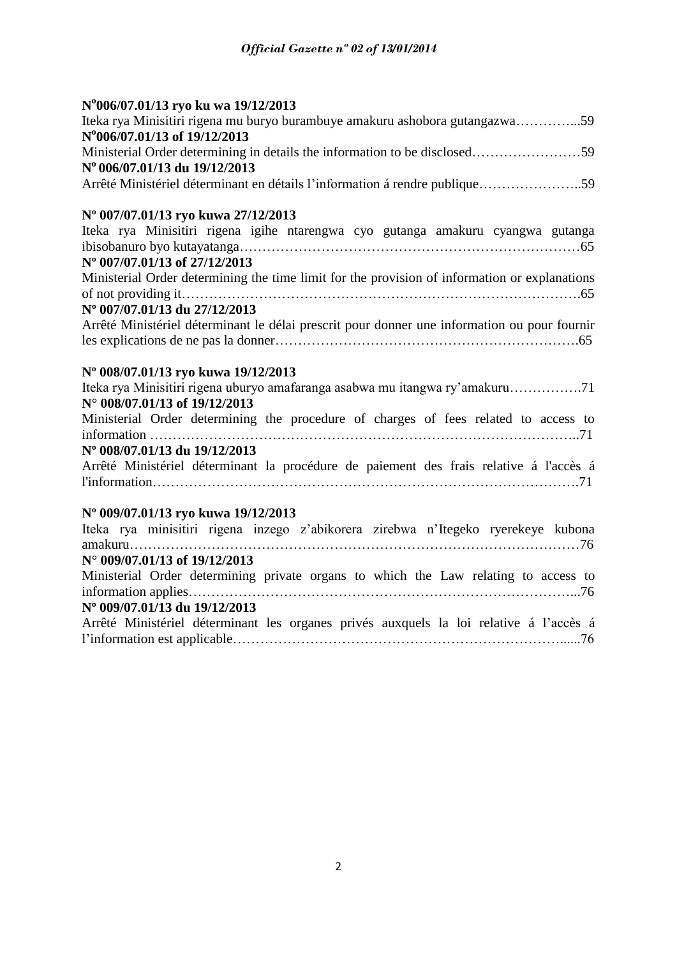## **N o 006/07.01/13 ryo ku wa 19/12/2013**

| Iteka rya Minisitiri rigena mu buryo burambuye amakuru ashobora gutangazwa59 |  |
|------------------------------------------------------------------------------|--|
| N°006/07.01/13 of 19/12/2013                                                 |  |
|                                                                              |  |
| $N^{\rm o}$ 006/07.01/13 du 19/12/2013                                       |  |
| Arrêté Ministériel déterminant en détails l'information á rendre publique59  |  |

## **Nº 007/07.01/13 ryo kuwa 27/12/2013**

| Iteka rya Minisitiri rigena igihe ntarengwa cyo gutanga amakuru cyangwa gutanga               |  |
|-----------------------------------------------------------------------------------------------|--|
|                                                                                               |  |
| N° 007/07.01/13 of 27/12/2013                                                                 |  |
| Ministerial Order determining the time limit for the provision of information or explanations |  |
|                                                                                               |  |
| N° 007/07.01/13 du 27/12/2013                                                                 |  |
| Arrêté Ministériel déterminant le délai prescrit pour donner une information ou pour fournir  |  |
|                                                                                               |  |

## **Nº 008/07.01/13 ryo kuwa 19/12/2013**

| Iteka rya Minisitiri rigena uburyo amafaranga asabwa mu itangwa ry'amakuru             |
|----------------------------------------------------------------------------------------|
| $N^{\circ}$ 008/07.01/13 of 19/12/2013                                                 |
| Ministerial Order determining the procedure of charges of fees related to access to    |
|                                                                                        |
| N° 008/07.01/13 du 19/12/2013                                                          |
| Arrêté Ministériel déterminant la procédure de paiement des frais relative á l'accès á |
|                                                                                        |
|                                                                                        |

## **Nº 009/07.01/13 ryo kuwa 19/12/2013**

|  |                                        |  |  |  |  |  | Iteka rya minisitiri rigena inzego z'abikorera zirebwa n'Itegeko ryerekeye kubona      |
|--|----------------------------------------|--|--|--|--|--|----------------------------------------------------------------------------------------|
|  |                                        |  |  |  |  |  |                                                                                        |
|  | $N^{\circ}$ 009/07.01/13 of 19/12/2013 |  |  |  |  |  |                                                                                        |
|  |                                        |  |  |  |  |  | Ministerial Order determining private organs to which the Law relating to access to    |
|  |                                        |  |  |  |  |  |                                                                                        |
|  | N° 009/07.01/13 du 19/12/2013          |  |  |  |  |  |                                                                                        |
|  |                                        |  |  |  |  |  | Arrêté Ministériel déterminant les organes privés auxquels la loi relative á l'accès á |
|  |                                        |  |  |  |  |  |                                                                                        |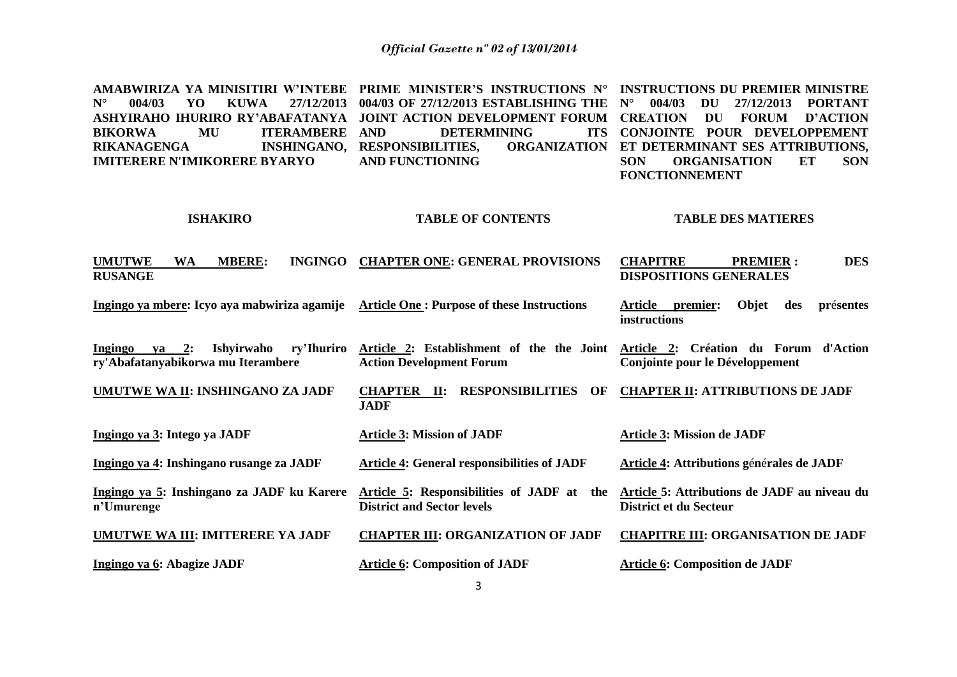**AMABWIRIZA YA MINISITIRI W'INTEBE PRIME MINISTER'S INSTRUCTIONS N° INSTRUCTIONS DU PREMIER MINISTRE N° 004/03 YO KUWA 27/12/2013 004/03 OF 27/12/2013 ESTABLISHING THE N° 004/03 DU 27/12/2013 PORTANT ASHYIRAHO IHURIRO RY'ABAFATANYA JOINT ACTION DEVELOPMENT FORUM CREATION DU FORUM D'ACTION**  BIKORWA MU ITERAMBERE AND **RIKANAGENGA IMITERERE N'IMIKORERE BYARYO ISHAKIRO UMUTWE WA MBERE: INGINGO CHAPTER ONE: GENERAL PROVISIONS RUSANGE Ingingo ya mbere: Icyo aya mabwiriza agamije Article One : Purpose of these Instructions Ingingo ya 2: Ishyirwaho ry'Ihuriro ry'Abafatanyabikorwa mu Iterambere UMUTWE WA II: INSHINGANO ZA JADF Ingingo ya 3: Intego ya JADF Ingingo ya 4: Inshingano rusange za JADF Ingingo ya 5: Inshingano za JADF ku Karere n'Umurenge UMUTWE WA III: IMITERERE YA JADF Ingingo ya 6: Abagize JADF DETERMINING INSHINGANO, RESPONSIBILITIES, AND FUNCTIONING TABLE OF CONTENTS Article 2: Establishment of the the Joint Action Development Forum CHAPTER II: RESPONSIBILITIES OF JADF Article 3: Mission of JADF Article 4: General responsibilities of JADF Article 5: Responsibilities of JADF at the District and Sector levels CHAPTER III: ORGANIZATION OF JADF Article 6: Composition of JADF CONJOINTE POUR DEVELOPPEMENT ET DETERMINANT SES ATTRIBUTIONS, SON ORGANISATION ET SON FONCTIONNEMENT TABLE DES MATIERES CHAPITRE PREMIER : DES DISPOSITIONS GENERALES Article premier: Objet des pr**é**sentes instructions Article 2: Création du Forum d'Action Conjointe pour le Développement CHAPTER II: ATTRIBUTIONS DE JADF Article 3: Mission de JADF Article 4: Attributions g**é**n**é**rales de JADF Article 5: Attributions de JADF au niveau du District et du Secteur CHAPITRE III: ORGANISATION DE JADF Article 6: Composition de JADF**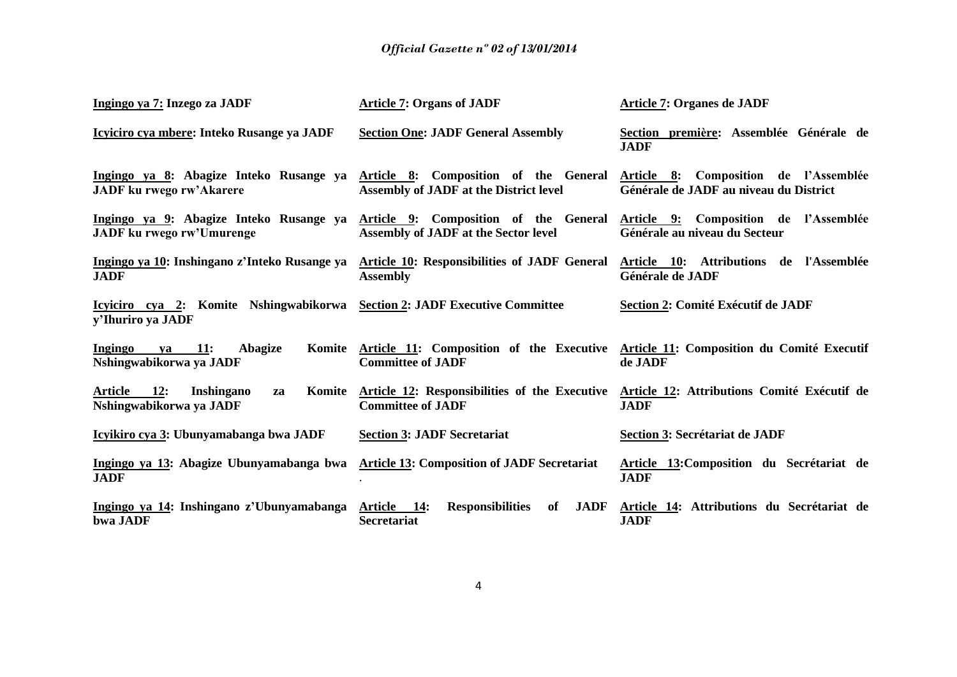| Ingingo ya 7: Inzego za JADF                                                   | <b>Article 7: Organs of JADF</b>                                                                   | <b>Article 7: Organes de JADF</b>                                               |
|--------------------------------------------------------------------------------|----------------------------------------------------------------------------------------------------|---------------------------------------------------------------------------------|
| Icyiciro cya mbere: Inteko Rusange ya JADF                                     | <b>Section One: JADF General Assembly</b>                                                          | Section première: Assemblée Générale de<br><b>JADF</b>                          |
| Ingingo ya 8: Abagize Inteko Rusange ya<br><b>JADF</b> ku rwego rw'Akarere     | Article 8: Composition of the General<br><b>Assembly of JADF at the District level</b>             | Article 8: Composition de l'Assemblée<br>Générale de JADF au niveau du District |
| Ingingo ya 9: Abagize Inteko Rusange ya<br><b>JADF</b> ku rwego rw'Umurenge    | Article 9: Composition of the General<br>Assembly of JADF at the Sector level                      | Article 9: Composition de l'Assemblée<br>Générale au niveau du Secteur          |
| Ingingo ya 10: Inshingano z'Inteko Rusange ya<br><b>JADF</b>                   | <b>Article 10: Responsibilities of JADF General</b><br><b>Assembly</b>                             | Article 10: Attributions de l'Assemblée<br>Générale de JADF                     |
| Icyiciro cya 2: Komite Nshingwabikorwa<br>y'Ihuriro ya JADF                    | <b>Section 2: JADF Executive Committee</b>                                                         | Section 2: Comité Exécutif de JADF                                              |
| Ingingo<br><b>11:</b><br>Abagize<br>Komite<br>va<br>Nshingwabikorwa ya JADF    | Article 11: Composition of the Executive<br><b>Committee of JADF</b>                               | Article 11: Composition du Comité Executif<br>de JADF                           |
| Article<br><b>12:</b><br>Komite<br>Inshingano<br>za<br>Nshingwabikorwa ya JADF | Article 12: Responsibilities of the Executive<br><b>Committee of JADF</b>                          | Article 12: Attributions Comité Exécutif de<br><b>JADF</b>                      |
| Icyikiro cya 3: Ubunyamabanga bwa JADF                                         | <b>Section 3: JADF Secretariat</b>                                                                 | Section 3: Secrétariat de JADF                                                  |
| Ingingo ya 13: Abagize Ubunyamabanga bwa<br><b>JADF</b>                        | <b>Article 13: Composition of JADF Secretariat</b>                                                 | Article 13: Composition du Secrétariat de<br><b>JADF</b>                        |
| Ingingo ya 14: Inshingano z'Ubunyamabanga<br>bwa JADF                          | <b>JADF</b><br><b>Article</b><br><b>14:</b><br><b>Responsibilities</b><br>of<br><b>Secretariat</b> | Article 14: Attributions du Secrétariat de<br><b>JADF</b>                       |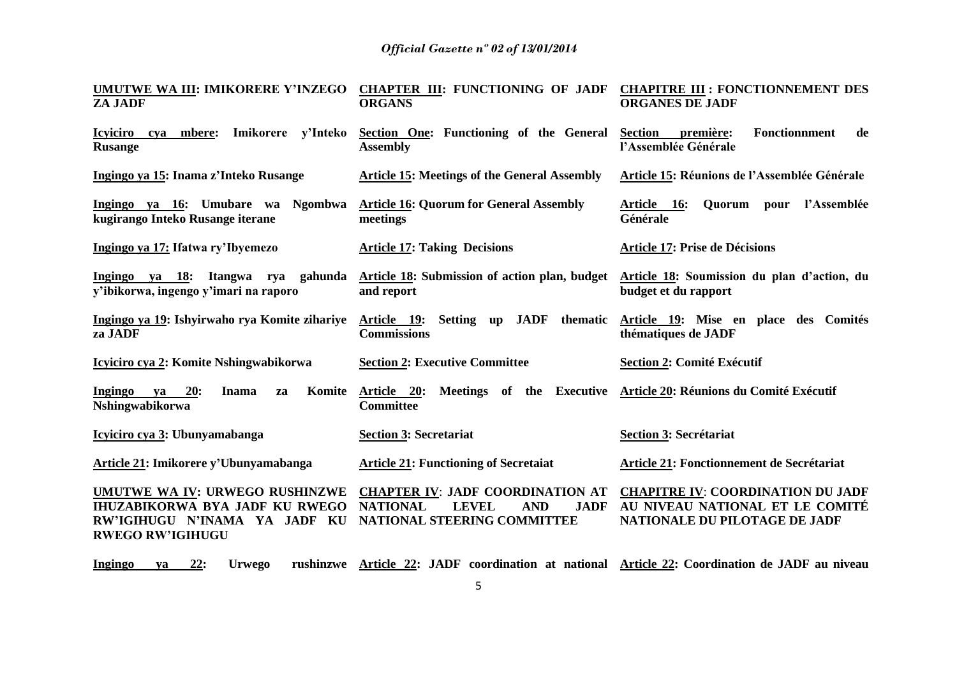| UMUTWE WA III: IMIKORERE Y'INZEGO<br><b>ZA JADF</b>                                                                                 | <b>CHAPTER III: FUNCTIONING OF JADF</b><br><b>ORGANS</b>                                                                               | <b>CHAPITRE III : FONCTIONNEMENT DES</b><br><b>ORGANES DE JADF</b>                                           |
|-------------------------------------------------------------------------------------------------------------------------------------|----------------------------------------------------------------------------------------------------------------------------------------|--------------------------------------------------------------------------------------------------------------|
| <b>Icyiciro</b><br>cya mbere:<br>Imikorere<br>y'Inteko<br><b>Rusange</b>                                                            | Section One: Functioning of the General<br><b>Assembly</b>                                                                             | Fonctionnment<br><b>Section</b><br>première:<br>de<br>l'Assemblée Générale                                   |
| Ingingo ya 15: Inama z'Inteko Rusange                                                                                               | <b>Article 15: Meetings of the General Assembly</b>                                                                                    | Article 15: Réunions de l'Assemblée Générale                                                                 |
| Ingingo ya 16: Umubare wa Ngombwa<br>kugirango Inteko Rusange iterane                                                               | <b>Article 16: Quorum for General Assembly</b><br>meetings                                                                             | l'Assemblée<br>Article 16:<br>Quorum pour<br>Générale                                                        |
| Ingingo ya 17: Ifatwa ry'Ibyemezo                                                                                                   | <b>Article 17: Taking Decisions</b>                                                                                                    | <b>Article 17: Prise de Décisions</b>                                                                        |
| Ingingo ya 18: Itangwa rya<br>gahunda<br>y'ibikorwa, ingengo y'imari na raporo                                                      | Article 18: Submission of action plan, budget<br>and report                                                                            | Article 18: Soumission du plan d'action, du<br>budget et du rapport                                          |
| Ingingo ya 19: Ishyirwaho rya Komite zihariye<br>za JADF                                                                            | <b>JADF</b><br>thematic<br>Setting up<br>Article 19:<br><b>Commissions</b>                                                             | Article 19: Mise en place des Comités<br>thématiques de JADF                                                 |
| Icyiciro cya 2: Komite Nshingwabikorwa                                                                                              | <b>Section 2: Executive Committee</b>                                                                                                  | <b>Section 2: Comité Exécutif</b>                                                                            |
| <b>Ingingo</b><br>20:<br><b>Inama</b><br>Komite<br>ya<br>za<br>Nshingwabikorwa                                                      | Meetings of the Executive<br>Article 20:<br><b>Committee</b>                                                                           | Article 20: Réunions du Comité Exécutif                                                                      |
| Icyiciro cya 3: Ubunyamabanga                                                                                                       | <b>Section 3: Secretariat</b>                                                                                                          | Section 3: Secrétariat                                                                                       |
| Article 21: Imikorere y'Ubunyamabanga                                                                                               | <b>Article 21: Functioning of Secretaiat</b>                                                                                           | Article 21: Fonctionnement de Secrétariat                                                                    |
| UMUTWE WA IV: URWEGO RUSHINZWE<br><b>IHUZABIKORWA BYA JADF KU RWEGO</b><br>RW'IGIHUGU N'INAMA YA JADF KU<br><b>RWEGO RW'IGIHUGU</b> | <b>CHAPTER IV: JADF COORDINATION AT</b><br><b>NATIONAL</b><br><b>LEVEL</b><br><b>AND</b><br><b>JADF</b><br>NATIONAL STEERING COMMITTEE | <b>CHAPITRE IV: COORDINATION DU JADF</b><br>AU NIVEAU NATIONAL ET LE COMITÉ<br>NATIONALE DU PILOTAGE DE JADF |
| 22:<br>Ingingo<br><b>Urwego</b><br>va                                                                                               | rushinzwe Article 22: JADF coordination at national Article 22: Coordination de JADF au niveau                                         |                                                                                                              |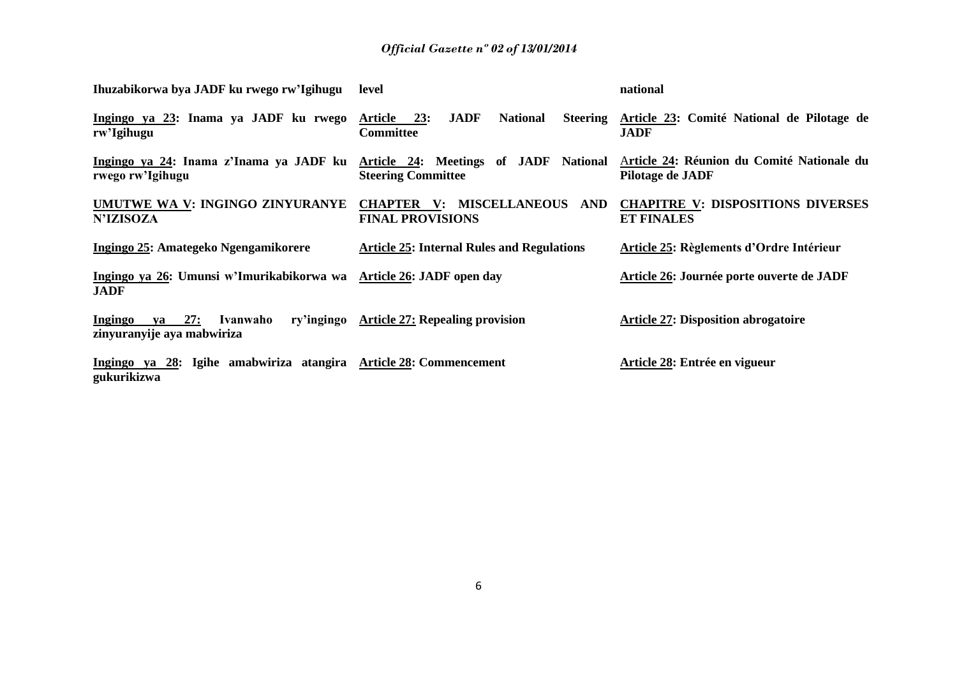| Ihuzabikorwa bya JADF ku rwego rw'Igihugu                                        | level                                                                                      | national                                                       |
|----------------------------------------------------------------------------------|--------------------------------------------------------------------------------------------|----------------------------------------------------------------|
| Ingingo ya 23: Inama ya JADF ku rwego<br>rw'Igihugu                              | <b>JADF</b><br>Article 23:<br><b>National</b><br><b>Steering</b><br><b>Committee</b>       | Article 23: Comité National de Pilotage de<br><b>JADF</b>      |
| Ingingo ya 24: Inama z'Inama ya JADF ku<br>rwego rw'Igihugu                      | Article 24: Meetings of JADF National<br><b>Steering Committee</b>                         | Article 24: Réunion du Comité Nationale du<br>Pilotage de JADF |
| UMUTWE WA V: INGINGO ZINYURANYE<br><b>N'IZISOZA</b>                              | <b>MISCELLANEOUS</b><br><b>CHAPTER</b><br>$\mathbf{V}$ :<br>AND<br><b>FINAL PROVISIONS</b> | <b>CHAPITRE V: DISPOSITIONS DIVERSES</b><br><b>ET FINALES</b>  |
| Ingingo 25: Amategeko Ngengamikorere                                             | <b>Article 25: Internal Rules and Regulations</b>                                          | Article 25: Règlements d'Ordre Intérieur                       |
| Ingingo ya 26: Umunsi w'Imurikabikorwa wa<br><b>JADF</b>                         | Article 26: JADF open day                                                                  | Article 26: Journée porte ouverte de JADF                      |
| 27:<br>Ingingo<br>ry'ingingo<br>Ivanwaho<br>va<br>zinyuranyije aya mabwiriza     | <b>Article 27: Repealing provision</b>                                                     | <b>Article 27: Disposition abrogatoire</b>                     |
| Ingingo ya 28: Igihe amabwiriza atangira Article 28: Commencement<br>gukurikizwa |                                                                                            | Article 28: Entrée en vigueur                                  |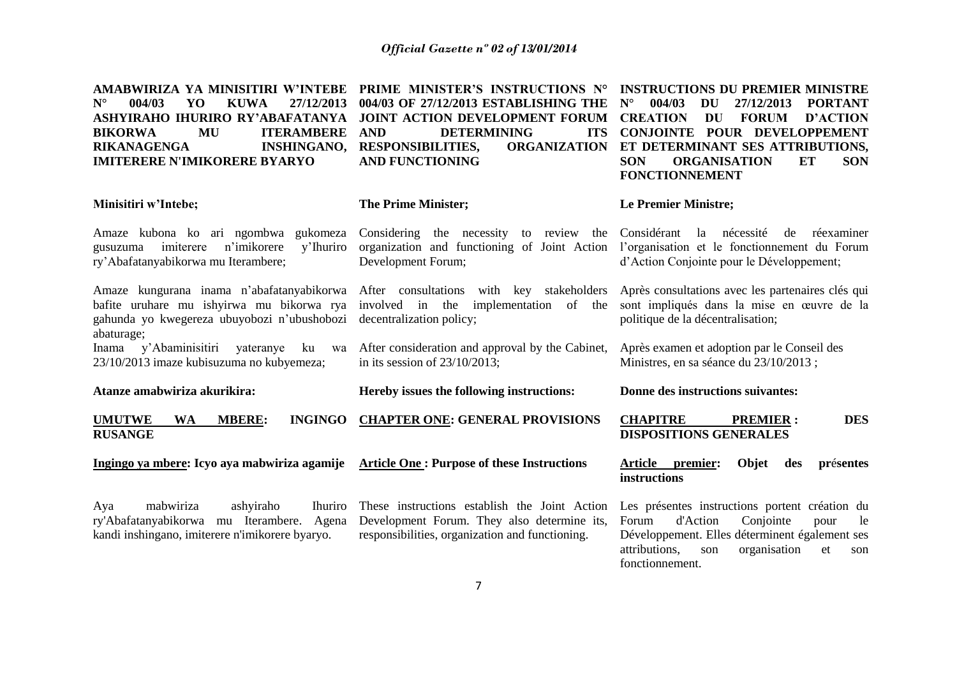| AMABWIRIZA YA MINISITIRI W'INTEBE<br>$N^{\circ}$<br>004/03<br>YO<br><b>KUWA</b><br>27/12/2013<br>ASHYIRAHO IHURIRO RY'ABAFATANYA<br>MU<br><b>ITERAMBERE</b><br><b>BIKORWA</b><br><b>INSHINGANO,</b><br><b>RIKANAGENGA</b><br><b>IMITERERE N'IMIKORERE BYARYO</b> | PRIME MINISTER'S INSTRUCTIONS N°<br>004/03 OF 27/12/2013 ESTABLISHING THE<br>JOINT ACTION DEVELOPMENT FORUM<br><b>DETERMINING</b><br><b>ITS</b><br><b>AND</b><br><b>RESPONSIBILITIES,</b><br><b>ORGANIZATION</b><br><b>AND FUNCTIONING</b> | <b>INSTRUCTIONS DU PREMIER MINISTRE</b><br>$N^{\circ}$<br>004/03<br>DU<br>27/12/2013<br><b>PORTANT</b><br><b>FORUM</b><br><b>D'ACTION</b><br><b>CREATION</b><br>DU<br>CONJOINTE POUR DEVELOPPEMENT<br>ET DETERMINANT SES ATTRIBUTIONS,<br><b>SON</b><br><b>ORGANISATION</b><br><b>ET</b><br><b>SON</b><br><b>FONCTIONNEMENT</b> |  |  |
|------------------------------------------------------------------------------------------------------------------------------------------------------------------------------------------------------------------------------------------------------------------|--------------------------------------------------------------------------------------------------------------------------------------------------------------------------------------------------------------------------------------------|---------------------------------------------------------------------------------------------------------------------------------------------------------------------------------------------------------------------------------------------------------------------------------------------------------------------------------|--|--|
| Minisitiri w'Intebe;                                                                                                                                                                                                                                             | <b>The Prime Minister;</b>                                                                                                                                                                                                                 | <b>Le Premier Ministre;</b>                                                                                                                                                                                                                                                                                                     |  |  |
| Amaze kubona ko ari ngombwa<br>gukomeza<br>imiterere<br>n'imikorere<br>y'Ihuriro<br>gusuzuma<br>ry'Abafatanyabikorwa mu Iterambere;                                                                                                                              | Considering the necessity to review the<br>organization and functioning of Joint Action<br>Development Forum;                                                                                                                              | Considérant<br>nécessité<br>la<br>de<br>réexaminer<br>l'organisation et le fonctionnement du Forum<br>d'Action Conjointe pour le Développement;                                                                                                                                                                                 |  |  |
| Amaze kungurana inama n'abafatanyabikorwa<br>bafite uruhare mu ishyirwa mu bikorwa rya<br>gahunda yo kwegereza ubuyobozi n'ubushobozi<br>abaturage;                                                                                                              | After consultations with key stakeholders<br>involved in the<br>implementation of the<br>decentralization policy;                                                                                                                          | Après consultations avec les partenaires clés qui<br>sont impliqués dans la mise en œuvre de la<br>politique de la décentralisation;                                                                                                                                                                                            |  |  |
| y'Abaminisitiri<br>yateranye<br>Inama<br>ku<br>wa<br>23/10/2013 imaze kubisuzuma no kubyemeza;                                                                                                                                                                   | After consideration and approval by the Cabinet,<br>in its session of $23/10/2013$ ;                                                                                                                                                       | Après examen et adoption par le Conseil des<br>Ministres, en sa séance du 23/10/2013;                                                                                                                                                                                                                                           |  |  |
| Atanze amabwiriza akurikira:                                                                                                                                                                                                                                     | Hereby issues the following instructions:                                                                                                                                                                                                  | Donne des instructions suivantes:                                                                                                                                                                                                                                                                                               |  |  |
| <b>UMUTWE</b><br><b>MBERE:</b><br><b>INGINGO</b><br><b>WA</b><br><b>RUSANGE</b>                                                                                                                                                                                  | <b>CHAPTER ONE: GENERAL PROVISIONS</b>                                                                                                                                                                                                     | <b>DES</b><br><b>CHAPITRE</b><br><b>PREMIER:</b><br><b>DISPOSITIONS GENERALES</b>                                                                                                                                                                                                                                               |  |  |
| Ingingo ya mbere: Icyo aya mabwiriza agamije                                                                                                                                                                                                                     | <b>Article One: Purpose of these Instructions</b>                                                                                                                                                                                          | Article<br>premier:<br>Objet<br>présentes<br>des<br>instructions                                                                                                                                                                                                                                                                |  |  |
| mabwiriza<br>ashyiraho<br><b>Ihuriro</b><br>Aya<br>ry'Abafatanyabikorwa mu Iterambere. Agena<br>kandi inshingano, imiterere n'imikorere byaryo.                                                                                                                  | These instructions establish the Joint Action<br>Development Forum. They also determine its,<br>responsibilities, organization and functioning.                                                                                            | Les présentes instructions portent création du<br>Conjointe<br>Forum<br>d'Action<br>pour<br>le<br>Développement. Elles déterminent également ses<br>attributions,<br>organisation<br>son<br>et<br>son<br>fonctionnement.                                                                                                        |  |  |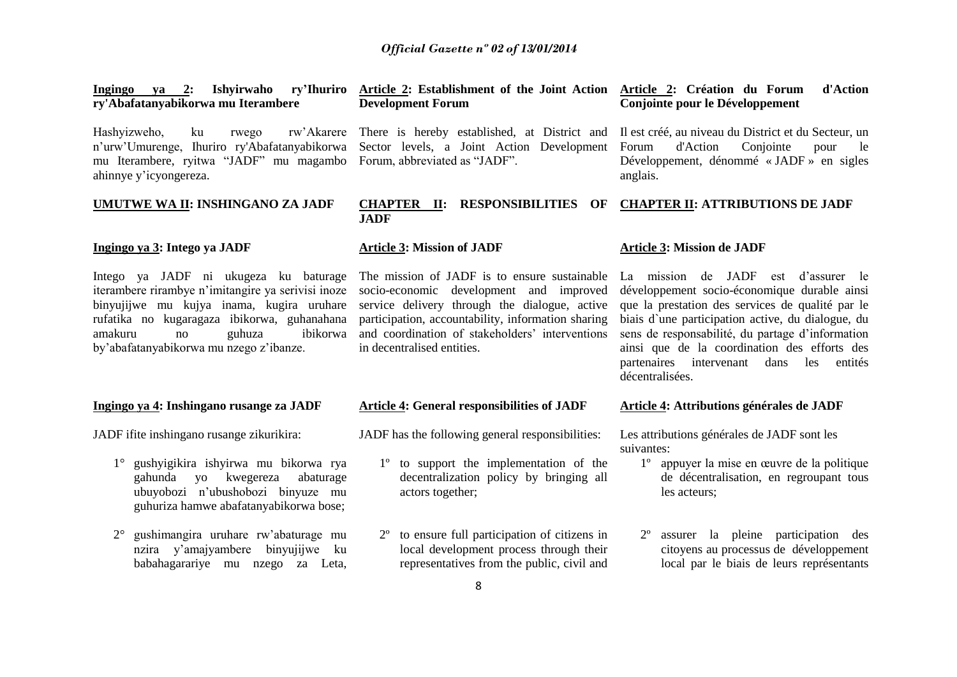| Ingingo ya 2: Ishyirwaho ry'Ihuriro<br>ry'Abafatanyabikorwa mu Iterambere                                                                                                                                                                                                                                                                                                                                                                                                                                                                                     | Article 2: Establishment of the Joint Action Article 2: Création du Forum<br><b>Development Forum</b>        | d'Action<br>Conjointe pour le Développement                                                           |
|---------------------------------------------------------------------------------------------------------------------------------------------------------------------------------------------------------------------------------------------------------------------------------------------------------------------------------------------------------------------------------------------------------------------------------------------------------------------------------------------------------------------------------------------------------------|--------------------------------------------------------------------------------------------------------------|-------------------------------------------------------------------------------------------------------|
| Hashyizweho,<br>ku<br>rwego<br>n'urw'Umurenge, Ihuriro ry'Abafatanyabikorwa Sector levels, a Joint Action Development<br>mu Iterambere, ryitwa "JADF" mu magambo Forum, abbreviated as "JADF".<br>ahinnye y'icyongereza.                                                                                                                                                                                                                                                                                                                                      | rw'Akarere There is hereby established, at District and Il est créé, au niveau du District et du Secteur, un | Conjointe<br>Forum<br>d'Action<br>le<br>pour<br>Développement, dénommé « JADF » en sigles<br>anglais. |
| UMUTWE WA II: INSHINGANO ZA JADF                                                                                                                                                                                                                                                                                                                                                                                                                                                                                                                              | <b>CHAPTER II: RESPONSIBILITIES</b><br>OF<br><b>JADF</b>                                                     | <b>CHAPTER II: ATTRIBUTIONS DE JADF</b>                                                               |
| Ingingo ya 3: Intego ya JADF                                                                                                                                                                                                                                                                                                                                                                                                                                                                                                                                  | <b>Article 3: Mission of JADF</b>                                                                            | <b>Article 3: Mission de JADF</b>                                                                     |
| Intego ya JADF ni ukugeza ku baturage The mission of JADF is to ensure sustainable La mission de JADF est d'assurer le<br>iterambere rirambye n'imitangire ya serivisi inoze socio-economic development and improved développement socio-économique durable ainsi<br>binyujijwe mu kujya inama, kugira uruhare service delivery through the dialogue, active que la prestation des services de qualité par le<br>rufatika no kugaragaza ibikorwa, guhanahana participation accountability information sharing biais d'une participation active du dialogue du |                                                                                                              |                                                                                                       |

rufatika no kugaragaza ibikorwa, guhanahana amakuru no guhuza ibikorwa by'abafatanyabikorwa mu nzego z'ibanze.

#### **Ingingo ya 4: Inshingano rusange za JADF**

JADF ifite inshingano rusange zikurikira:

- 1° gushyigikira ishyirwa mu bikorwa rya gahunda yo kwegereza abaturage ubuyobozi n'ubushobozi binyuze mu guhuriza hamwe abafatanyabikorwa bose;
- 2° gushimangira uruhare rw'abaturage mu nzira y'amajyambere binyujijwe ku babahagarariye mu nzego za Leta,

#### **Article 4: General responsibilities of JADF**

in decentralised entities.

and coordination of stakeholders' interventions

JADF has the following general responsibilities:

- 1º to support the implementation of the decentralization policy by bringing all actors together;
- 2º to ensure full participation of citizens in local development process through their representatives from the public, civil and

## **Article 4: Attributions générales de JADF**

décentralisées.

sens de responsabilité, du partage d'information ainsi que de la coordination des efforts des partenaires intervenant dans les entités

Les attributions générales de JADF sont les suivantes:

- 1º appuyer la mise en œuvre de la politique de décentralisation, en regroupant tous les acteurs;
- 2º assurer la pleine participation des citoyens au processus de développement local par le biais de leurs représentants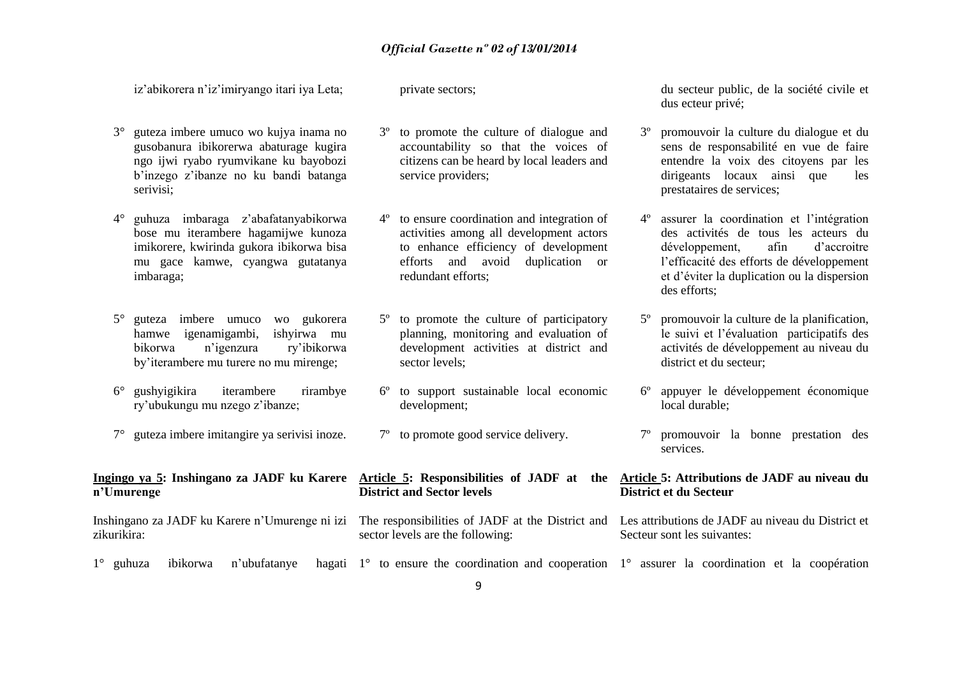iz'abikorera n'iz'imiryango itari iya Leta;

private sectors;

- 3° guteza imbere umuco wo kujya inama no gusobanura ibikorerwa abaturage kugira ngo ijwi ryabo ryumvikane ku bayobozi b'inzego z'ibanze no ku bandi batanga serivisi;
- 4° guhuza imbaraga z'abafatanyabikorwa bose mu iterambere hagamijwe kunoza imikorere, kwirinda gukora ibikorwa bisa mu gace kamwe, cyangwa gutatanya imbaraga;
- 5° guteza imbere umuco wo gukorera hamwe igenamigambi, ishyirwa mu bikorwa n'igenzura ry'ibikorwa by'iterambere mu turere no mu mirenge;
- 6° gushyigikira iterambere rirambye ry'ubukungu mu nzego z'ibanze;
- 7° guteza imbere imitangire ya serivisi inoze.

# **n'Umurenge**

Inshingano za JADF ku Karere n'Umurenge ni izi zikurikira:

- 
- 3º to promote the culture of dialogue and accountability so that the voices of citizens can be heard by local leaders and service providers:
- 4º to ensure coordination and integration of activities among all development actors to enhance efficiency of development efforts and avoid duplication or redundant efforts;
- 5º to promote the culture of participatory planning, monitoring and evaluation of development activities at district and sector levels;
- 6º to support sustainable local economic development;
- 7º to promote good service delivery.

## **District and Sector levels**

sector levels are the following:

du secteur public, de la société civile et dus ecteur privé;

- 3º promouvoir la culture du dialogue et du sens de responsabilité en vue de faire entendre la voix des citoyens par les dirigeants locaux ainsi que les prestataires de services;
- 4º assurer la coordination et l'intégration des activités de tous les acteurs du développement, afin d'accroitre l'efficacité des efforts de développement et d'éviter la duplication ou la dispersion des efforts;
- 5º promouvoir la culture de la planification, le suivi et l'évaluation participatifs des activités de développement au niveau du district et du secteur;
- 6º appuyer le développement économique local durable;
- 7º promouvoir la bonne prestation des services.

### **Ingingo ya 5: Inshingano za JADF ku Karere Article 5: Responsibilities of JADF at the Article 5: Attributions de JADF au niveau du District et du Secteur**

- The responsibilities of JADF at the District and Les attributions de JADF au niveau du District et Secteur sont les suivantes:
- $1^\circ$  guhuza ibikorwa n'ubufatanye 1° to ensure the coordination and cooperation 1° assurer la coordination et la coopération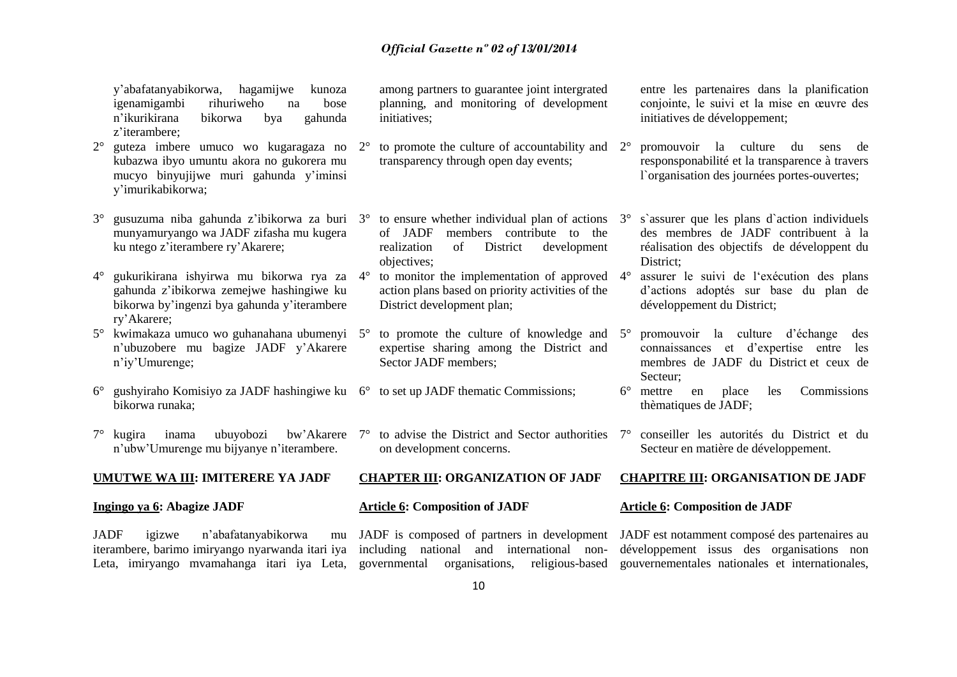y'abafatanyabikorwa, hagamijwe kunoza igenamigambi rihuriweho na bose n'ikurikirana bikorwa bya gahunda z'iterambere;

- 2° guteza imbere umuco wo kugaragaza no kubazwa ibyo umuntu akora no gukorera mu mucyo binyujijwe muri gahunda y'iminsi y'imurikabikorwa;
- 3° gusuzuma niba gahunda z'ibikorwa za buri 3° to ensure whether individual plan of actions munyamuryango wa JADF zifasha mu kugera ku ntego z'iterambere ry'Akarere;
- 4° gukurikirana ishyirwa mu bikorwa rya za gahunda z'ibikorwa zemejwe hashingiwe ku bikorwa by'ingenzi bya gahunda y'iterambere ry'Akarere;
- 5° kwimakaza umuco wo guhanahana ubumenyi 5° to promote the culture of knowledge and n'ubuzobere mu bagize JADF y'Akarere n'iy'Umurenge;
- 6° gushyiraho Komisiyo za JADF hashingiwe ku 6° to set up JADF thematic Commissions; bikorwa runaka;
- 7° kugira inama ubuyobozi bw'Akarere n'ubw'Umurenge mu bijyanye n'iterambere.

## **UMUTWE WA III: IMITERERE YA JADF**

#### **Ingingo ya 6: Abagize JADF**

JADF igizwe n'abafatanyabikorwa mu

among partners to guarantee joint intergrated planning, and monitoring of development initiatives;

- to promote the culture of accountability and  $2^{\circ}$ transparency through open day events;
- of JADF members contribute to the realization of District development objectives;
- to monitor the implementation of approved  $4^\circ$ action plans based on priority activities of the District development plan;
- expertise sharing among the District and Sector JADF members;
- 
- 7° to advise the District and Sector authorities on development concerns.

#### **CHAPTER III: ORGANIZATION OF JADF**

#### **Article 6: Composition of JADF**

JADF is composed of partners in development JADF est notamment composé des partenaires au

entre les partenaires dans la planification conjointe, le suivi et la mise en œuvre des initiatives de développement;

- 2° promouvoir la culture du sens de responsponabilité et la transparence à travers l`organisation des journées portes-ouvertes;
- 3° s`assurer que les plans d`action individuels des membres de JADF contribuent à la réalisation des objectifs de développent du District;

assurer le suivi de l'exécution des plans d'actions adoptés sur base du plan de développement du District;

- 5° promouvoir la culture d'échange des connaissances et d'expertise entre les membres de JADF du District et ceux de Secteur;
- 6° mettre en place les Commissions thèmatiques de JADF;
- 7° conseiller les autorités du District et du Secteur en matière de développement.

#### **CHAPITRE III: ORGANISATION DE JADF**

#### **Article 6: Composition de JADF**

iterambere, barimo imiryango nyarwanda itari iya including national and international non-développement issus des organisations non Leta, imiryango mvamahanga itari iya Leta, governmental organisations, religious-based gouvernementales nationales et internationales,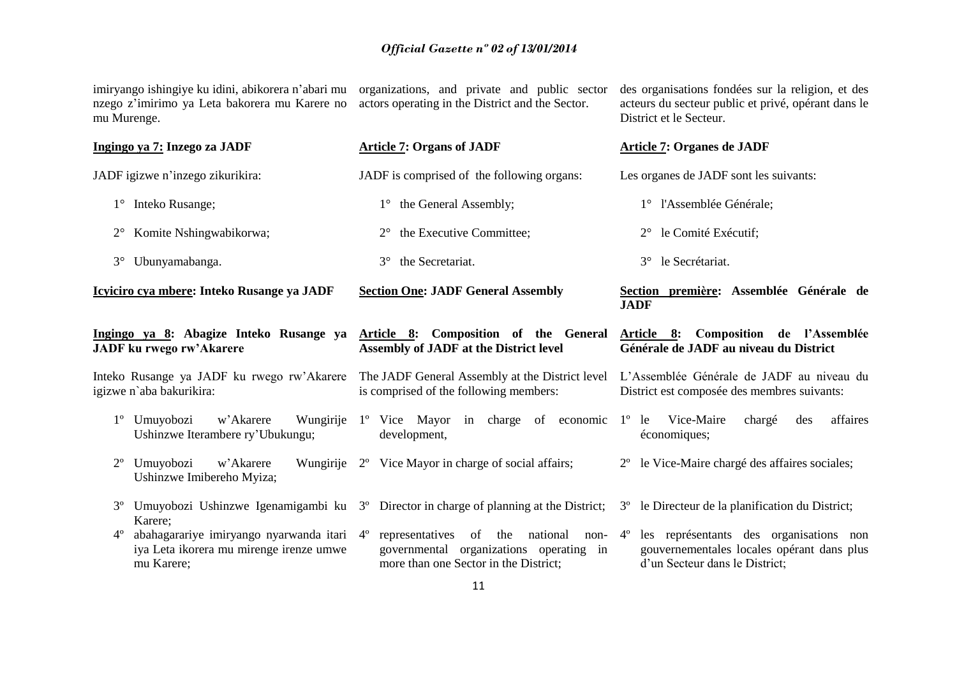imiryango ishingiye ku idini, abikorera n'abari mu organizations, and private and public sector nzego z'imirimo ya Leta bakorera mu Karere no mu Murenge. actors operating in the District and the Sector.

des organisations fondées sur la religion, et des acteurs du secteur public et privé, opérant dans le District et le Secteur.

|             | Ingingo ya 7: Inzego za JADF                                                                        | <b>Article 7: Organs of JADF</b>                                                                                                                               | <b>Article 7: Organes de JADF</b>                                                                                       |
|-------------|-----------------------------------------------------------------------------------------------------|----------------------------------------------------------------------------------------------------------------------------------------------------------------|-------------------------------------------------------------------------------------------------------------------------|
|             | JADF igizwe n'inzego zikurikira:                                                                    | JADF is comprised of the following organs:                                                                                                                     | Les organes de JADF sont les suivants:                                                                                  |
| $1^{\circ}$ | Inteko Rusange;                                                                                     | the General Assembly;<br>$1^{\circ}$                                                                                                                           | 1° l'Assemblée Générale;                                                                                                |
| $2^{\circ}$ | Komite Nshingwabikorwa;                                                                             | the Executive Committee;<br>$2^{\circ}$                                                                                                                        | le Comité Exécutif;<br>$2^{\circ}$                                                                                      |
| $3^\circ$   | Ubunyamabanga.                                                                                      | the Secretariat.<br>$3^\circ$                                                                                                                                  | le Secrétariat.<br>$3^\circ$                                                                                            |
|             | Icyiciro cya mbere: Inteko Rusange ya JADF                                                          | <b>Section One: JADF General Assembly</b>                                                                                                                      | Section première: Assemblée Générale de<br><b>JADF</b>                                                                  |
|             | Ingingo ya 8: Abagize Inteko Rusange ya<br><b>JADF</b> ku rwego rw'Akarere                          | Article 8: Composition of the General<br><b>Assembly of JADF at the District level</b>                                                                         | Article 8: Composition de l'Assemblée<br>Générale de JADF au niveau du District                                         |
|             | Inteko Rusange ya JADF ku rwego rw'Akarere<br>igizwe n'aba bakurikira:                              | The JADF General Assembly at the District level<br>is comprised of the following members:                                                                      | L'Assemblée Générale de JADF au niveau du<br>District est composée des membres suivants:                                |
|             | Umuyobozi<br>w'Akarere<br>Wungirije<br>Ushinzwe Iterambere ry'Ubukungu;                             | 1° Vice Mayor in charge of economic 1° le<br>development,                                                                                                      | affaires<br>Vice-Maire<br>chargé<br>des<br>économiques;                                                                 |
| $2^{\circ}$ | Umuyobozi<br>Wungirije<br>w'Akarere<br>Ushinzwe Imibereho Myiza;                                    | 2° Vice Mayor in charge of social affairs;                                                                                                                     | le Vice-Maire chargé des affaires sociales;<br>$2^{\circ}$                                                              |
|             | Karere;                                                                                             | Umuyobozi Ushinzwe Igenamigambi ku 3 <sup>o</sup> Director in charge of planning at the District; 3 <sup>o</sup> le Directeur de la planification du District; |                                                                                                                         |
| $4^{\circ}$ | abahagarariye imiryango nyarwanda itari 4°<br>iya Leta ikorera mu mirenge irenze umwe<br>mu Karere; | representatives<br>of the<br>national<br>non- $4^\circ$<br>governmental organizations operating in<br>more than one Sector in the District;                    | les représentants des organisations non<br>gouvernementales locales opérant dans plus<br>d'un Secteur dans le District; |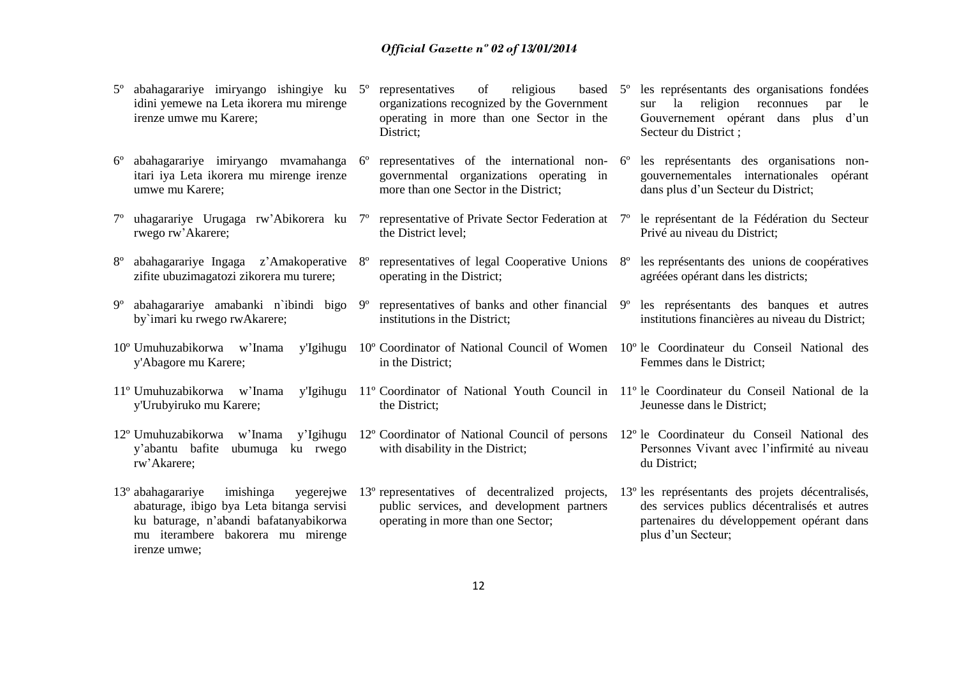- 5º abahagarariye imiryango ishingiye ku idini yemewe na Leta ikorera mu mirenge irenze umwe mu Karere; 5º representatives of religious based organizations recognized by the Government operating in more than one Sector in the District; les représentants des organisations fondées sur la religion reconnues par le Gouvernement opérant dans plus d'un Secteur du District ;
	- representatives of the international non-  $6^{\circ}$ governmental organizations operating in more than one Sector in the District; les représentants des organisations nongouvernementales internationales opérant
- 7º uhagarariye Urugaga rw'Abikorera ku 7º representative of Private Sector Federation at 7º le représentant de la Fédération du Secteur the District level;
- 8° abahagarariye Ingaga z'Amakoperative 8° representatives of legal Cooperative Unions 8° les représentants des unions de coopératives zifite ubuzimagatozi zikorera mu turere; operating in the District;
- 9º abahagarariye amabanki n`ibindi bigo by`imari ku rwego rwAkarere;

6º abahagarariye imiryango mvamahanga itari iya Leta ikorera mu mirenge irenze

umwe mu Karere;

rwego rw'Akarere;

- 10<sup>°</sup> Umuhuzabikorwa w'Inama y'Abagore mu Karere;
- y'Urubyiruko mu Karere;
- y'abantu bafite ubumuga ku rwego rw'Akarere;
- 13<sup>°</sup> abahagarariye imishinga abaturage, ibigo bya Leta bitanga servisi ku baturage, n'abandi bafatanyabikorwa mu iterambere bakorera mu mirenge irenze umwe;
- 
- 9º representatives of banks and other financial institutions in the District;
- 10º Coordinator of National Council of Women 10º le Coordinateur du Conseil National des in the District;
- 11º Umuhuzabikorwa w'Inama y'Igihugu 11º Coordinator of National Youth Council in 11º le Coordinateur du Conseil National de la the District;
	- with disability in the District:
	- public services, and development partners operating in more than one Sector;
- dans plus d'un Secteur du District;
- Privé au niveau du District;
- agréées opérant dans les districts;
- les représentants des banques et autres institutions financières au niveau du District;
- Femmes dans le District;
- Jeunesse dans le District;
- 12º Umuhuzabikorwa w'Inama y'Igihugu 12º Coordinator of National Council of persons 12° le Coordinateur du Conseil National des Personnes Vivant avec l'infirmité au niveau du District;
	- 13º representatives of decentralized projects, 13º les représentants des projets décentralisés, des services publics décentralisés et autres partenaires du développement opérant dans plus d'un Secteur;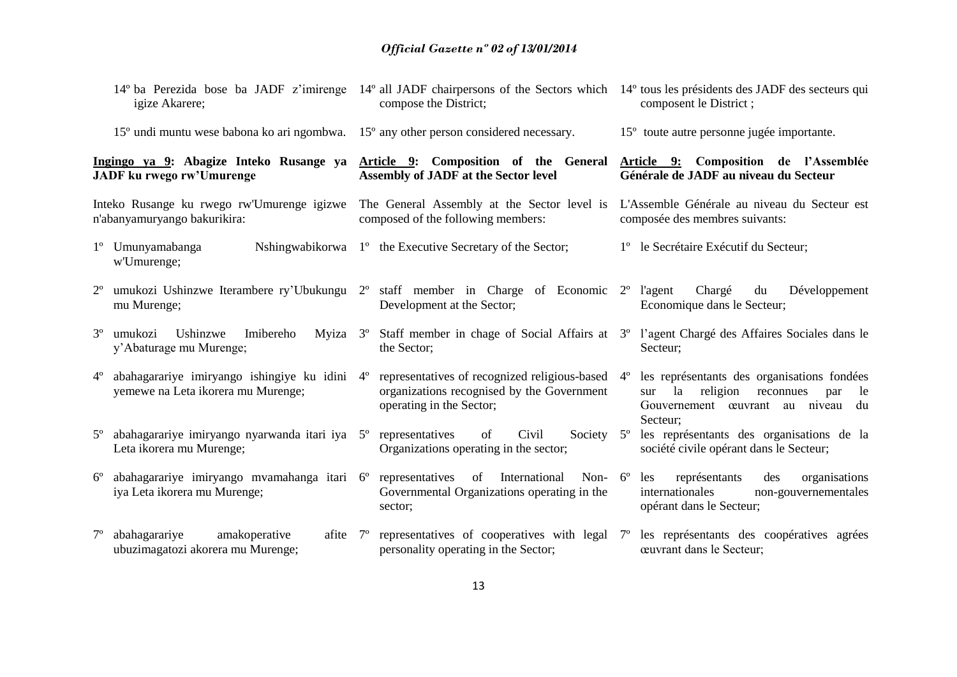|             | 14° ba Perezida bose ba JADF z'imirenge 14° all JADF chairpersons of the Sectors which 14° tous les présidents des JADF des secteurs qui<br>igize Akarere; | compose the District;                                                                                                                  |             | composent le District;                                                                                                                          |
|-------------|------------------------------------------------------------------------------------------------------------------------------------------------------------|----------------------------------------------------------------------------------------------------------------------------------------|-------------|-------------------------------------------------------------------------------------------------------------------------------------------------|
|             | 15 <sup>°</sup> undi muntu wese babona ko ari ngombwa.                                                                                                     | 15° any other person considered necessary.                                                                                             |             | 15 <sup>°</sup> toute autre personne jugée importante.                                                                                          |
|             | Ingingo ya 9: Abagize Inteko Rusange ya<br><b>JADF</b> ku rwego rw'Umurenge                                                                                | Article 9: Composition of the General<br><b>Assembly of JADF at the Sector level</b>                                                   |             | Article 9: Composition de l'Assemblée<br>Générale de JADF au niveau du Secteur                                                                  |
|             | Inteko Rusange ku rwego rw'Umurenge igizwe<br>n'abanyamuryango bakurikira:                                                                                 | The General Assembly at the Sector level is<br>composed of the following members:                                                      |             | L'Assemble Générale au niveau du Secteur est<br>composée des membres suivants:                                                                  |
|             | 1 <sup>°</sup> Umunyamabanga<br>w'Umurenge;                                                                                                                | Nshingwabikorwa 1 <sup>°</sup> the Executive Secretary of the Sector;                                                                  |             | 1 <sup>°</sup> le Secrétaire Exécutif du Secteur;                                                                                               |
| $2^{\circ}$ | umukozi Ushinzwe Iterambere ry'Ubukungu $2^{\circ}$ staff member in Charge of Economic $2^{\circ}$ l'agent<br>mu Murenge;                                  | Development at the Sector;                                                                                                             |             | Développement<br>Chargé<br>du<br>Economique dans le Secteur;                                                                                    |
| $3^{\circ}$ | Ushinzwe<br>Imibereho<br>umukozi<br>y'Abaturage mu Murenge;                                                                                                | Myiza 3° Staff member in chage of Social Affairs at 3° l'agent Chargé des Affaires Sociales dans le<br>the Sector;                     |             | Secteur;                                                                                                                                        |
| $4^{\circ}$ | abahagarariye imiryango ishingiye ku idini 4°<br>yemewe na Leta ikorera mu Murenge;                                                                        | representatives of recognized religious-based 4 <sup>o</sup><br>organizations recognised by the Government<br>operating in the Sector; |             | les représentants des organisations fondées<br>religion<br>la<br>sur<br>reconnues<br>le<br>par<br>Gouvernement œuvrant au niveau du<br>Secteur: |
|             | abahagarariye imiryango nyarwanda itari iya 5°<br>Leta ikorera mu Murenge;                                                                                 | Civil<br>Society<br>representatives<br>of<br>Organizations operating in the sector;                                                    | $5^{\circ}$ | les représentants des organisations de la<br>société civile opérant dans le Secteur;                                                            |
| $6^{\circ}$ | abahagarariye imiryango mvamahanga itari 6°<br>iya Leta ikorera mu Murenge;                                                                                | International<br>Non- $6^{\circ}$<br>representatives<br>of<br>Governmental Organizations operating in the<br>sector;                   |             | organisations<br>les<br>représentants<br>des<br>internationales<br>non-gouvernementales<br>opérant dans le Secteur;                             |
| $7^{\circ}$ | abahagarariye<br>amakoperative<br>afite $7^\circ$<br>ubuzimagatozi akorera mu Murenge;                                                                     | representatives of cooperatives with legal 7 <sup>o</sup><br>personality operating in the Sector;                                      |             | les représentants des coopératives agrées<br>ceuvrant dans le Secteur;                                                                          |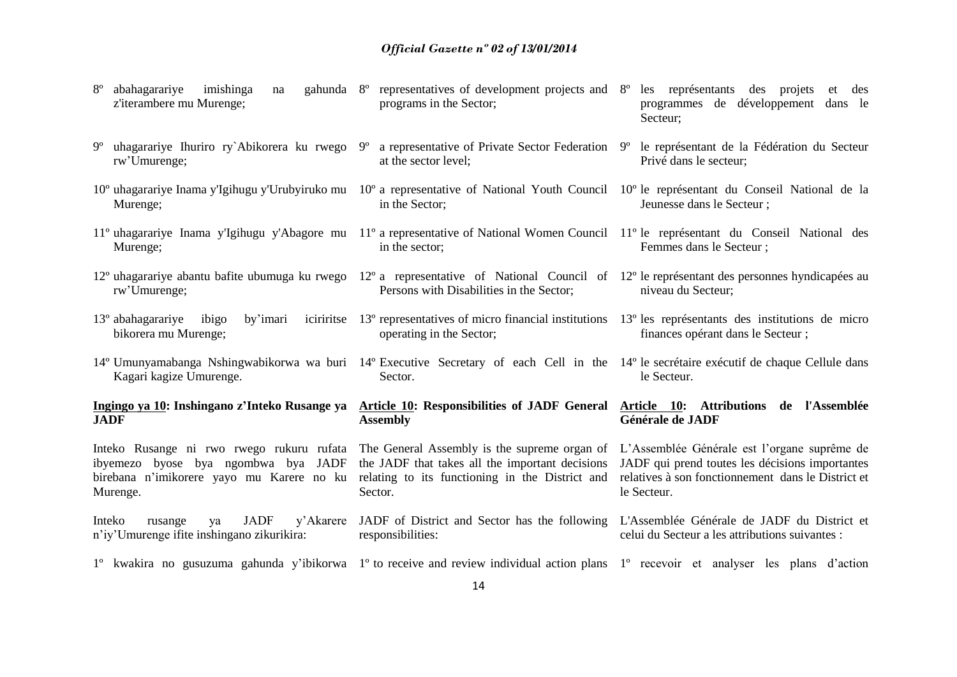| $8^{\circ}$<br>abahagarariye<br>imishinga<br>na<br>z'iterambere mu Murenge;                                                                                                            | gahunda 8° representatives of development projects and 8°<br>programs in the Sector;                                                                                | les représentants des projets<br>et des<br>programmes de développement dans le<br>Secteur;                                                                           |
|----------------------------------------------------------------------------------------------------------------------------------------------------------------------------------------|---------------------------------------------------------------------------------------------------------------------------------------------------------------------|----------------------------------------------------------------------------------------------------------------------------------------------------------------------|
| 9° uhagarariye Ihuriro ry`Abikorera ku rwego<br>rw'Umurenge;                                                                                                                           | 9°<br>a representative of Private Sector Federation 9 <sup>o</sup><br>at the sector level;                                                                          | le représentant de la Fédération du Secteur<br>Privé dans le secteur;                                                                                                |
| 10° uhagarariye Inama y'Igihugu y'Urubyiruko mu 10° a representative of National Youth Council 10° le représentant du Conseil National de la<br>Murenge;                               | in the Sector;                                                                                                                                                      | Jeunesse dans le Secteur ;                                                                                                                                           |
| 11° uhagarariye Inama y'Igihugu y'Abagore mu 11° a representative of National Women Council 11° le représentant du Conseil National des<br>Murenge;                                    | in the sector;                                                                                                                                                      | Femmes dans le Secteur;                                                                                                                                              |
| 12° uhagarariye abantu bafite ubumuga ku rwego 12° a representative of National Council of 12° le représentant des personnes hyndicapées au<br>rw'Umurenge;                            | Persons with Disabilities in the Sector;                                                                                                                            | niveau du Secteur;                                                                                                                                                   |
| 13° abahagarariye<br>ibigo<br>by'imari<br>bikorera mu Murenge;                                                                                                                         | iciririties 13 <sup>°</sup> representatives of micro financial institutions 13 <sup>°</sup> les représentants des institutions de micro<br>operating in the Sector; | finances opérant dans le Secteur;                                                                                                                                    |
| 14° Umunyamabanga Nshingwabikorwa wa buri 14° Executive Secretary of each Cell in the 14° le secrétaire exécutif de chaque Cellule dans<br>Kagari kagize Umurenge.                     | Sector.                                                                                                                                                             | le Secteur.                                                                                                                                                          |
| Ingingo ya 10: Inshingano z'Inteko Rusange ya<br><b>JADF</b>                                                                                                                           | Article 10: Responsibilities of JADF General<br><b>Assembly</b>                                                                                                     | Article 10: Attributions de l'Assemblée<br>Générale de JADF                                                                                                          |
| Inteko Rusange ni rwo rwego rukuru rufata The General Assembly is the supreme organ of<br>ibyemezo byose bya ngombwa bya JADF<br>birebana n'imikorere yayo mu Karere no ku<br>Murenge. | the JADF that takes all the important decisions<br>relating to its functioning in the District and<br>Sector.                                                       | L'Assemblée Générale est l'organe suprême de<br>JADF qui prend toutes les décisions importantes<br>relatives à son fonctionnement dans le District et<br>le Secteur. |
| <b>JADF</b><br>Inteko<br>y'Akarere<br>rusange<br>ya<br>n'iy'Umurenge ifite inshingano zikurikira:                                                                                      | JADF of District and Sector has the following<br>responsibilities:                                                                                                  | L'Assemblée Générale de JADF du District et<br>celui du Secteur a les attributions suivantes :                                                                       |
| 1° kwakira no gusuzuma gahunda y'ibikorwa 1° to receive and review individual action plans 1° recevoir et analyser les plans d'action                                                  |                                                                                                                                                                     |                                                                                                                                                                      |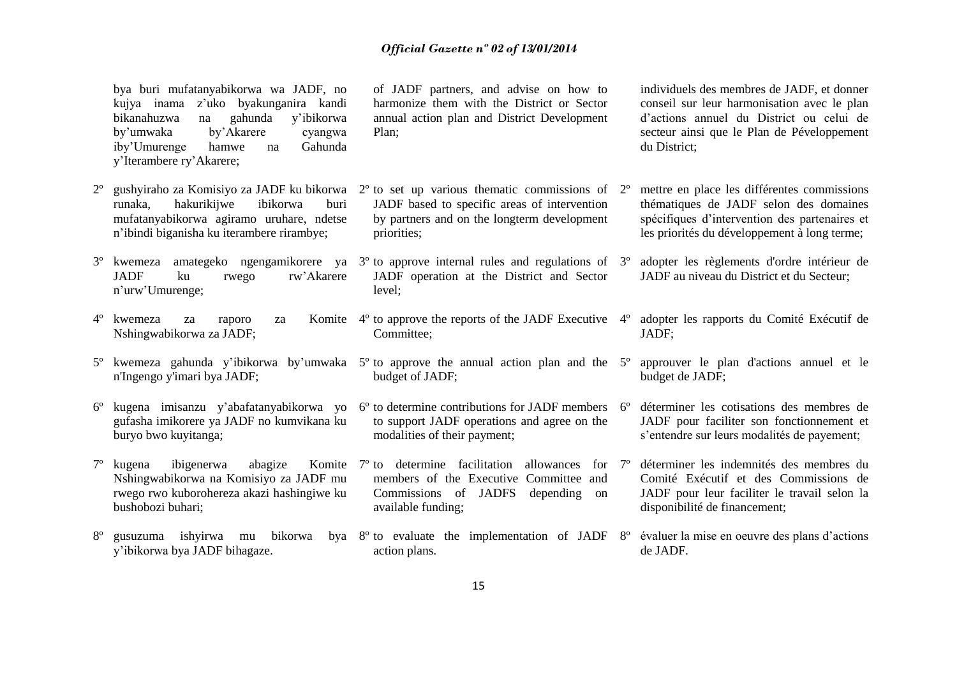bya buri mufatanyabikorwa wa JADF, no kujya inama z'uko byakunganira kandi bikanahuzwa na gahunda y'ibikorwa by'umwaka by'Akarere cyangwa iby'Umurenge hamwe na Gahunda y'Iterambere ry'Akarere;

- 2º gushyiraho za Komisiyo za JADF ku bikorwa runaka, hakurikijwe ibikorwa buri mufatanyabikorwa agiramo uruhare, ndetse n'ibindi biganisha ku iterambere rirambye;
- 3º kwemeza amategeko ngengamikorere ya 3º to approve internal rules and regulations of JADF ku rwego rw'Akarere n'urw'Umurenge;
- 4<sup>°</sup> kwemeza za raporo za Nshingwabikorwa za JADF;
- n'Ingengo y'imari bya JADF;
- 6º kugena imisanzu y'abafatanyabikorwa yo 6º to determine contributions for JADF members gufasha imikorere ya JADF no kumvikana ku buryo bwo kuyitanga;
- 7<sup>°</sup> kugena ibigenerwa abagize Nshingwabikorwa na Komisiyo za JADF mu rwego rwo kuborohereza akazi hashingiwe ku bushobozi buhari;
- 8<sup>°</sup> gusuzuma ishyirwa mu bikorwa y'ibikorwa bya JADF bihagaze. by a 8<sup>o</sup> to evaluate the implementation of JADF 8<sup>o</sup>

of JADF partners, and advise on how to harmonize them with the District or Sector annual action plan and District Development Plan;

individuels des membres de JADF, et donner conseil sur leur harmonisation avec le plan d'actions annuel du District ou celui de secteur ainsi que le Plan de Péveloppement du District;

mettre en place les différentes commissions thématiques de JADF selon des domaines spécifiques d'intervention des partenaires et les priorités du développement à long terme;

adopter les règlements d'ordre intérieur de JADF au niveau du District et du Secteur;

adopter les rapports du Comité Exécutif de

5º approuver le plan d'actions annuel et le

déterminer les cotisations des membres de JADF pour faciliter son fonctionnement et s'entendre sur leurs modalités de payement;

déterminer les indemnités des membres du Comité Exécutif et des Commissions de JADF pour leur faciliter le travail selon la

JADF;

budget de JADF;

 $2^{\circ}$  to set up various thematic commissions of  $2^{\circ}$ JADF based to specific areas of intervention by partners and on the longterm development priorities;

JADF operation at the District and Sector level;

- Komite  $4^\circ$  to approve the reports of the JADF Executive  $4^\circ$ Committee;
- 5º kwemeza gahunda y'ibikorwa by'umwaka 5º to approve the annual action plan and the budget of JADF;
	- to support JADF operations and agree on the modalities of their payment;
	- Komite  $7^\circ$  to determine facilitation allowances for  $7^\circ$ members of the Executive Committee and Commissions of JADFS depending on available funding;
		- 8º évaluer la mise en oeuvre des plans d'actions de JADF.

disponibilité de financement;

action plans.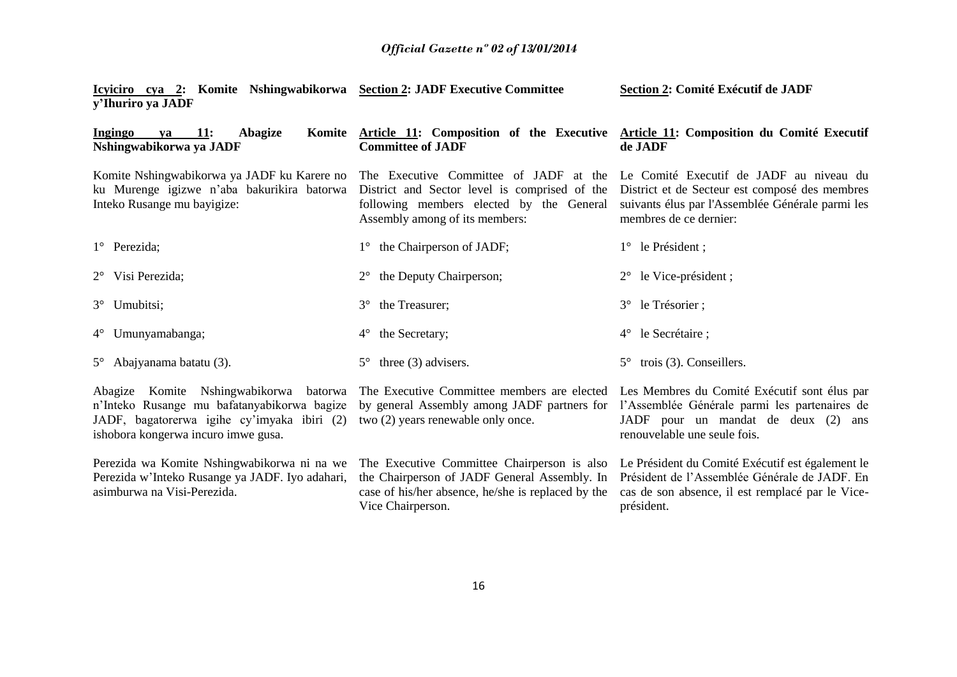| <u>Icyiciro cya 2:</u> Komite Nshingwabikorwa Section 2: JADF Executive Committee<br>y'Ihuriro ya JADF                   |                                                                                                                                                              | Section 2: Comité Exécutif de JADF                                                                                                                                         |
|--------------------------------------------------------------------------------------------------------------------------|--------------------------------------------------------------------------------------------------------------------------------------------------------------|----------------------------------------------------------------------------------------------------------------------------------------------------------------------------|
| <b>11:</b><br>Abagize<br>Ingingo<br>Komite<br>va<br>Nshingwabikorwa ya JADF                                              | <b>Committee of JADF</b>                                                                                                                                     | Article 11: Composition of the Executive Article 11: Composition du Comité Executif<br>de JADF                                                                             |
| Komite Nshingwabikorwa ya JADF ku Karere no<br>ku Murenge igizwe n'aba bakurikira batorwa<br>Inteko Rusange mu bayigize: | The Executive Committee of JADF at the Le Comité Executif de JADF au niveau du<br>following members elected by the General<br>Assembly among of its members: | District and Sector level is comprised of the District et de Secteur est composé des membres<br>suivants élus par l'Assemblée Générale parmi les<br>membres de ce dernier: |
| $1^{\circ}$ Perezida;                                                                                                    | the Chairperson of JADF;                                                                                                                                     | $1^{\circ}$ le Président;                                                                                                                                                  |
| $2^{\circ}$ Visi Perezida;                                                                                               | the Deputy Chairperson;<br>$2^{\circ}$                                                                                                                       | le Vice-président;<br>$2^{\circ}$                                                                                                                                          |
| 3° Umubitsi;                                                                                                             | the Treasurer;<br>$3^\circ$                                                                                                                                  | $3^{\circ}$ le Trésorier;                                                                                                                                                  |
| $4^{\circ}$ Umunyamabanga;                                                                                               | the Secretary;<br>$4^{\circ}$                                                                                                                                | le Secrétaire;<br>$4^{\circ}$                                                                                                                                              |
| $5^{\circ}$ Abajyanama batatu (3).                                                                                       | three $(3)$ advisers.<br>$5^{\circ}$                                                                                                                         | trois $(3)$ . Conseillers.<br>$5^\circ$                                                                                                                                    |
| Komite Nshingwabikorwa<br>batorwa<br>Abagize<br>n'Inteko Rusange mu bafatanyabikorwa bagize                              | The Executive Committee members are elected Les Membres du Comité Exécutif sont élus par                                                                     | by general Assembly among JADF partners for l'Assemblée Générale parmi les partenaires de                                                                                  |

JADF, bagatorerwa igihe cy'imyaka ibiri (2) two (2) years renewable only once. ishobora kongerwa incuro imwe gusa.

Perezida wa Komite Nshingwabikorwa ni na we Perezida w'Inteko Rusange ya JADF. Iyo adahari, asimburwa na Visi-Perezida.

the Chairperson of JADF General Assembly. In case of his/her absence, he/she is replaced by the Vice Chairperson.

JADF pour un mandat de deux (2) ans renouvelable une seule fois.

**Section 2: Comité Exécutif de JADF** 

The Executive Committee Chairperson is also Le Président du Comité Exécutif est également le Président de l'Assemblée Générale de JADF. En cas de son absence, il est remplacé par le Viceprésident.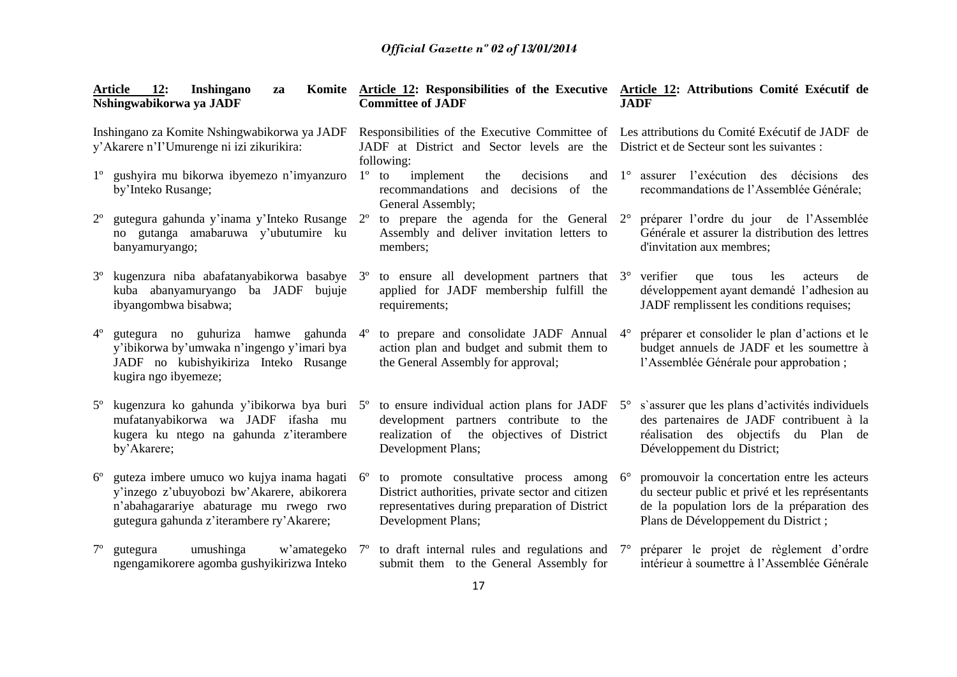|             | <b>12:</b><br>Article<br>Inshingano<br>za<br>Nshingwabikorwa ya JADF                                                                                                           |             | Komite Article 12: Responsibilities of the Executive Article 12: Attributions Comité Exécutif de<br><b>Committee of JADF</b>                                                                          |             | <b>JADF</b>                                                                                                                                                                           |
|-------------|--------------------------------------------------------------------------------------------------------------------------------------------------------------------------------|-------------|-------------------------------------------------------------------------------------------------------------------------------------------------------------------------------------------------------|-------------|---------------------------------------------------------------------------------------------------------------------------------------------------------------------------------------|
|             | Inshingano za Komite Nshingwabikorwa ya JADF<br>y'Akarere n'l'Umurenge ni izi zikurikira:                                                                                      |             | Responsibilities of the Executive Committee of Les attributions du Comité Exécutif de JADF de<br>JADF at District and Sector levels are the District et de Secteur sont les suivantes :<br>following: |             |                                                                                                                                                                                       |
| $1^{\circ}$ | gushyira mu bikorwa ibyemezo n'imyanzuro<br>by'Inteko Rusange;                                                                                                                 |             | implement<br>$1^{\circ}$ to<br>decisions<br>the<br>and<br>recommandations<br>and<br>decisions of<br>the<br>General Assembly;                                                                          | $1^{\circ}$ | assurer l'exécution des décisions<br>des<br>recommandations de l'Assemblée Générale;                                                                                                  |
| $2^{\circ}$ | gutegura gahunda y'inama y'Inteko Rusange<br>no gutanga amabaruwa y'ubutumire ku<br>banyamuryango;                                                                             | $2^{\circ}$ | to prepare the agenda for the General<br>Assembly and deliver invitation letters to<br>members;                                                                                                       | $2^{\circ}$ | préparer l'ordre du jour de l'Assemblée<br>Générale et assurer la distribution des lettres<br>d'invitation aux membres;                                                               |
|             | kugenzura niba abafatanyabikorwa basabye 3°<br>kuba abanyamuryango ba JADF<br>bujuje<br>ibyangombwa bisabwa;                                                                   |             | to ensure all development partners that $3^\circ$<br>applied for JADF membership fulfill the<br>requirements;                                                                                         |             | verifier<br>que<br>les<br>tous<br>acteurs<br>de<br>développement ayant demandé l'adhesion au<br>JADF remplissent les conditions requises;                                             |
| $4^{\circ}$ | gutegura no guhuriza hamwe gahunda 4°<br>y'ibikorwa by'umwaka n'ingengo y'imari bya<br>JADF no kubishyikiriza Inteko Rusange<br>kugira ngo ibyemeze;                           |             | to prepare and consolidate JADF Annual<br>action plan and budget and submit them to<br>the General Assembly for approval;                                                                             | $4^{\circ}$ | préparer et consolider le plan d'actions et le<br>budget annuels de JADF et les soumettre à<br>l'Assemblée Générale pour approbation;                                                 |
|             | kugenzura ko gahunda y'ibikorwa bya buri 5 <sup>°</sup><br>mufatanyabikorwa wa JADF ifasha mu<br>kugera ku ntego na gahunda z'iterambere<br>by'Akarere;                        |             | to ensure individual action plans for JADF<br>development partners contribute to the<br>realization of the objectives of District<br>Development Plans;                                               | $5^\circ$   | s'assurer que les plans d'activités individuels<br>des partenaires de JADF contribuent à la<br>réalisation des objectifs du Plan de<br>Développement du District;                     |
| $6^{\circ}$ | guteza imbere umuco wo kujya inama hagati<br>y'inzego z'ubuyobozi bw'Akarere, abikorera<br>n'abahagarariye abaturage mu rwego rwo<br>gutegura gahunda z'iterambere ry'Akarere; | $6^{\circ}$ | to promote consultative process among<br>District authorities, private sector and citizen<br>representatives during preparation of District<br>Development Plans;                                     | $6^{\circ}$ | promouvoir la concertation entre les acteurs<br>du secteur public et privé et les représentants<br>de la population lors de la préparation des<br>Plans de Développement du District; |
| $7^{\circ}$ | umushinga<br>w'amategeko<br>gutegura<br>ngengamikorere agomba gushyikirizwa Inteko                                                                                             | $7^{\circ}$ | to draft internal rules and regulations and<br>submit them to the General Assembly for                                                                                                                | $7^\circ$   | préparer le projet de règlement d'ordre<br>intérieur à soumettre à l'Assemblée Générale                                                                                               |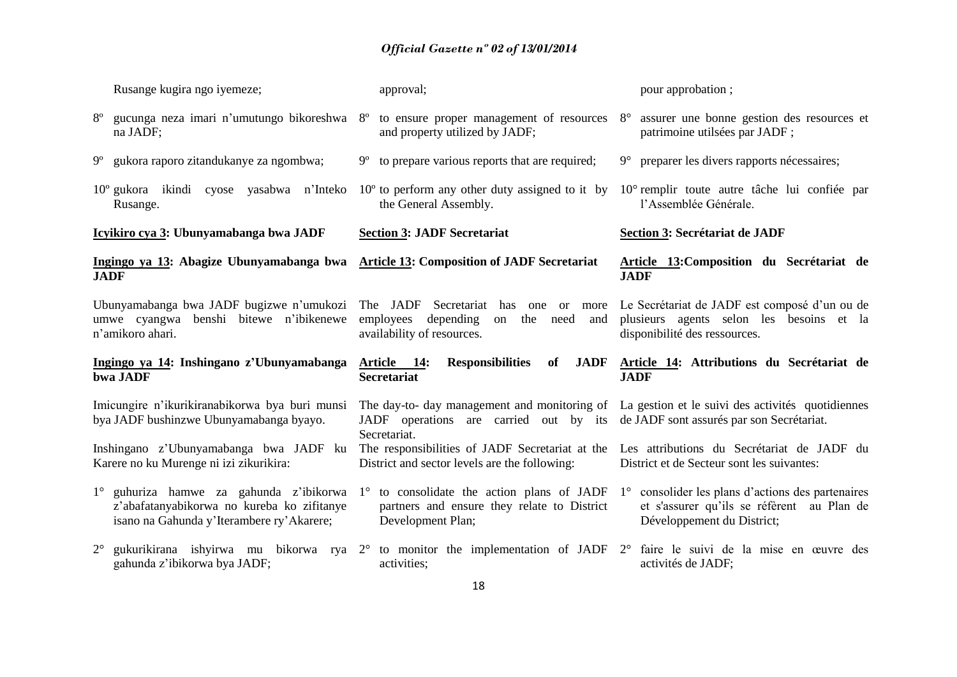|             | Rusange kugira ngo iyemeze;                                                                            | approval;                                                                                                                                                                                          | pour approbation;                                                                                                          |
|-------------|--------------------------------------------------------------------------------------------------------|----------------------------------------------------------------------------------------------------------------------------------------------------------------------------------------------------|----------------------------------------------------------------------------------------------------------------------------|
| $8^{\circ}$ | gucunga neza imari n'umutungo bikoreshwa<br>na JADF;                                                   | to ensure proper management of resources<br>$8^{\circ}$<br>and property utilized by JADF;                                                                                                          | assurer une bonne gestion des resources et<br>$8^{\circ}$<br>patrimoine utilsées par JADF;                                 |
| $9^{\circ}$ | gukora raporo zitandukanye za ngombwa;                                                                 | to prepare various reports that are required;<br>9°                                                                                                                                                | preparer les divers rapports nécessaires;<br>$9^{\circ}$                                                                   |
|             | 10° gukora ikindi cyose yasabwa n'Inteko<br>Rusange.                                                   | $10^{\circ}$ to perform any other duty assigned to it by<br>the General Assembly.                                                                                                                  | 10° remplir toute autre tâche lui confiée par<br>l'Assemblée Générale.                                                     |
|             | Icyikiro cya 3: Ubunyamabanga bwa JADF                                                                 | <b>Section 3: JADF Secretariat</b>                                                                                                                                                                 | Section 3: Secrétariat de JADF                                                                                             |
| <b>JADF</b> | Ingingo ya 13: Abagize Ubunyamabanga bwa                                                               | <b>Article 13: Composition of JADF Secretariat</b>                                                                                                                                                 | Article 13: Composition du Secrétariat de<br><b>JADF</b>                                                                   |
|             | Ubunyamabanga bwa JADF bugizwe n'umukozi<br>umwe cyangwa benshi bitewe n'ibikenewe<br>n'amikoro ahari. | The JADF Secretariat<br>has<br>one<br><sub>or</sub><br>more<br>depending<br>employees<br>the<br>on<br>need<br>and<br>availability of resources.                                                    | Le Secrétariat de JADF est composé d'un ou de<br>plusieurs agents selon les besoins et la<br>disponibilité des ressources. |
|             | Ingingo ya 14: Inshingano z'Ubunyamabanga<br>bwa JADF                                                  | of<br><b>JADF</b><br>Article 14:<br><b>Responsibilities</b><br><b>Secretariat</b>                                                                                                                  | Article 14: Attributions du Secrétariat de<br><b>JADF</b>                                                                  |
|             | Imicungire n'ikurikiranabikorwa bya buri munsi<br>bya JADF bushinzwe Ubunyamabanga byayo.              | The day-to- day management and monitoring of La gestion et le suivi des activités quotidiennes<br>JADF operations are carried out by its de JADF sont assurés par son Secrétariat.<br>Secretariat. |                                                                                                                            |
|             | Inshingano z'Ubunyamabanga bwa JADF ku<br>Karere no ku Murenge ni izi zikurikira:                      | The responsibilities of JADF Secretariat at the Les attributions du Secrétariat de JADF du<br>District and sector levels are the following:                                                        | District et de Secteur sont les suivantes:                                                                                 |
|             | 1° guhuriza hamwe za gahunda z'ibikorwa<br>z'abafatanyabikorwa no kureba ko zifitanye                  | $1^{\circ}$ to consolidate the action plans of JADF $1^{\circ}$<br>partners and ensure they relate to District                                                                                     | consolider les plans d'actions des partenaires<br>et s'assurer qu'ils se réfèrent au Plan de                               |
|             | isano na Gahunda y'Iterambere ry'Akarere;                                                              | Development Plan;                                                                                                                                                                                  | Développement du District;                                                                                                 |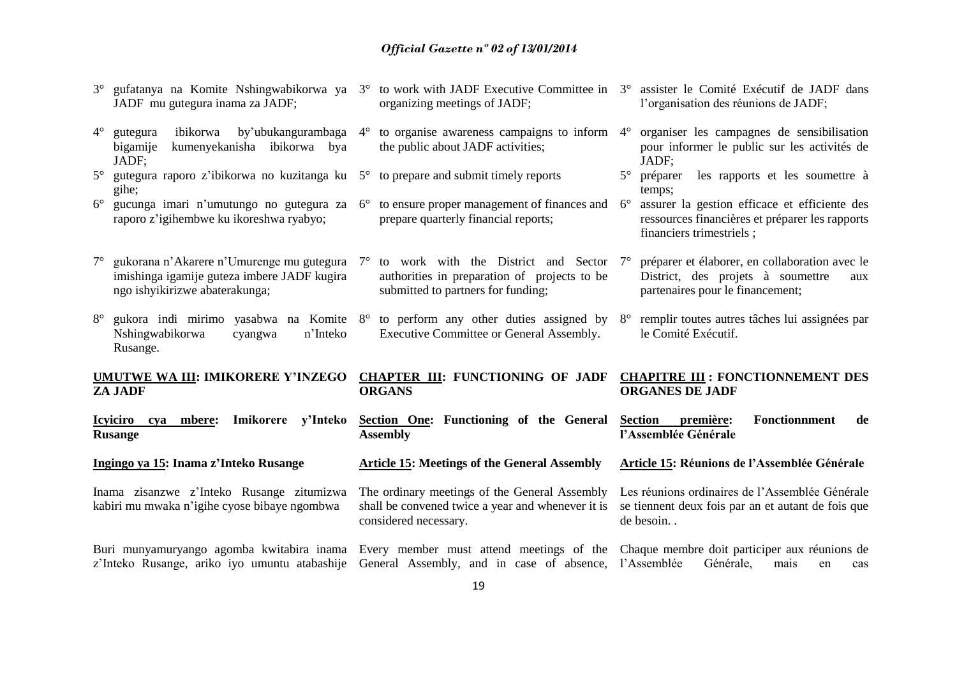| JADF mu gutegura inama za JADF;                                                           | gufatanya na Komite Nshingwabikorwa ya 3°                                                   | to work with JADF Executive Committee in 3°<br>organizing meetings of JADF;                                                                                                                                                             |             | assister le Comité Exécutif de JADF dans<br>l'organisation des réunions de JADF;                                               |
|-------------------------------------------------------------------------------------------|---------------------------------------------------------------------------------------------|-----------------------------------------------------------------------------------------------------------------------------------------------------------------------------------------------------------------------------------------|-------------|--------------------------------------------------------------------------------------------------------------------------------|
| $4^{\circ}$<br>gutegura<br>bigamije<br>JADF;                                              | ibikorwa by'ubukangurambaga 4°<br>kumenyekanisha ibikorwa bya                               | to organise awareness campaigns to inform 4°<br>the public about JADF activities;                                                                                                                                                       |             | organiser les campagnes de sensibilisation<br>pour informer le public sur les activités de<br>JADF;                            |
| $5^{\circ}$<br>gihe;                                                                      |                                                                                             | gutegura raporo z'ibikorwa no kuzitanga ku $5^{\circ}$ to prepare and submit timely reports                                                                                                                                             | $5^\circ$   | les rapports et les soumettre à<br>préparer<br>temps;                                                                          |
| $6^{\circ}$<br>raporo z'igihembwe ku ikoreshwa ryabyo;                                    |                                                                                             | gucunga imari n'umutungo no gutegura za $6^{\circ}$ to ensure proper management of finances and<br>prepare quarterly financial reports;                                                                                                 | $6^{\circ}$ | assurer la gestion efficace et efficiente des<br>ressources financières et préparer les rapports<br>financiers trimestriels;   |
| $7^{\circ}$<br>ngo ishyikirizwe abaterakunga;                                             | gukorana n'Akarere n'Umurenge mu gutegura 7°<br>imishinga igamije guteza imbere JADF kugira | to work with the District and Sector<br>authorities in preparation of projects to be<br>submitted to partners for funding;                                                                                                              | $7^{\circ}$ | préparer et élaborer, en collaboration avec le<br>District, des projets à soumettre<br>aux<br>partenaires pour le financement; |
| $8^{\circ}$<br>Nshingwabikorwa<br>Rusange.                                                | n'Inteko<br>cyangwa                                                                         | gukora indi mirimo yasabwa na Komite $8^{\circ}$ to perform any other duties assigned by $8^{\circ}$<br>Executive Committee or General Assembly.                                                                                        |             | remplir toutes autres tâches lui assignées par<br>le Comité Exécutif.                                                          |
| <b>UMUTWE WA III: IMIKORERE Y'INZEGO</b><br><b>ZA JADF</b>                                |                                                                                             | <b>CHAPTER III: FUNCTIONING OF JADF</b><br><b>ORGANS</b>                                                                                                                                                                                |             | <b>CHAPITRE III : FONCTIONNEMENT DES</b><br><b>ORGANES DE JADF</b>                                                             |
| Icyiciro cya mbere:<br><b>Rusange</b>                                                     | y'Inteko<br>Imikorere                                                                       | Section One: Functioning of the General<br><b>Assembly</b>                                                                                                                                                                              |             | Section première:<br>Fonctionnment<br>de<br>l'Assemblée Générale                                                               |
| Ingingo ya 15: Inama z'Inteko Rusange                                                     |                                                                                             | <b>Article 15: Meetings of the General Assembly</b>                                                                                                                                                                                     |             | Article 15: Réunions de l'Assemblée Générale                                                                                   |
| Inama zisanzwe z'Inteko Rusange zitumizwa<br>kabiri mu mwaka n'igihe cyose bibaye ngombwa |                                                                                             | The ordinary meetings of the General Assembly<br>shall be convened twice a year and whenever it is<br>considered necessary.                                                                                                             |             | Les réunions ordinaires de l'Assemblée Générale<br>se tiennent deux fois par an et autant de fois que<br>de besoin             |
|                                                                                           |                                                                                             | Buri munyamuryango agomba kwitabira inama Every member must attend meetings of the Chaque membre doit participer aux réunions de<br>z'Inteko Rusange, ariko iyo umuntu atabashije General Assembly, and in case of absence, l'Assemblée |             | Générale,<br>mais<br>cas<br>en                                                                                                 |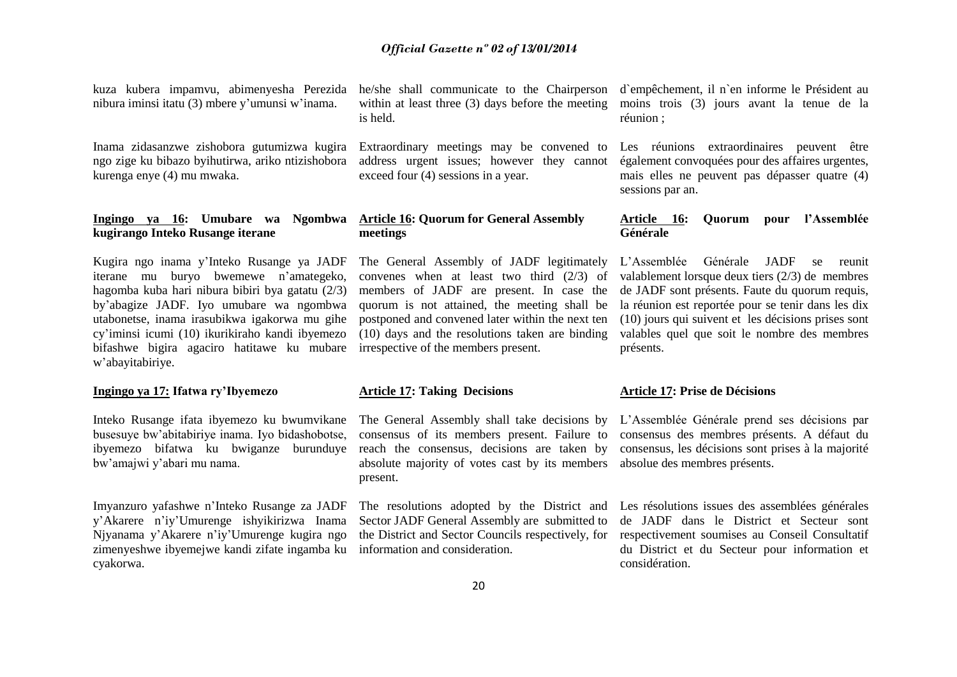kuza kubera impamvu, abimenyesha Perezida nibura iminsi itatu (3) mbere y'umunsi w'inama.

Inama zidasanzwe zishobora gutumizwa kugira ngo zige ku bibazo byihutirwa, ariko ntizishobora kurenga enye (4) mu mwaka.

#### **Ingingo ya 16: Umubare wa Ngombwa kugirango Inteko Rusange iterane**

Kugira ngo inama y'Inteko Rusange ya JADF iterane mu buryo bwemewe n'amategeko, hagomba kuba hari nibura bibiri bya gatatu (2/3) by'abagize JADF. Iyo umubare wa ngombwa utabonetse, inama irasubikwa igakorwa mu gihe cy'iminsi icumi (10) ikurikiraho kandi ibyemezo bifashwe bigira agaciro hatitawe ku mubare w'abayitabiriye.

#### **Ingingo ya 17: Ifatwa ry'Ibyemezo**

Inteko Rusange ifata ibyemezo ku bwumvikane busesuye bw'abitabiriye inama. Iyo bidashobotse, ibyemezo bifatwa ku bwiganze burunduye bw'amajwi y'abari mu nama.

Imyanzuro yafashwe n'Inteko Rusange za JADF y'Akarere n'iy'Umurenge ishyikirizwa Inama Njyanama y'Akarere n'iy'Umurenge kugira ngo zimenyeshwe ibyemejwe kandi zifate ingamba ku cyakorwa.

he/she shall communicate to the Chairperson within at least three (3) days before the meeting is held.

Extraordinary meetings may be convened to address urgent issues; however they cannot exceed four (4) sessions in a year.

#### **Article 16: Quorum for General Assembly meetings**

The General Assembly of JADF legitimately convenes when at least two third (2/3) of members of JADF are present. In case the quorum is not attained, the meeting shall be postponed and convened later within the next ten (10) days and the resolutions taken are binding irrespective of the members present.

#### **Article 17: Taking Decisions**

The General Assembly shall take decisions by consensus of its members present. Failure to reach the consensus, decisions are taken by absolute majority of votes cast by its members present.

Sector JADF General Assembly are submitted to the District and Sector Councils respectively, for information and consideration.

d`empêchement, il n`en informe le Président au moins trois (3) jours avant la tenue de la réunion ;

Les réunions extraordinaires peuvent être également convoquées pour des affaires urgentes, mais elles ne peuvent pas dépasser quatre (4) sessions par an.

#### **Article 16: Quorum pour l'Assemblée Générale**

L'Assemblée Générale JADF se reunit valablement lorsque deux tiers (2/3) de membres de JADF sont présents. Faute du quorum requis, la réunion est reportée pour se tenir dans les dix (10) jours qui suivent et les décisions prises sont valables quel que soit le nombre des membres présents.

#### **Article 17: Prise de Décisions**

L'Assemblée Générale prend ses décisions par consensus des membres présents. A défaut du consensus, les décisions sont prises à la majorité absolue des membres présents.

The resolutions adopted by the District and Les résolutions issues des assemblées générales de JADF dans le District et Secteur sont respectivement soumises au Conseil Consultatif du District et du Secteur pour information et considération.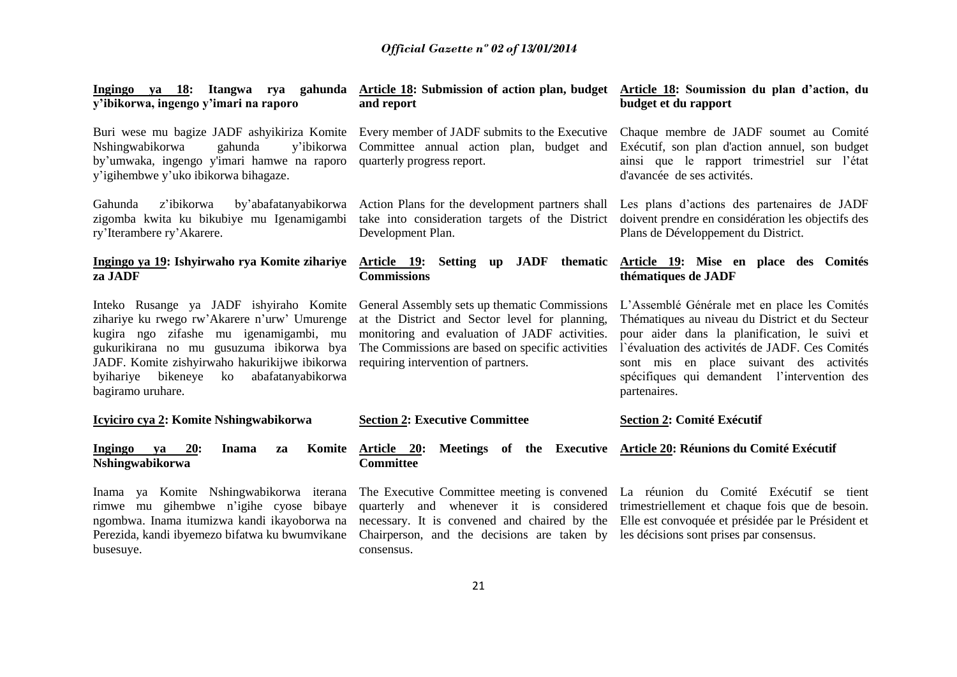| Ingingo ya 18: Itangwa rya gahunda<br>y'ibikorwa, ingengo y'imari na raporo                                                                                                                                                                                                                             | Article 18: Submission of action plan, budget<br>and report                                                                                                                                                                                                                                 | Article 18: Soumission du plan d'action, du<br>budget et du rapport                                                                                                                                                                                                                                            |
|---------------------------------------------------------------------------------------------------------------------------------------------------------------------------------------------------------------------------------------------------------------------------------------------------------|---------------------------------------------------------------------------------------------------------------------------------------------------------------------------------------------------------------------------------------------------------------------------------------------|----------------------------------------------------------------------------------------------------------------------------------------------------------------------------------------------------------------------------------------------------------------------------------------------------------------|
| Buri wese mu bagize JADF ashyikiriza Komite Every member of JADF submits to the Executive<br>Nshingwabikorwa<br>gahunda<br>y'ibikorwa<br>by'umwaka, ingengo y'imari hamwe na raporo<br>y'igihembwe y'uko ibikorwa bihagaze.                                                                             | Committee annual action plan, budget and<br>quarterly progress report.                                                                                                                                                                                                                      | Chaque membre de JADF soumet au Comité<br>Exécutif, son plan d'action annuel, son budget<br>ainsi que le rapport trimestriel sur l'état<br>d'avancée de ses activités.                                                                                                                                         |
| Gahunda<br>z'ibikorwa<br>by'abafatanyabikorwa<br>zigomba kwita ku bikubiye mu Igenamigambi<br>ry'Iterambere ry'Akarere.                                                                                                                                                                                 | Action Plans for the development partners shall Les plans d'actions des partenaires de JADF<br>take into consideration targets of the District<br>Development Plan.                                                                                                                         | doivent prendre en considération les objectifs des<br>Plans de Développement du District.                                                                                                                                                                                                                      |
| Ingingo ya 19: Ishyirwaho rya Komite zihariye<br>za JADF                                                                                                                                                                                                                                                | JADF thematic<br>Article 19: Setting up<br><b>Commissions</b>                                                                                                                                                                                                                               | Article 19: Mise en place des Comités<br>thématiques de JADF                                                                                                                                                                                                                                                   |
| Inteko Rusange ya JADF ishyiraho Komite<br>zihariye ku rwego rw'Akarere n'urw' Umurenge<br>kugira ngo zifashe mu igenamigambi, mu<br>gukurikirana no mu gusuzuma ibikorwa bya<br>JADF. Komite zishyirwaho hakurikijwe ibikorwa<br>abafatanyabikorwa<br>bikeneye<br>byihariye<br>ko<br>bagiramo uruhare. | General Assembly sets up thematic Commissions<br>at the District and Sector level for planning,<br>monitoring and evaluation of JADF activities.<br>The Commissions are based on specific activities<br>requiring intervention of partners.                                                 | L'Assemblé Générale met en place les Comités<br>Thématiques au niveau du District et du Secteur<br>pour aider dans la planification, le suivi et<br>l'évaluation des activités de JADF. Ces Comités<br>sont mis en place suivant des activités<br>spécifiques qui demandent l'intervention des<br>partenaires. |
| Icyiciro cya 2: Komite Nshingwabikorwa                                                                                                                                                                                                                                                                  | <b>Section 2: Executive Committee</b>                                                                                                                                                                                                                                                       | <b>Section 2: Comité Exécutif</b>                                                                                                                                                                                                                                                                              |
| 20:<br><b>Ingingo</b><br>Komite<br>Inama<br>ya<br>za<br>Nshingwabikorwa                                                                                                                                                                                                                                 | Article 20:<br><b>Committee</b>                                                                                                                                                                                                                                                             | Meetings of the Executive Article 20: Réunions du Comité Exécutif                                                                                                                                                                                                                                              |
| Inama ya Komite Nshingwabikorwa iterana<br>rimwe mu gihembwe n'igihe cyose bibaye<br>ngombwa. Inama itumizwa kandi ikayoborwa na<br>Perezida, kandi ibyemezo bifatwa ku bwumvikane<br>busesuye.                                                                                                         | The Executive Committee meeting is convened La réunion du Comité Exécutif se tient<br>necessary. It is convened and chaired by the Elle est convoquée et présidée par le Président et<br>Chairperson, and the decisions are taken by les décisions sont prises par consensus.<br>consensus. | quarterly and whenever it is considered trimestriellement et chaque fois que de besoin.                                                                                                                                                                                                                        |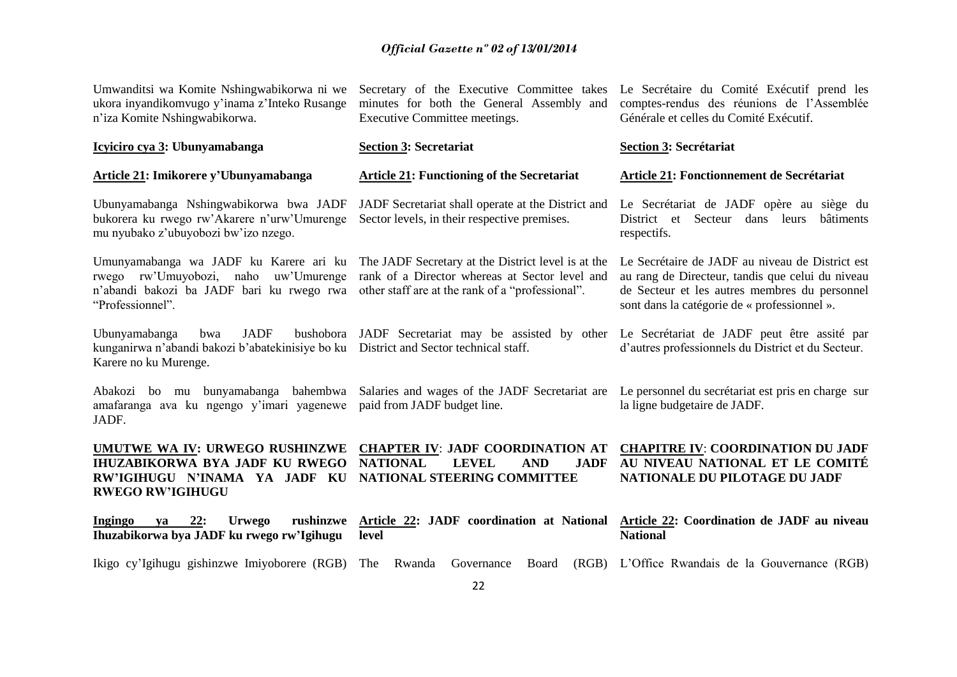| Umwanditsi wa Komite Nshingwabikorwa ni we<br>ukora inyandikomvugo y'inama z'Inteko Rusange<br>n'iza Komite Nshingwabikorwa.                                       | Secretary of the Executive Committee takes<br>minutes for both the General Assembly and<br>Executive Committee meetings.                                 | Le Secrétaire du Comité Exécutif prend les<br>comptes-rendus des réunions de l'Assemblée<br>Générale et celles du Comité Exécutif.                                                                   |
|--------------------------------------------------------------------------------------------------------------------------------------------------------------------|----------------------------------------------------------------------------------------------------------------------------------------------------------|------------------------------------------------------------------------------------------------------------------------------------------------------------------------------------------------------|
| Icyiciro cya 3: Ubunyamabanga                                                                                                                                      | <b>Section 3: Secretariat</b>                                                                                                                            | Section 3: Secrétariat                                                                                                                                                                               |
| <b>Article 21: Imikorere y'Ubunyamabanga</b>                                                                                                                       | <b>Article 21: Functioning of the Secretariat</b>                                                                                                        | Article 21: Fonctionnement de Secrétariat                                                                                                                                                            |
| Ubunyamabanga Nshingwabikorwa bwa JADF<br>bukorera ku rwego rw'Akarere n'urw'Umurenge<br>mu nyubako z'ubuyobozi bw'izo nzego.                                      | JADF Secretariat shall operate at the District and<br>Sector levels, in their respective premises.                                                       | Le Secrétariat de JADF opère au siège du<br>District et Secteur<br>dans leurs<br>bâtiments<br>respectifs.                                                                                            |
| Umunyamabanga wa JADF ku Karere ari ku<br>rwego rw'Umuyobozi, naho uw'Umurenge<br>n'abandi bakozi ba JADF bari ku rwego rwa<br>"Professionnel".                    | The JADF Secretary at the District level is at the<br>rank of a Director whereas at Sector level and<br>other staff are at the rank of a "professional". | Le Secrétaire de JADF au niveau de District est<br>au rang de Directeur, tandis que celui du niveau<br>de Secteur et les autres membres du personnel<br>sont dans la catégorie de « professionnel ». |
| <b>JADF</b><br>Ubunyamabanga<br>bushobora<br>bwa<br>kunganirwa n'abandi bakozi b'abatekinisiye bo ku District and Sector technical staff.<br>Karere no ku Murenge. | JADF Secretariat may be assisted by other                                                                                                                | Le Secrétariat de JADF peut être assité par<br>d'autres professionnels du District et du Secteur.                                                                                                    |
| Abakozi bo mu bunyamabanga bahembwa<br>amafaranga ava ku ngengo y'imari yagenewe<br>JADF.                                                                          | Salaries and wages of the JADF Secretariat are<br>paid from JADF budget line.                                                                            | Le personnel du secrétariat est pris en charge sur<br>la ligne budgetaire de JADF.                                                                                                                   |
| UMUTWE WA IV: URWEGO RUSHINZWE<br><b>IHUZABIKORWA BYA JADF KU RWEGO</b><br>RW'IGIHUGU N'INAMA YA JADF KU<br><b>RWEGO RW'IGIHUGU</b>                                | <b>CHAPTER IV: JADF COORDINATION AT</b><br><b>NATIONAL</b><br><b>LEVEL</b><br><b>AND</b><br><b>JADF</b><br>NATIONAL STEERING COMMITTEE                   | <b>CHAPITRE IV: COORDINATION DU JADF</b><br>AU NIVEAU NATIONAL ET LE COMITÉ<br>NATIONALE DU PILOTAGE DU JADF                                                                                         |
| Ingingo<br><b>Urwego</b><br>rushinzwe<br>22:<br>va<br>Ihuzabikorwa bya JADF ku rwego rw'Igihugu                                                                    | Article 22: JADF coordination at National<br>level                                                                                                       | Article 22: Coordination de JADF au niveau<br><b>National</b>                                                                                                                                        |
| Ikigo cy'Igihugu gishinzwe Imiyoborere (RGB)                                                                                                                       | The<br>Rwanda<br>Governance<br>Board                                                                                                                     | (RGB) L'Office Rwandais de la Gouvernance (RGB)                                                                                                                                                      |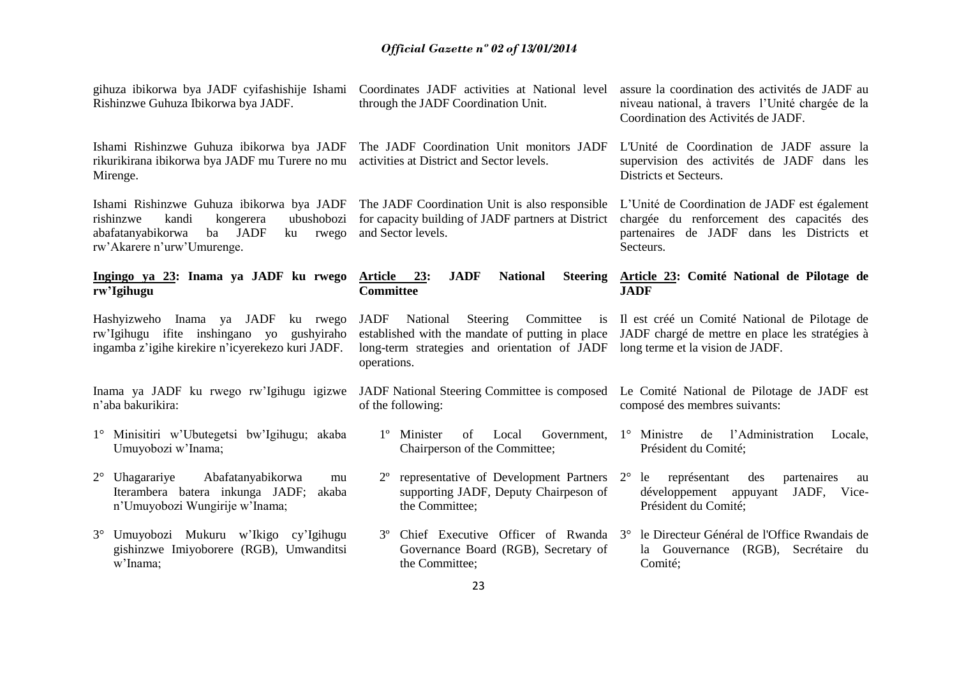| gihuza ibikorwa bya JADF cyifashishije Ishami<br>Rishinzwe Guhuza Ibikorwa bya JADF.                                                                                              | Coordinates JADF activities at National level<br>through the JADF Coordination Unit.                                                                               | assure la coordination des activités de JADF au<br>niveau national, à travers l'Unité chargée de la<br>Coordination des Activités de JADF.           |
|-----------------------------------------------------------------------------------------------------------------------------------------------------------------------------------|--------------------------------------------------------------------------------------------------------------------------------------------------------------------|------------------------------------------------------------------------------------------------------------------------------------------------------|
| Ishami Rishinzwe Guhuza ibikorwa bya JADF<br>rikurikirana ibikorwa bya JADF mu Turere no mu<br>Mirenge.                                                                           | The JADF Coordination Unit monitors JADF<br>activities at District and Sector levels.                                                                              | L'Unité de Coordination de JADF assure la<br>supervision des activités de JADF dans les<br>Districts et Secteurs.                                    |
| Ishami Rishinzwe Guhuza ibikorwa bya JADF<br>rishinzwe<br>kandi<br>ubushobozi<br>kongerera<br>abafatanyabikorwa<br>ba<br><b>JADF</b><br>rwego<br>ku<br>rw'Akarere n'urw'Umurenge. | The JADF Coordination Unit is also responsible<br>for capacity building of JADF partners at District<br>and Sector levels.                                         | L'Unité de Coordination de JADF est également<br>chargée du renforcement des capacités des<br>partenaires de JADF dans les Districts et<br>Secteurs. |
| Ingingo ya 23: Inama ya JADF ku rwego<br>rw'Igihugu                                                                                                                               | <b>JADF</b><br><b>National</b><br>Article 23:<br><b>Steering</b><br><b>Committee</b>                                                                               | Article 23: Comité National de Pilotage de<br><b>JADF</b>                                                                                            |
| Hashyizweho Inama ya JADF<br>ku rwego<br>rw'Igihugu ifite inshingano yo<br>gushyiraho<br>ingamba z'igihe kirekire n'icyerekezo kuri JADF.                                         | JADF<br>National<br>Steering<br>Committee<br>is<br>established with the mandate of putting in place<br>long-term strategies and orientation of JADF<br>operations. | Il est créé un Comité National de Pilotage de<br>JADF chargé de mettre en place les stratégies à<br>long terme et la vision de JADF.                 |
| Inama ya JADF ku rwego rw'Igihugu igizwe<br>n'aba bakurikira:                                                                                                                     | JADF National Steering Committee is composed<br>of the following:                                                                                                  | Le Comité National de Pilotage de JADF est<br>composé des membres suivants:                                                                          |
| 1° Minisitiri w'Ubutegetsi bw'Igihugu; akaba<br>Umuyobozi w'Inama;                                                                                                                | 1 <sup>°</sup> Minister<br>of<br>Local<br>Government, $1^\circ$ Ministre<br>Chairperson of the Committee;                                                          | l'Administration<br>de<br>Locale,<br>Président du Comité;                                                                                            |
| $2^{\circ}$<br>Uhagarariye<br>Abafatanyabikorwa<br>mu<br>Iterambera batera inkunga JADF;<br>akaba<br>n'Umuyobozi Wungirije w'Inama;                                               | $2^{\circ}$<br>representative of Development Partners 2°<br>supporting JADF, Deputy Chairpeson of<br>the Committee;                                                | représentant<br>le<br>des<br>partenaires<br>au<br>développement<br>appuyant<br>JADF,<br>Vice-<br>Président du Comité;                                |
| 3° Umuyobozi Mukuru w'Ikigo cy'Igihugu<br>gishinzwe Imiyoborere (RGB), Umwanditsi<br>w'Inama;                                                                                     | Chief Executive Officer of Rwanda 3°<br>Governance Board (RGB), Secretary of<br>the Committee;                                                                     | le Directeur Général de l'Office Rwandais de<br>(RGB), Secrétaire du<br>la Gouvernance<br>Comité;                                                    |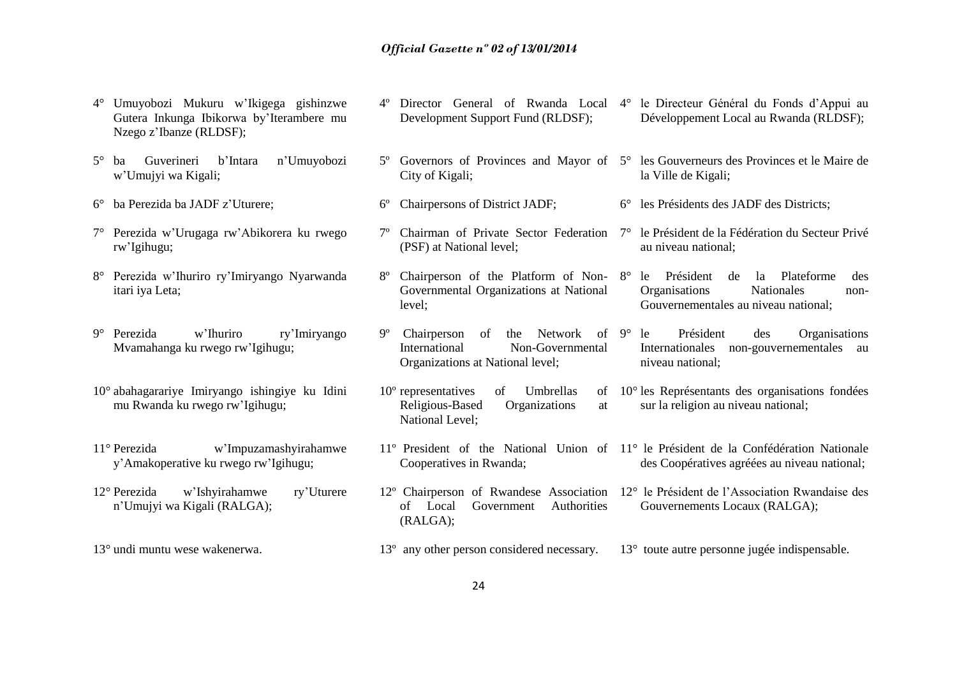- 4° Umuyobozi Mukuru w'Ikigega gishinzwe Gutera Inkunga Ibikorwa by'Iterambere mu Nzego z'Ibanze (RLDSF);
- 5° ba Guverineri b'Intara n'Umuyobozi w'Umujyi wa Kigali;
- 6° ba Perezida ba JADF z'Uturere;
- 7° Perezida w'Urugaga rw'Abikorera ku rwego rw'Igihugu;
- 8° Perezida w'Ihuriro ry'Imiryango Nyarwanda itari iya Leta;
- 9° Perezida w'Ihuriro ry'Imiryango Mvamahanga ku rwego rw'Igihugu;
- 10° abahagarariye Imiryango ishingiye ku Idini mu Rwanda ku rwego rw'Igihugu;
- 11° Perezida w'Impuzamashyirahamwe y'Amakoperative ku rwego rw'Igihugu;
- 12° Perezida w'Ishyirahamwe ry'Uturere n'Umujyi wa Kigali (RALGA);
- 13° undi muntu wese wakenerwa.
- 4º Director General of Rwanda Local 4° le Directeur Général du Fonds d'Appui au Development Support Fund (RLDSF); Développement Local au Rwanda (RLDSF);
- 5º Governors of Provinces and Mayor of 5° les Gouverneurs des Provinces et le Maire de City of Kigali; la Ville de Kigali;

Président des Organisations

Internationales non-gouvernementales au

des Coopératives agréées au niveau national;

sur la religion au niveau national;

Gouvernements Locaux (RALGA);

niveau national;

- 6º Chairpersons of District JADF; 6° les Présidents des JADF des Districts;
- 7º Chairman of Private Sector Federation 7° le Président de la Fédération du Secteur Privé (PSF) at National level; au niveau national;
- 8º Chairperson of the Platform of Non-8° le Président de la Plateforme des Governmental Organizations at National level; Organisations Nationales non-Gouvernementales au niveau national;
- Chairperson of the Network of 9° le International Non-Governmental Organizations at National level;
- 10<sup>°</sup> representatives of Umbrellas Religious-Based Organizations at National Level; 10° les Représentants des organisations fondées
- 11º President of the National Union of 11° le Président de la Confédération Nationale Cooperatives in Rwanda;
- 12º Chairperson of Rwandese Association 12° le Président de l'Association Rwandaise des of Local Government Authorities (RALGA);
- 13º any other person considered necessary. 13° toute autre personne jugée indispensable.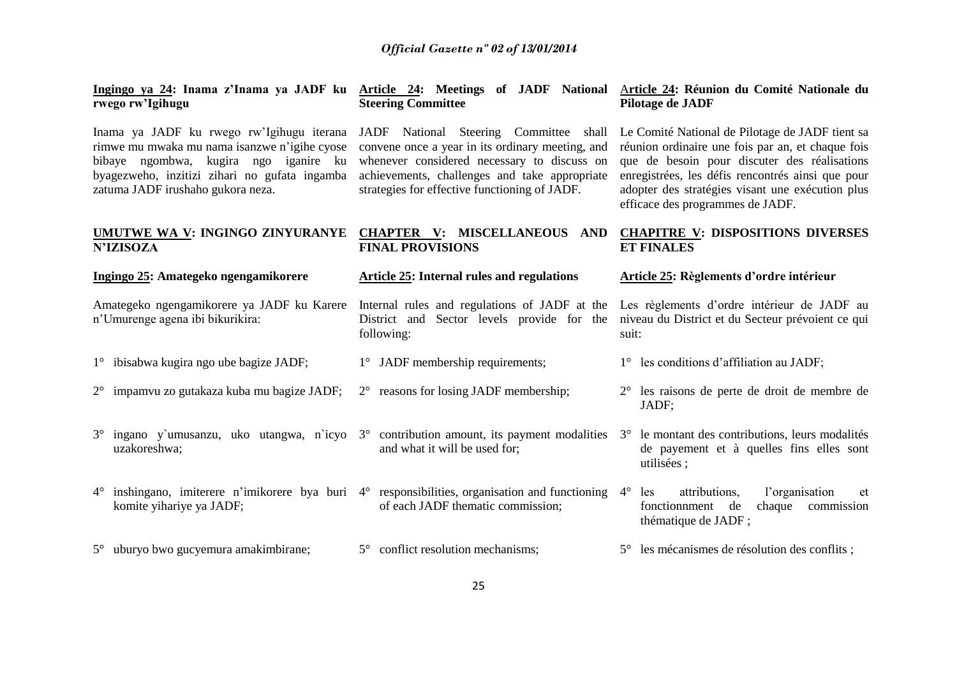| Ingingo ya 24: Inama z'Inama ya JADF ku Article 24: Meetings of JADF National Article 24: Réunion du Comité Nationale du<br>rwego rw'Igihugu                                                                             | <b>Steering Committee</b>                                                                                                                                                                                                                   | Pilotage de JADF                                                                                                                                                                                                                                                                                  |
|--------------------------------------------------------------------------------------------------------------------------------------------------------------------------------------------------------------------------|---------------------------------------------------------------------------------------------------------------------------------------------------------------------------------------------------------------------------------------------|---------------------------------------------------------------------------------------------------------------------------------------------------------------------------------------------------------------------------------------------------------------------------------------------------|
| Inama ya JADF ku rwego rw'Igihugu iterana<br>rimwe mu mwaka mu nama isanzwe n'igihe cyose<br>bibaye ngombwa, kugira ngo iganire ku<br>byagezweho, inzitizi zihari no gufata ingamba<br>zatuma JADF irushaho gukora neza. | JADF National Steering Committee shall<br>convene once a year in its ordinary meeting, and<br>whenever considered necessary to discuss on<br>achievements, challenges and take appropriate<br>strategies for effective functioning of JADF. | Le Comité National de Pilotage de JADF tient sa<br>réunion ordinaire une fois par an, et chaque fois<br>que de besoin pour discuter des réalisations<br>enregistrées, les défis rencontrés ainsi que pour<br>adopter des stratégies visant une exécution plus<br>efficace des programmes de JADF. |
| UMUTWE WA V: INGINGO ZINYURANYE<br><b>N'IZISOZA</b>                                                                                                                                                                      | <b>CHAPTER V: MISCELLANEOUS AND</b><br><b>FINAL PROVISIONS</b>                                                                                                                                                                              | <b>CHAPITRE V: DISPOSITIONS DIVERSES</b><br><b>ET FINALES</b>                                                                                                                                                                                                                                     |
| Ingingo 25: Amategeko ngengamikorere                                                                                                                                                                                     | <b>Article 25: Internal rules and regulations</b>                                                                                                                                                                                           | Article 25: Règlements d'ordre intérieur                                                                                                                                                                                                                                                          |
| Amategeko ngengamikorere ya JADF ku Karere<br>n'Umurenge agena ibi bikurikira:                                                                                                                                           | Internal rules and regulations of JADF at the Les règlements d'ordre intérieur de JADF au<br>District and Sector levels provide for the<br>following:                                                                                       | niveau du District et du Secteur prévoient ce qui<br>suit:                                                                                                                                                                                                                                        |
| 1° ibisabwa kugira ngo ube bagize JADF;                                                                                                                                                                                  | $1^{\circ}$ JADF membership requirements;                                                                                                                                                                                                   | $1^\circ$ les conditions d'affiliation au JADF;                                                                                                                                                                                                                                                   |
| 2° impamvu zo gutakaza kuba mu bagize JADF;                                                                                                                                                                              | $2^{\circ}$ reasons for losing JADF membership;                                                                                                                                                                                             | $2^{\circ}$ les raisons de perte de droit de membre de<br>JADF;                                                                                                                                                                                                                                   |
| $3^{\circ}$ ingano y'umusanzu, uko utangwa, n'icyo $3^{\circ}$ contribution amount, its payment modalities<br>uzakoreshwa;                                                                                               | and what it will be used for;                                                                                                                                                                                                               | le montant des contributions, leurs modalités<br>$3^\circ$<br>de payement et à quelles fins elles sont<br>utilisées ;                                                                                                                                                                             |
| $4^{\circ}$ inshing and solution interest n'imikorere by a buri $4^{\circ}$ responsibilities, organisation and functioning<br>komite yihariye ya JADF;                                                                   | of each JADF thematic commission;                                                                                                                                                                                                           | $4^\circ$<br>attributions,<br>l'organisation<br>les<br>et<br>fonctionnment de<br>chaque commission<br>thématique de JADF;                                                                                                                                                                         |
| 5° uburyo bwo gucyemura amakimbirane;                                                                                                                                                                                    | 5° conflict resolution mechanisms;                                                                                                                                                                                                          | 5° les mécanismes de résolution des conflits;                                                                                                                                                                                                                                                     |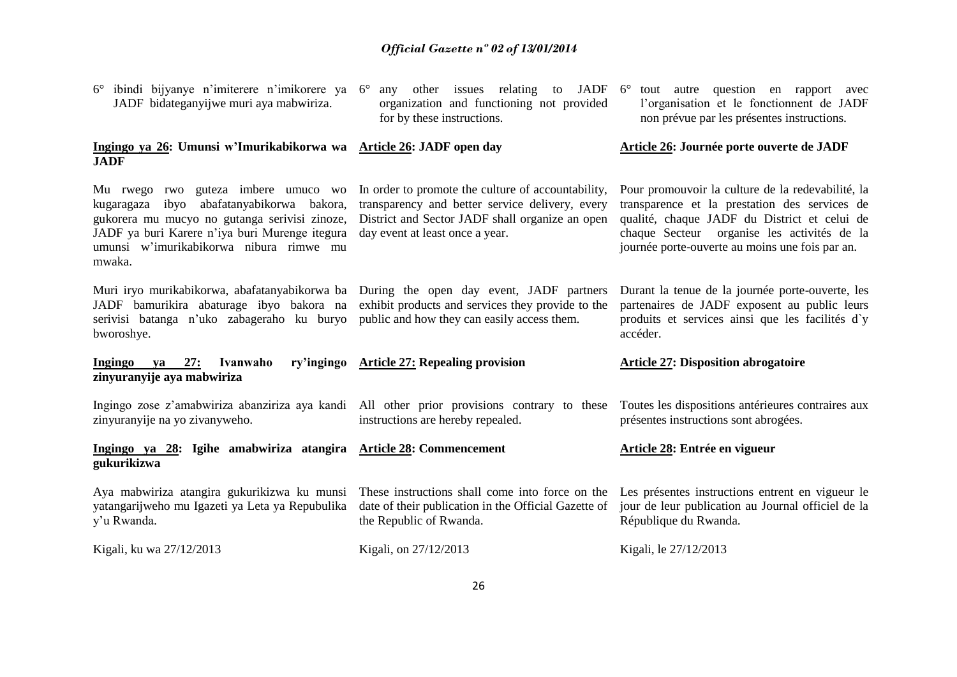| ibindi bijyanye n'imiterere n'imikorere ya 6°<br>JADF bidateganyijwe muri aya mabwiriza.                                                                                                                                                 | organization and functioning not provided<br>for by these instructions.                                                                                                                     | any other issues relating to JADF 6° tout autre question en rapport avec<br>l'organisation et le fonctionnent de JADF<br>non prévue par les présentes instructions.                                                                                  |
|------------------------------------------------------------------------------------------------------------------------------------------------------------------------------------------------------------------------------------------|---------------------------------------------------------------------------------------------------------------------------------------------------------------------------------------------|------------------------------------------------------------------------------------------------------------------------------------------------------------------------------------------------------------------------------------------------------|
| Ingingo ya 26: Umunsi w'Imurikabikorwa wa Article 26: JADF open day<br><b>JADF</b>                                                                                                                                                       |                                                                                                                                                                                             | Article 26: Journée porte ouverte de JADF                                                                                                                                                                                                            |
| Mu rwego rwo guteza imbere umuco wo<br>kugaragaza ibyo abafatanyabikorwa bakora,<br>gukorera mu mucyo no gutanga serivisi zinoze,<br>JADF ya buri Karere n'iya buri Murenge itegura<br>umunsi w'imurikabikorwa nibura rimwe mu<br>mwaka. | In order to promote the culture of accountability,<br>transparency and better service delivery, every<br>District and Sector JADF shall organize an open<br>day event at least once a year. | Pour promouvoir la culture de la redevabilité, la<br>transparence et la prestation des services de<br>qualité, chaque JADF du District et celui de<br>chaque Secteur organise les activités de la<br>journée porte-ouverte au moins une fois par an. |
| Muri iryo murikabikorwa, abafatanyabikorwa ba During the open day event, JADF partners<br>JADF bamurikira abaturage ibyo bakora na<br>serivisi batanga n'uko zabageraho ku buryo<br>bworoshye.                                           | exhibit products and services they provide to the<br>public and how they can easily access them.                                                                                            | Durant la tenue de la journée porte-ouverte, les<br>partenaires de JADF exposent au public leurs<br>produits et services ainsi que les facilités d'y<br>accéder.                                                                                     |
| <b>Ingingo</b><br>27:<br>Ivanwaho<br>va<br>zinyuranyije aya mabwiriza                                                                                                                                                                    | ry'ingingo Article 27: Repealing provision                                                                                                                                                  | <b>Article 27: Disposition abrogatoire</b>                                                                                                                                                                                                           |
| Ingingo zose z'amabwiriza abanziriza aya kandi All other prior provisions contrary to these<br>zinyuranyije na yo zivanyweho.                                                                                                            | instructions are hereby repealed.                                                                                                                                                           | Toutes les dispositions antérieures contraires aux<br>présentes instructions sont abrogées.                                                                                                                                                          |
| Ingingo ya 28: Igihe amabwiriza atangira Article 28: Commencement<br>gukurikizwa                                                                                                                                                         |                                                                                                                                                                                             | Article 28: Entrée en vigueur                                                                                                                                                                                                                        |
| Aya mabwiriza atangira gukurikizwa ku munsi<br>yatangarijweho mu Igazeti ya Leta ya Repubulika<br>y'u Rwanda.                                                                                                                            | These instructions shall come into force on the<br>date of their publication in the Official Gazette of<br>the Republic of Rwanda.                                                          | Les présentes instructions entrent en vigueur le<br>jour de leur publication au Journal officiel de la<br>République du Rwanda.                                                                                                                      |
| Kigali, ku wa 27/12/2013                                                                                                                                                                                                                 | Kigali, on 27/12/2013                                                                                                                                                                       | Kigali, le 27/12/2013                                                                                                                                                                                                                                |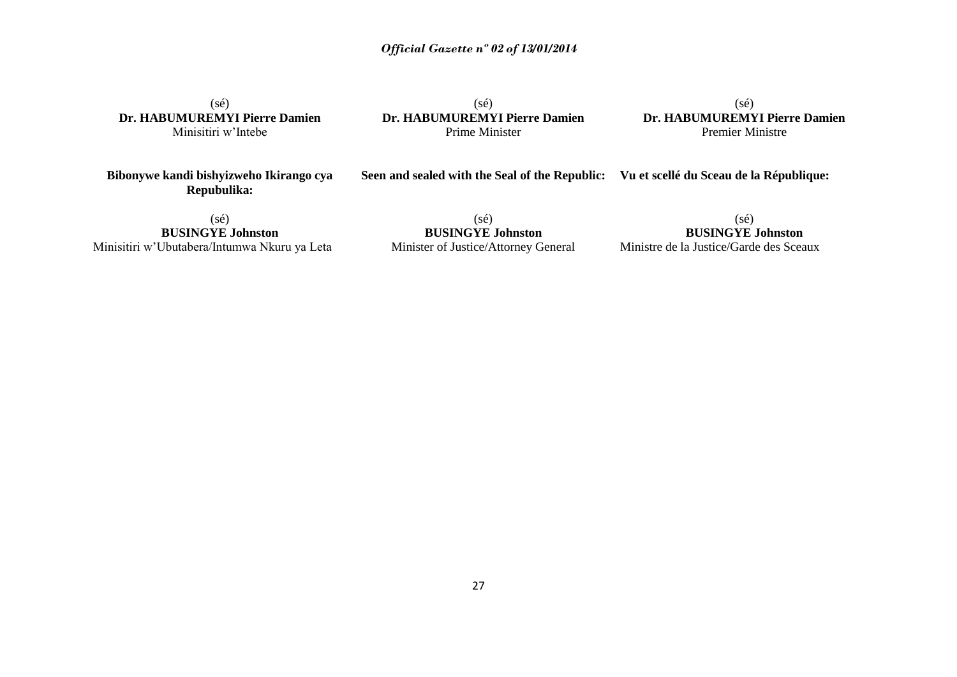(sé) **Dr. HABUMUREMYI Pierre Damien** Minisitiri w'Intebe

(sé) **Dr. HABUMUREMYI Pierre Damien** Prime Minister

(sé) **Dr. HABUMUREMYI Pierre Damien** Premier Ministre

**Bibonywe kandi bishyizweho Ikirango cya Repubulika:**

#### **Seen and sealed with the Seal of the Republic: Vu et scellé du Sceau de la République:**

(sé) **BUSINGYE Johnston** Minisitiri w'Ubutabera/Intumwa Nkuru ya Leta

(sé) **BUSINGYE Johnston** Minister of Justice/Attorney General

(sé) **BUSINGYE Johnston** Ministre de la Justice/Garde des Sceaux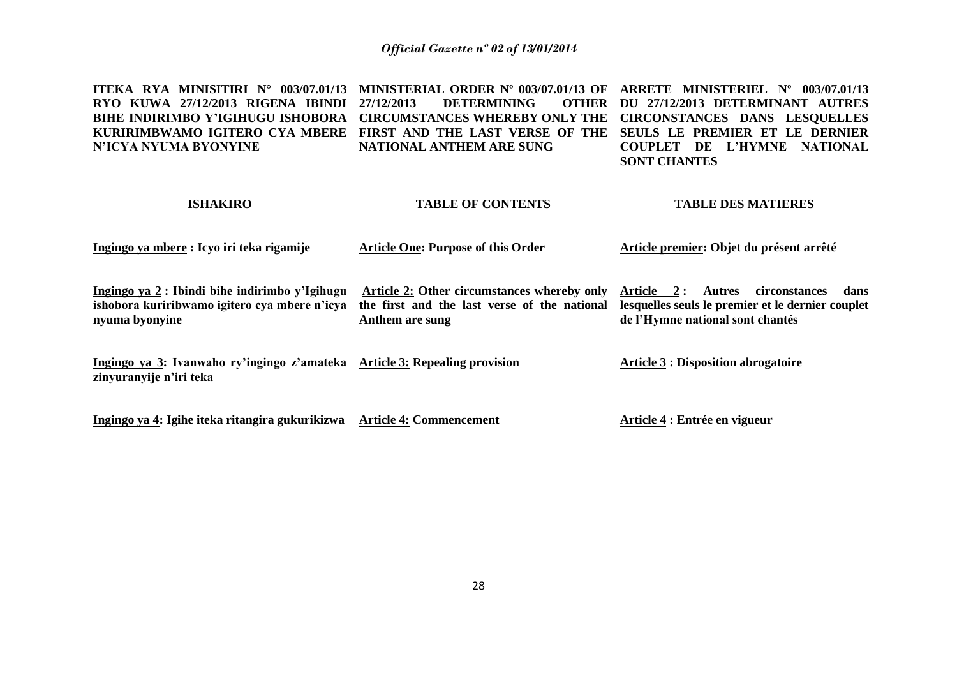| <b>ITEKA RYA MINISITIRI N° 003/07.01/13</b><br>RYO KUWA 27/12/2013 RIGENA IBINDI<br><b>BIHE INDIRIMBO Y'IGIHUGU ISHOBORA</b><br>KURIRIMBWAMO IGITERO CYA MBERE<br>N'ICYA NYUMA BYONYINE | MINISTERIAL ORDER Nº 003/07.01/13 OF<br>27/12/2013<br><b>DETERMINING</b><br><b>OTHER</b><br><b>CIRCUMSTANCES WHEREBY ONLY THE</b><br>FIRST AND THE LAST VERSE OF THE<br>NATIONAL ANTHEM ARE SUNG | ARRETE MINISTERIEL Nº 003/07.01/13<br>DU 27/12/2013 DETERMINANT AUTRES<br><b>CIRCONSTANCES DANS LESOUELLES</b><br>SEULS LE PREMIER ET LE DERNIER<br>L'HYMNE<br><b>NATIONAL</b><br><b>COUPLET</b><br>DE<br><b>SONT CHANTES</b> |
|-----------------------------------------------------------------------------------------------------------------------------------------------------------------------------------------|--------------------------------------------------------------------------------------------------------------------------------------------------------------------------------------------------|-------------------------------------------------------------------------------------------------------------------------------------------------------------------------------------------------------------------------------|
| <b>ISHAKIRO</b>                                                                                                                                                                         | <b>TABLE OF CONTENTS</b>                                                                                                                                                                         | <b>TABLE DES MATIERES</b>                                                                                                                                                                                                     |
| Ingingo ya mbere : Icyo iri teka rigamije                                                                                                                                               | <b>Article One: Purpose of this Order</b>                                                                                                                                                        | Article premier: Objet du présent arrêté                                                                                                                                                                                      |
| Ingingo ya 2 : Ibindi bihe indirimbo y'Igihugu<br>ishobora kuriribwamo igitero cya mbere n'icya<br>nyuma byonyine                                                                       | Article 2: Other circumstances whereby only<br>the first and the last verse of the national<br>Anthem are sung                                                                                   | Article 2:<br>circonstances<br>Autres<br>dans<br>lesquelles seuls le premier et le dernier couplet<br>de l'Hymne national sont chantés                                                                                        |
| Ingingo ya 3: Ivanwaho ry'ingingo z'amateka Article 3: Repealing provision<br>zinyuranyije n'iri teka                                                                                   |                                                                                                                                                                                                  | <b>Article 3 : Disposition abrogatoire</b>                                                                                                                                                                                    |

**Ingingo ya 4: Igihe iteka ritangira gukurikizwa Article 4: Commencement Article 4 : Entrée en vigueur**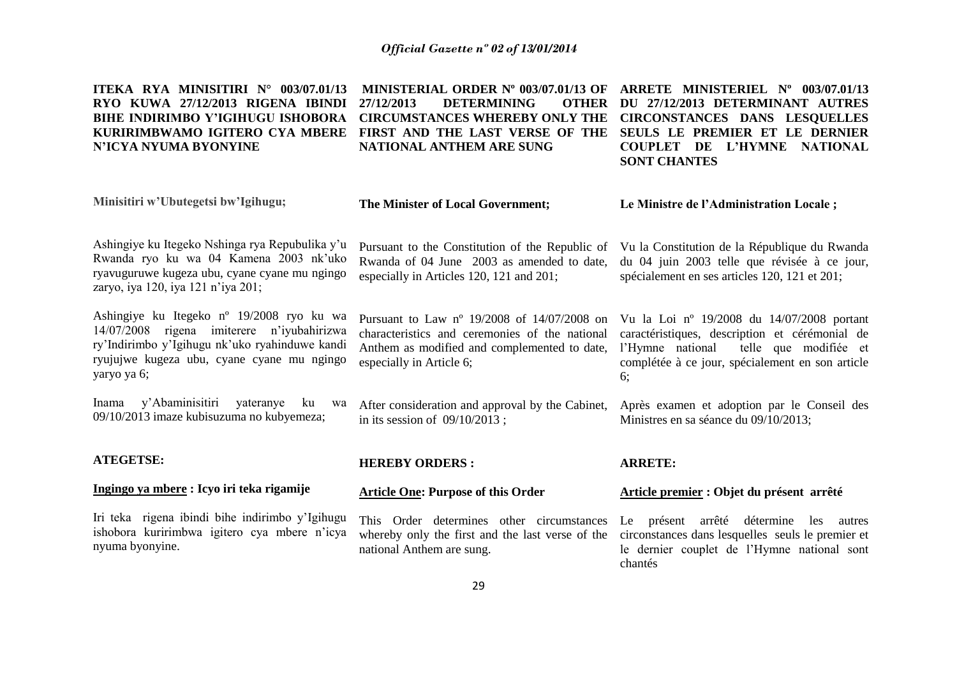| ITEKA RYA MINISITIRI N° 003/07.01/13<br>RYO KUWA 27/12/2013 RIGENA IBINDI<br><b>BIHE INDIRIMBO Y'IGIHUGU ISHOBORA</b><br>KURIRIMBWAMO IGITERO CYA MBERE<br>N'ICYA NYUMA BYONYINE                       | MINISTERIAL ORDER Nº 003/07.01/13 OF<br>27/12/2013<br><b>DETERMINING</b><br><b>OTHER</b><br><b>CIRCUMSTANCES WHEREBY ONLY THE</b><br>FIRST AND THE LAST VERSE OF THE<br>NATIONAL ANTHEM ARE SUNG | ARRETE MINISTERIEL Nº 003/07.01/13<br>DU 27/12/2013 DETERMINANT AUTRES<br><b>CIRCONSTANCES DANS LESQUELLES</b><br>SEULS LE PREMIER ET LE DERNIER<br>COUPLET DE L'HYMNE NATIONAL<br><b>SONT CHANTES</b> |
|--------------------------------------------------------------------------------------------------------------------------------------------------------------------------------------------------------|--------------------------------------------------------------------------------------------------------------------------------------------------------------------------------------------------|--------------------------------------------------------------------------------------------------------------------------------------------------------------------------------------------------------|
| Minisitiri w'Ubutegetsi bw'Igihugu;                                                                                                                                                                    | The Minister of Local Government;                                                                                                                                                                | Le Ministre de l'Administration Locale;                                                                                                                                                                |
| Ashingiye ku Itegeko Nshinga rya Repubulika y'u<br>Rwanda ryo ku wa 04 Kamena 2003 nk'uko<br>ryavuguruwe kugeza ubu, cyane cyane mu ngingo<br>zaryo, iya 120, iya 121 n'iya 201;                       | Pursuant to the Constitution of the Republic of<br>Rwanda of 04 June 2003 as amended to date,<br>especially in Articles 120, 121 and 201;                                                        | Vu la Constitution de la République du Rwanda<br>du 04 juin 2003 telle que révisée à ce jour,<br>spécialement en ses articles 120, 121 et 201;                                                         |
| Ashingiye ku Itegeko nº 19/2008 ryo ku wa<br>14/07/2008 rigena imiterere n'iyubahirizwa<br>ry'Indirimbo y'Igihugu nk'uko ryahinduwe kandi<br>ryujujwe kugeza ubu, cyane cyane mu ngingo<br>yaryo ya 6; | Pursuant to Law nº 19/2008 of 14/07/2008 on<br>characteristics and ceremonies of the national<br>Anthem as modified and complemented to date,<br>especially in Article 6;                        | Vu la Loi nº 19/2008 du 14/07/2008 portant<br>caractéristiques, description et cérémonial de<br>l'Hymne national<br>telle que modifiée et<br>complétée à ce jour, spécialement en son article<br>6:    |
| Inama y'Abaminisitiri<br>yateranye<br>ku<br>wa<br>09/10/2013 imaze kubisuzuma no kubyemeza;                                                                                                            | After consideration and approval by the Cabinet,<br>in its session of $09/10/2013$ ;                                                                                                             | Après examen et adoption par le Conseil des<br>Ministres en sa séance du 09/10/2013;                                                                                                                   |
| <b>ATEGETSE:</b>                                                                                                                                                                                       | <b>HEREBY ORDERS:</b>                                                                                                                                                                            | <b>ARRETE:</b>                                                                                                                                                                                         |
| Ingingo ya mbere: Icyo iri teka rigamije                                                                                                                                                               | <b>Article One: Purpose of this Order</b>                                                                                                                                                        | Article premier : Objet du présent arrêté                                                                                                                                                              |
| Iri teka rigena ibindi bihe indirimbo y'Igihugu<br>ishobora kuririmbwa igitero cya mbere n'icya<br>nyuma byonyine.                                                                                     | This Order determines other circumstances<br>whereby only the first and the last verse of the<br>national Anthem are sung.                                                                       | Le présent arrêté détermine les autres<br>circonstances dans lesquelles seuls le premier et<br>le dernier couplet de l'Hymne national sont<br>chantés                                                  |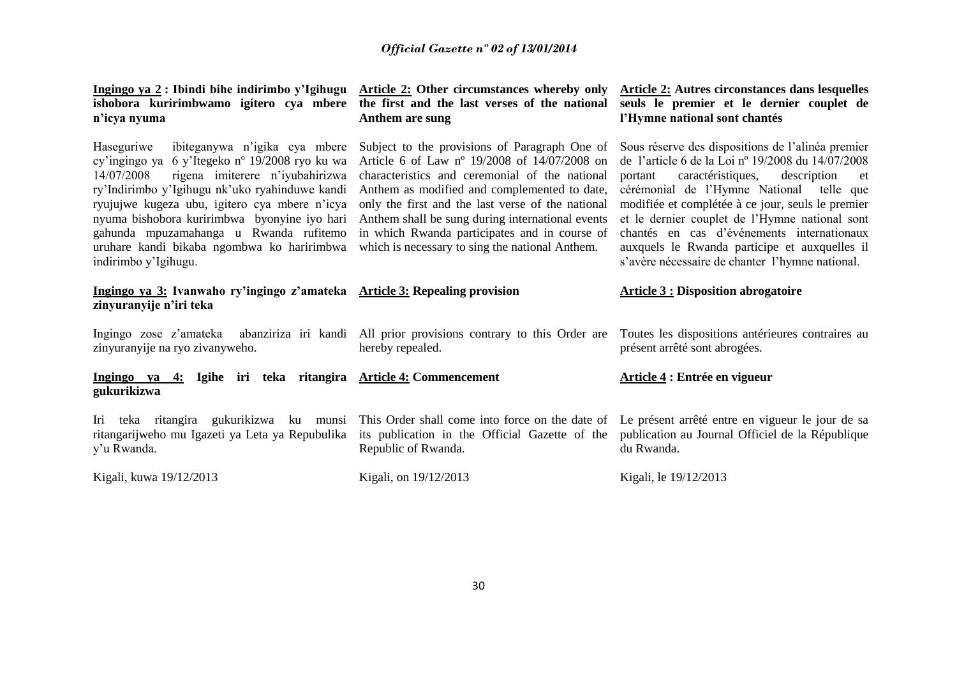| Ingingo ya 2: Ibindi bihe indirimbo y'Igihugu<br>ishobora kuririmbwamo igitero cya mbere<br>n'icya nyuma                                                                                                                                                                                                                                                                                                          | Article 2: Other circumstances whereby only<br>the first and the last verses of the national<br>Anthem are sung                                                                                                                                                                                                                                                                                              | <b>Article 2: Autres circonstances dans lesquelles</b><br>seuls le premier et le dernier couplet de<br>l'Hymne national sont chantés                                                                                                                                                                                                                                                                                                                             |
|-------------------------------------------------------------------------------------------------------------------------------------------------------------------------------------------------------------------------------------------------------------------------------------------------------------------------------------------------------------------------------------------------------------------|--------------------------------------------------------------------------------------------------------------------------------------------------------------------------------------------------------------------------------------------------------------------------------------------------------------------------------------------------------------------------------------------------------------|------------------------------------------------------------------------------------------------------------------------------------------------------------------------------------------------------------------------------------------------------------------------------------------------------------------------------------------------------------------------------------------------------------------------------------------------------------------|
| ibiteganywa n'igika cya mbere<br>Haseguriwe<br>cy'ingingo ya 6 y'Itegeko nº 19/2008 ryo ku wa<br>14/07/2008<br>rigena imiterere n'iyubahirizwa<br>ry'Indirimbo y'Igihugu nk'uko ryahinduwe kandi<br>ryujujwe kugeza ubu, igitero cya mbere n'icya<br>nyuma bishobora kuririmbwa byonyine iyo hari<br>gahunda mpuzamahanga u Rwanda rufitemo<br>uruhare kandi bikaba ngombwa ko haririmbwa<br>indirimbo y'Igihugu. | Subject to the provisions of Paragraph One of<br>Article 6 of Law nº 19/2008 of 14/07/2008 on<br>characteristics and ceremonial of the national<br>Anthem as modified and complemented to date,<br>only the first and the last verse of the national<br>Anthem shall be sung during international events<br>in which Rwanda participates and in course of<br>which is necessary to sing the national Anthem. | Sous réserve des dispositions de l'alinéa premier<br>de l'article 6 de la Loi nº 19/2008 du 14/07/2008<br>caractéristiques,<br>description<br>portant<br>et<br>cérémonial de l'Hymne National telle que<br>modifiée et complétée à ce jour, seuls le premier<br>et le dernier couplet de l'Hymne national sont<br>chantés en cas d'événements internationaux<br>auxquels le Rwanda participe et auxquelles il<br>s'avère nécessaire de chanter l'hymne national. |
| Ingingo ya 3: Ivanwaho ry'ingingo z'amateka Article 3: Repealing provision<br>zinyuranyije n'iri teka                                                                                                                                                                                                                                                                                                             |                                                                                                                                                                                                                                                                                                                                                                                                              | <b>Article 3 : Disposition abrogatoire</b>                                                                                                                                                                                                                                                                                                                                                                                                                       |
| Ingingo zose z'amateka abanziriza iri kandi All prior provisions contrary to this Order are                                                                                                                                                                                                                                                                                                                       |                                                                                                                                                                                                                                                                                                                                                                                                              | Toutes les dispositions antérieures contraires au                                                                                                                                                                                                                                                                                                                                                                                                                |
| zinyuranyije na ryo zivanyweho.                                                                                                                                                                                                                                                                                                                                                                                   | hereby repealed.                                                                                                                                                                                                                                                                                                                                                                                             | présent arrêté sont abrogées.                                                                                                                                                                                                                                                                                                                                                                                                                                    |
| Ingingo ya 4: Igihe iri teka ritangira Article 4: Commencement<br>gukurikizwa                                                                                                                                                                                                                                                                                                                                     |                                                                                                                                                                                                                                                                                                                                                                                                              | Article 4 : Entrée en vigueur                                                                                                                                                                                                                                                                                                                                                                                                                                    |
| Iri teka ritangira gukurikizwa ku munsi<br>ritangarijweho mu Igazeti ya Leta ya Repubulika<br>y'u Rwanda.                                                                                                                                                                                                                                                                                                         | This Order shall come into force on the date of<br>its publication in the Official Gazette of the<br>Republic of Rwanda.                                                                                                                                                                                                                                                                                     | Le présent arrêté entre en vigueur le jour de sa<br>publication au Journal Officiel de la République<br>du Rwanda.                                                                                                                                                                                                                                                                                                                                               |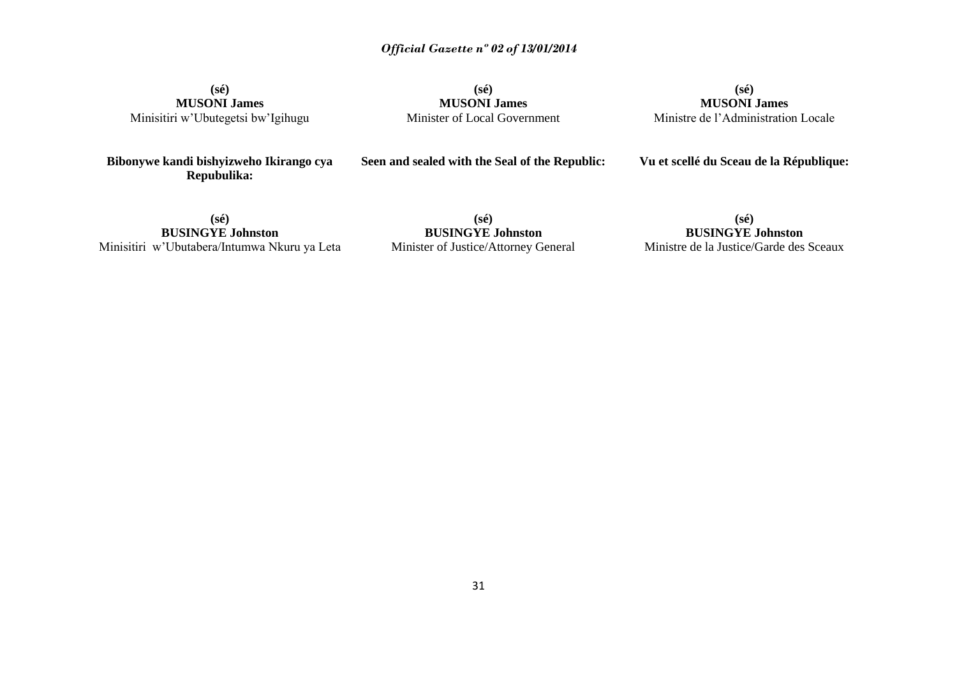**(sé) MUSONI James** Minisitiri w'Ubutegetsi bw'Igihugu

**Bibonywe kandi bishyizweho Ikirango cya Repubulika:**

**(sé) MUSONI James** Minister of Local Government

**(sé) MUSONI James** Ministre de l'Administration Locale

**Vu et scellé du Sceau de la République:**

**(sé) BUSINGYE Johnston** Minisitiri w'Ubutabera/Intumwa Nkuru ya Leta

**(sé) BUSINGYE Johnston** Minister of Justice/Attorney General

**Seen and sealed with the Seal of the Republic:**

**(sé) BUSINGYE Johnston** Ministre de la Justice/Garde des Sceaux

31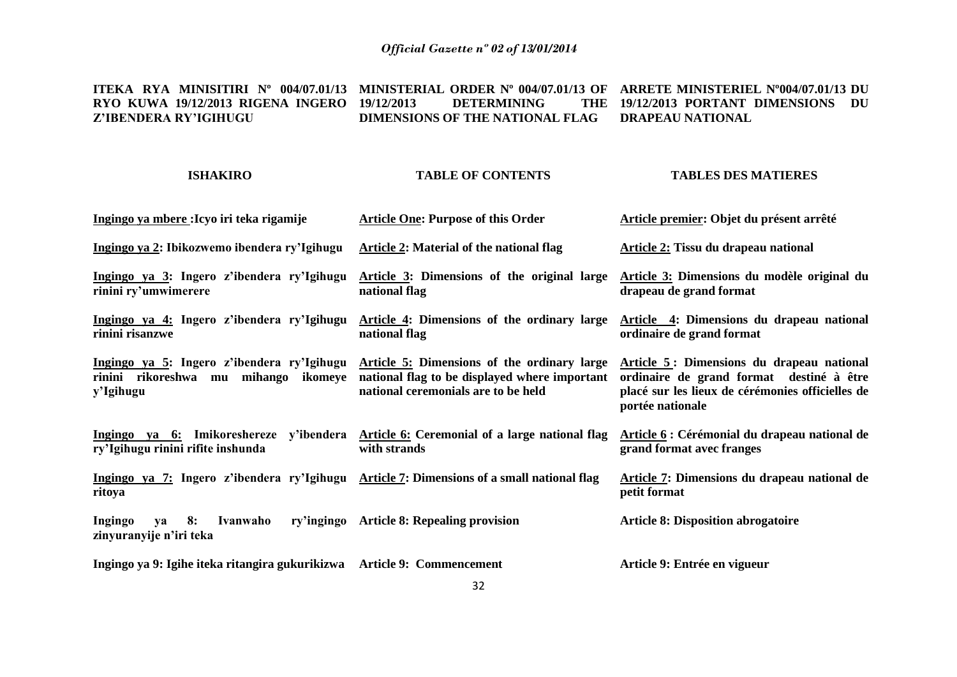#### **ITEKA RYA MINISITIRI Nº 004/07.01/13 MINISTERIAL ORDER Nº 004/07.01/13 OF ARRETE MINISTERIEL Nº004/07.01/13 DU RYO KUWA 19/12/2013 RIGENA INGERO Z'IBENDERA RY'IGIHUGU 19/12/2013 DETERMINING DIMENSIONS OF THE NATIONAL FLAG DRAPEAU NATIONAL 19/12/2013 PORTANT DIMENSIONS DU**

## **ISHAKIRO**

## **TABLE OF CONTENTS**

## **TABLES DES MATIERES**

| Ingingo ya mbere : Icyo iri teka rigamije                                                                                   | <b>Article One: Purpose of this Order</b>                                                                                           | Article premier: Objet du présent arrêté                                                                                                                      |
|-----------------------------------------------------------------------------------------------------------------------------|-------------------------------------------------------------------------------------------------------------------------------------|---------------------------------------------------------------------------------------------------------------------------------------------------------------|
| Ingingo ya 2: Ibikozwemo ibendera ry'Igihugu                                                                                | Article 2: Material of the national flag                                                                                            | Article 2: Tissu du drapeau national                                                                                                                          |
| Ingingo ya 3: Ingero z'ibendera ry'Igihugu<br>rinini ry'umwimerere                                                          | Article 3: Dimensions of the original large<br>national flag                                                                        | Article 3: Dimensions du modèle original du<br>drapeau de grand format                                                                                        |
| Ingingo ya 4: Ingero z'ibendera ry'Igihugu<br>rinini risanzwe                                                               | Article 4: Dimensions of the ordinary large<br>national flag                                                                        | Article 4: Dimensions du drapeau national<br>ordinaire de grand format                                                                                        |
| Ingingo ya 5: Ingero z'ibendera ry'Igihugu<br>rinini rikoreshwa mu mihango ikomeye<br>y'Igihugu                             | Article 5: Dimensions of the ordinary large<br>national flag to be displayed where important<br>national ceremonials are to be held | Article 5: Dimensions du drapeau national<br>ordinaire de grand format destiné à être<br>placé sur les lieux de cérémonies officielles de<br>portée nationale |
| Ingingo ya 6: Imikoreshereze y'ibendera Article 6: Ceremonial of a large national flag<br>ry'Igihugu rinini rifite inshunda | with strands                                                                                                                        | Article 6 : Cérémonial du drapeau national de<br>grand format avec franges                                                                                    |
| Ingingo ya 7: Ingero z'ibendera ry'Igihugu Article 7: Dimensions of a small national flag<br>ritoya                         |                                                                                                                                     | Article 7: Dimensions du drapeau national de<br>petit format                                                                                                  |
| 8:<br>Ingingo<br>Ivanwaho<br>va<br>zinyuranyije n'iri teka                                                                  | ry'ingingo Article 8: Repealing provision                                                                                           | <b>Article 8: Disposition abrogatoire</b>                                                                                                                     |
| Ingingo ya 9: Igihe iteka ritangira gukurikizwa Article 9: Commencement                                                     |                                                                                                                                     | Article 9: Entrée en vigueur                                                                                                                                  |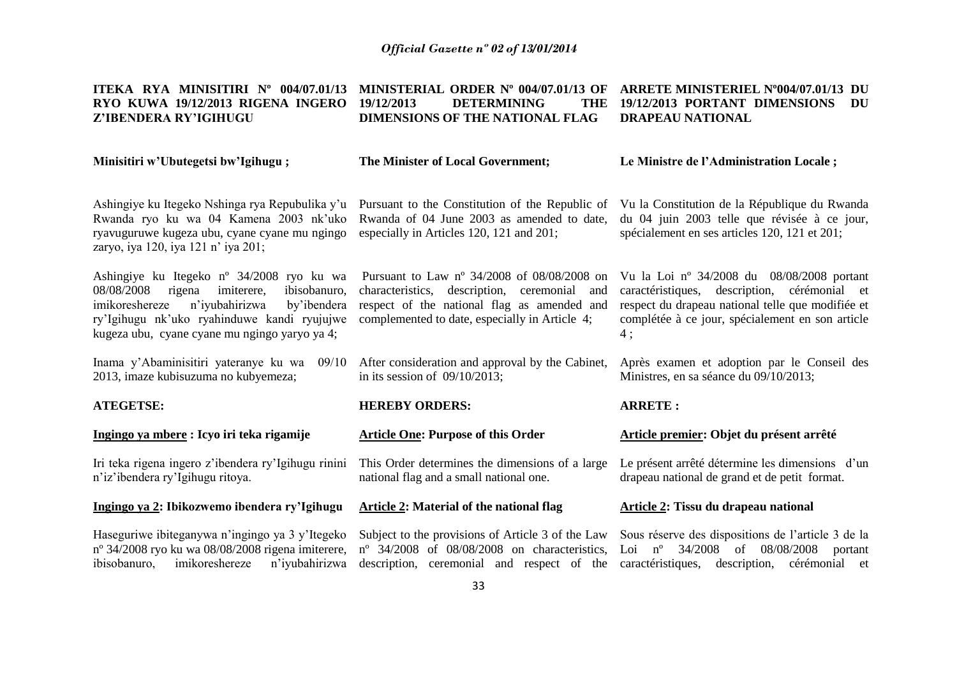| ITEKA RYA MINISITIRI Nº 004/07.01/13<br>RYO KUWA 19/12/2013 RIGENA INGERO<br>Z'IBENDERA RY'IGIHUGU                                                                                                                                                             | MINISTERIAL ORDER Nº 004/07.01/13 OF<br>19/12/2013<br><b>DETERMINING</b><br>THE<br>DIMENSIONS OF THE NATIONAL FLAG                                                                                       | ARRETE MINISTERIEL N°004/07.01/13 DU<br>19/12/2013 PORTANT DIMENSIONS<br>DU<br><b>DRAPEAU NATIONAL</b>                                                                                                    |
|----------------------------------------------------------------------------------------------------------------------------------------------------------------------------------------------------------------------------------------------------------------|----------------------------------------------------------------------------------------------------------------------------------------------------------------------------------------------------------|-----------------------------------------------------------------------------------------------------------------------------------------------------------------------------------------------------------|
| Minisitiri w'Ubutegetsi bw'Igihugu;                                                                                                                                                                                                                            | The Minister of Local Government;                                                                                                                                                                        | Le Ministre de l'Administration Locale;                                                                                                                                                                   |
| Ashingiye ku Itegeko Nshinga rya Repubulika y'u<br>Rwanda ryo ku wa 04 Kamena 2003 nk'uko<br>ryavuguruwe kugeza ubu, cyane cyane mu ngingo<br>zaryo, iya 120, iya 121 n' iya 201;                                                                              | Pursuant to the Constitution of the Republic of<br>Rwanda of 04 June 2003 as amended to date,<br>especially in Articles 120, 121 and 201;                                                                | Vu la Constitution de la République du Rwanda<br>du 04 juin 2003 telle que révisée à ce jour,<br>spécialement en ses articles 120, 121 et 201;                                                            |
| Ashingiye ku Itegeko n <sup>o</sup> 34/2008 ryo ku wa<br>08/08/2008<br>imiterere,<br>rigena<br>ibisobanuro,<br>imikoreshereze<br>n'iyubahirizwa<br>by'ibendera<br>ry'Igihugu nk'uko ryahinduwe kandi ryujujwe<br>kugeza ubu, cyane cyane mu ngingo yaryo ya 4; | Pursuant to Law $n^{\circ}$ 34/2008 of 08/08/2008 on<br>characteristics, description, ceremonial<br>and<br>respect of the national flag as amended and<br>complemented to date, especially in Article 4; | Vu la Loi nº 34/2008 du 08/08/2008 portant<br>caractéristiques, description, cérémonial et<br>respect du drapeau national telle que modifiée et<br>complétée à ce jour, spécialement en son article<br>4; |
| Inama y'Abaminisitiri yateranye ku wa 09/10<br>2013, imaze kubisuzuma no kubyemeza;                                                                                                                                                                            | After consideration and approval by the Cabinet,<br>in its session of $09/10/2013$ ;                                                                                                                     | Après examen et adoption par le Conseil des<br>Ministres, en sa séance du 09/10/2013;                                                                                                                     |
| <b>ATEGETSE:</b>                                                                                                                                                                                                                                               | <b>HEREBY ORDERS:</b>                                                                                                                                                                                    | <b>ARRETE:</b>                                                                                                                                                                                            |
| Ingingo ya mbere: Icyo iri teka rigamije                                                                                                                                                                                                                       | <b>Article One: Purpose of this Order</b>                                                                                                                                                                | Article premier: Objet du présent arrêté                                                                                                                                                                  |
| Iri teka rigena ingero z'ibendera ry'Igihugu rinini<br>n'iz'ibendera ry'Igihugu ritoya.                                                                                                                                                                        | This Order determines the dimensions of a large<br>national flag and a small national one.                                                                                                               | Le présent arrêté détermine les dimensions d'un<br>drapeau national de grand et de petit format.                                                                                                          |
| Ingingo ya 2: Ibikozwemo ibendera ry'Igihugu                                                                                                                                                                                                                   | Article 2: Material of the national flag                                                                                                                                                                 | Article 2: Tissu du drapeau national                                                                                                                                                                      |
| Haseguriwe ibiteganywa n'ingingo ya 3 y'Itegeko<br>nº 34/2008 ryo ku wa 08/08/2008 rigena imiterere,<br>imikoreshereze<br>n'iyubahirizwa<br>ibisobanuro,                                                                                                       | Subject to the provisions of Article 3 of the Law<br>$n^{\circ}$ 34/2008 of 08/08/2008 on characteristics,<br>description, ceremonial and respect of the                                                 | Sous réserve des dispositions de l'article 3 de la<br>Loi $n^{\circ}$ 34/2008<br>of 08/08/2008<br>portant<br>caractéristiques,<br>description, cérémonial et                                              |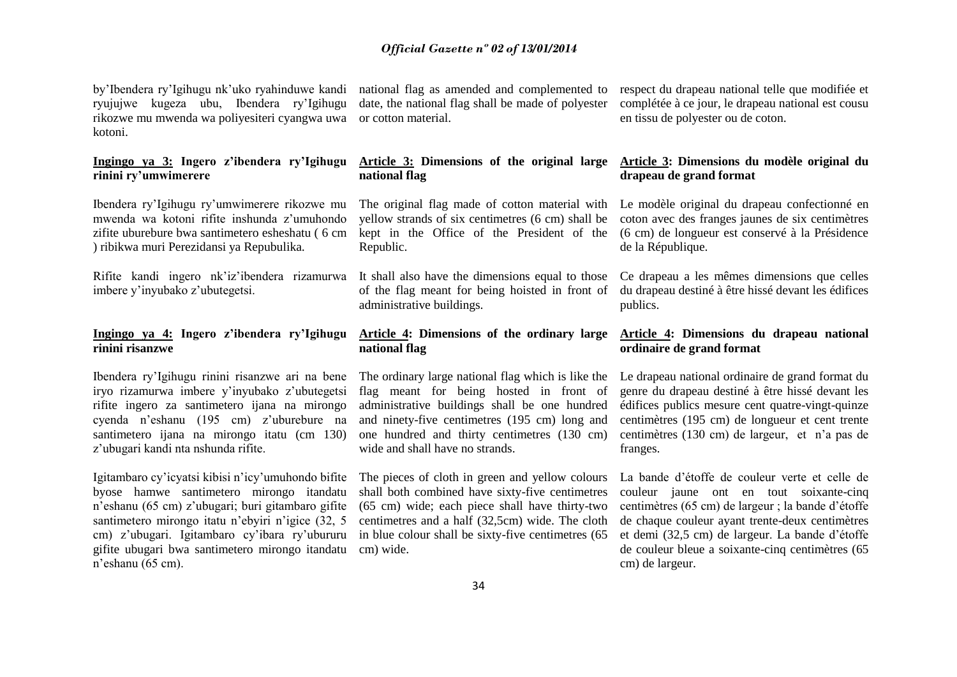by'Ibendera ry'Igihugu nk'uko ryahinduwe kandi ryujujwe kugeza ubu, Ibendera ry'Igihugu rikozwe mu mwenda wa poliyesiteri cyangwa uwa or cotton material. kotoni.

## **Ingingo ya 3: Ingero z'ibendera ry'Igihugu rinini ry'umwimerere**

Ibendera ry'Igihugu ry'umwimerere rikozwe mu mwenda wa kotoni rifite inshunda z'umuhondo zifite uburebure bwa santimetero esheshatu ( 6 cm ) ribikwa muri Perezidansi ya Repubulika.

Rifite kandi ingero nk'iz'ibendera rizamurwa imbere y'inyubako z'ubutegetsi.

## **Ingingo ya 4: Ingero z'ibendera ry'Igihugu rinini risanzwe**

Ibendera ry'Igihugu rinini risanzwe ari na bene iryo rizamurwa imbere y'inyubako z'ubutegetsi rifite ingero za santimetero ijana na mirongo cyenda n'eshanu (195 cm) z'uburebure na santimetero ijana na mirongo itatu (cm 130) z'ubugari kandi nta nshunda rifite.

Igitambaro cy'icyatsi kibisi n'icy'umuhondo bifite byose hamwe santimetero mirongo itandatu n'eshanu (65 cm) z'ubugari; buri gitambaro gifite santimetero mirongo itatu n'ebyiri n'igice (32, 5 cm) z'ubugari. Igitambaro cy'ibara ry'ubururu gifite ubugari bwa santimetero mirongo itandatu n'eshanu (65 cm).

national flag as amended and complemented to date, the national flag shall be made of polyester

## **Article 3: Dimensions of the original large national flag**

yellow strands of six centimetres (6 cm) shall be kept in the Office of the President of the Republic.

It shall also have the dimensions equal to those of the flag meant for being hoisted in front of administrative buildings.

## **Article 4: Dimensions of the ordinary large national flag**

The ordinary large national flag which is like the flag meant for being hosted in front of administrative buildings shall be one hundred and ninety-five centimetres (195 cm) long and one hundred and thirty centimetres (130 cm) wide and shall have no strands.

The pieces of cloth in green and yellow colours shall both combined have sixty-five centimetres (65 cm) wide; each piece shall have thirty-two centimetres and a half (32,5cm) wide. The cloth in blue colour shall be sixty-five centimetres (65 cm) wide.

respect du drapeau national telle que modifiée et complétée à ce jour, le drapeau national est cousu en tissu de polyester ou de coton.

## **Article 3: Dimensions du modèle original du drapeau de grand format**

The original flag made of cotton material with Le modèle original du drapeau confectionné en coton avec des franges jaunes de six centimètres (6 cm) de longueur est conservé à la Présidence de la République.

> Ce drapeau a les mêmes dimensions que celles du drapeau destiné à être hissé devant les édifices publics.

## **Article 4: Dimensions du drapeau national ordinaire de grand format**

Le drapeau national ordinaire de grand format du genre du drapeau destiné à être hissé devant les édifices publics mesure cent quatre-vingt-quinze centimètres (195 cm) de longueur et cent trente centimètres (130 cm) de largeur, et n'a pas de franges.

La bande d'étoffe de couleur verte et celle de couleur jaune ont en tout soixante-cinq centimètres (65 cm) de largeur ; la bande d'étoffe de chaque couleur ayant trente-deux centimètres et demi (32,5 cm) de largeur. La bande d'étoffe de couleur bleue a soixante-cinq centimètres (65 cm) de largeur.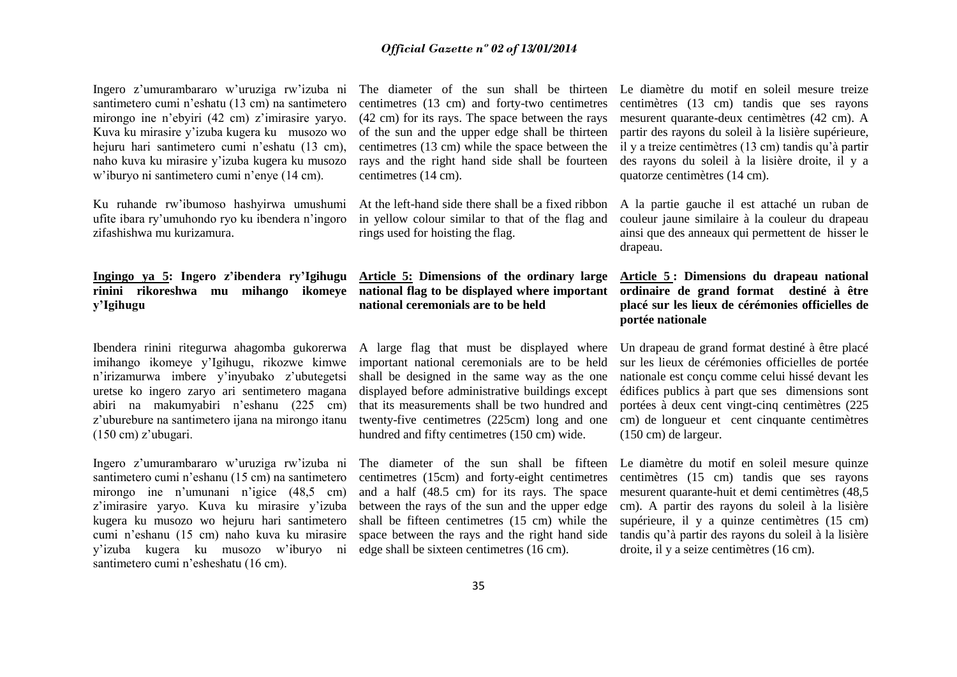Ingero z'umurambararo w'uruziga rw'izuba ni santimetero cumi n'eshatu (13 cm) na santimetero mirongo ine n'ebyiri (42 cm) z'imirasire yaryo. Kuva ku mirasire y'izuba kugera ku musozo wo hejuru hari santimetero cumi n'eshatu (13 cm). naho kuva ku mirasire y'izuba kugera ku musozo w'iburyo ni santimetero cumi n'enye (14 cm).

Ku ruhande rw'ibumoso hashyirwa umushumi ufite ibara ry'umuhondo ryo ku ibendera n'ingoro zifashishwa mu kurizamura.

## **Ingingo ya 5: Ingero z'ibendera ry'Igihugu rinini rikoreshwa mu mihango ikomeye y'Igihugu**

Ibendera rinini ritegurwa ahagomba gukorerwa A large flag that must be displayed where imihango ikomeye y'Igihugu, rikozwe kimwe n'irizamurwa imbere y'inyubako z'ubutegetsi uretse ko ingero zaryo ari sentimetero magana abiri na makumyabiri n'eshanu (225 cm) z'uburebure na santimetero ijana na mirongo itanu (150 cm) z'ubugari.

Ingero z'umurambararo w'uruziga rw'izuba ni santimetero cumi n'eshanu (15 cm) na santimetero mirongo ine n'umunani n'igice (48,5 cm) z'imirasire yaryo. Kuva ku mirasire y'izuba kugera ku musozo wo hejuru hari santimetero cumi n'eshanu (15 cm) naho kuva ku mirasire y'izuba kugera ku musozo w'iburyo ni santimetero cumi n'esheshatu (16 cm).

centimetres (13 cm) and forty-two centimetres (42 cm) for its rays. The space between the rays of the sun and the upper edge shall be thirteen centimetres (13 cm) while the space between the rays and the right hand side shall be fourteen centimetres (14 cm).

At the left-hand side there shall be a fixed ribbon in yellow colour similar to that of the flag and rings used for hoisting the flag.

**Article 5: Dimensions of the ordinary large national flag to be displayed where important national ceremonials are to be held**

important national ceremonials are to be held shall be designed in the same way as the one displayed before administrative buildings except that its measurements shall be two hundred and twenty-five centimetres (225cm) long and one hundred and fifty centimetres (150 cm) wide.

The diameter of the sun shall be fifteen centimetres (15cm) and forty-eight centimetres and a half (48.5 cm) for its rays. The space between the rays of the sun and the upper edge shall be fifteen centimetres (15 cm) while the space between the rays and the right hand side edge shall be sixteen centimetres (16 cm).

The diameter of the sun shall be thirteen Le diamètre du motif en soleil mesure treize centimètres (13 cm) tandis que ses rayons mesurent quarante-deux centimètres (42 cm). A partir des rayons du soleil à la lisière supérieure, il y a treize centimètres (13 cm) tandis qu'à partir des rayons du soleil à la lisière droite, il y a quatorze centimètres (14 cm).

> A la partie gauche il est attaché un ruban de couleur jaune similaire à la couleur du drapeau ainsi que des anneaux qui permettent de hisser le drapeau.

## **Article 5 : Dimensions du drapeau national ordinaire de grand format destiné à être placé sur les lieux de cérémonies officielles de portée nationale**

Un drapeau de grand format destiné à être placé sur les lieux de cérémonies officielles de portée nationale est conçu comme celui hissé devant les édifices publics à part que ses dimensions sont portées à deux cent vingt-cinq centimètres (225 cm) de longueur et cent cinquante centimètres (150 cm) de largeur.

Le diamètre du motif en soleil mesure quinze centimètres (15 cm) tandis que ses rayons mesurent quarante-huit et demi centimètres (48,5 cm). A partir des rayons du soleil à la lisière supérieure, il y a quinze centimètres (15 cm) tandis qu'à partir des rayons du soleil à la lisière droite, il y a seize centimètres (16 cm).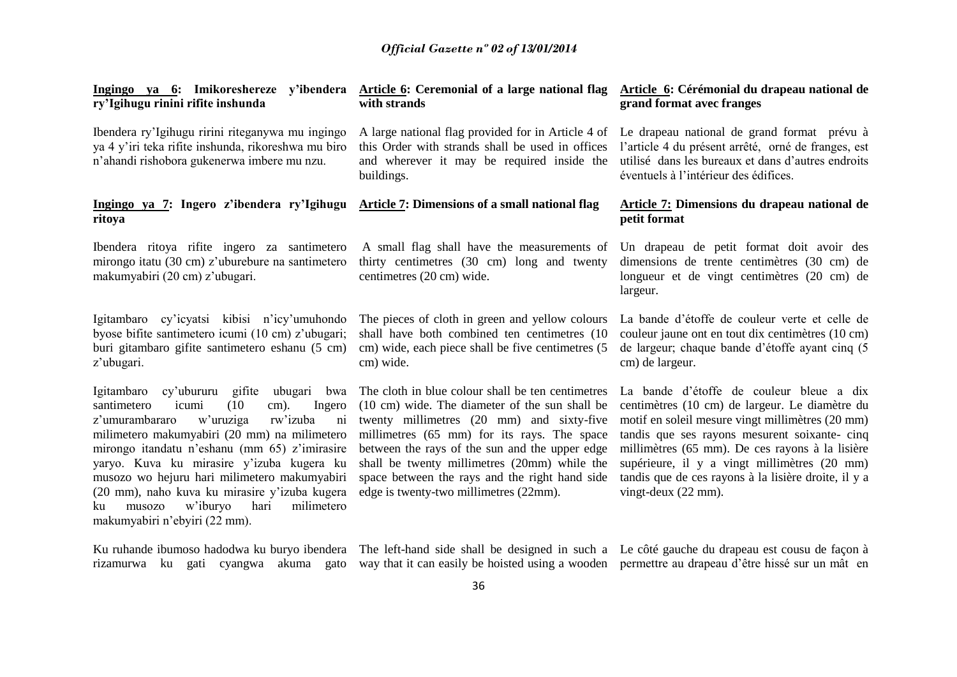| Ingingo ya 6: Imikoreshereze y'ibendera<br>ry'Igihugu rinini rifite inshunda                                                                                                                                                                                                                                                                                                                                                                                                     | <b>Article 6:</b> Ceremonial of a large national flag<br>with strands                                                                                                                                                                                                                                                                                                                         | Article 6: Cérémonial du drapeau national de<br>grand format avec franges                                                                                                                                                                                                                                                                                                                    |
|----------------------------------------------------------------------------------------------------------------------------------------------------------------------------------------------------------------------------------------------------------------------------------------------------------------------------------------------------------------------------------------------------------------------------------------------------------------------------------|-----------------------------------------------------------------------------------------------------------------------------------------------------------------------------------------------------------------------------------------------------------------------------------------------------------------------------------------------------------------------------------------------|----------------------------------------------------------------------------------------------------------------------------------------------------------------------------------------------------------------------------------------------------------------------------------------------------------------------------------------------------------------------------------------------|
| Ibendera ry'Igihugu ririni riteganywa mu ingingo<br>ya 4 y'iri teka rifite inshunda, rikoreshwa mu biro<br>n'ahandi rishobora gukenerwa imbere mu nzu.                                                                                                                                                                                                                                                                                                                           | A large national flag provided for in Article 4 of<br>this Order with strands shall be used in offices<br>and wherever it may be required inside the<br>buildings.                                                                                                                                                                                                                            | Le drapeau national de grand format prévu à<br>l'article 4 du présent arrêté, orné de franges, est<br>utilisé dans les bureaux et dans d'autres endroits<br>éventuels à l'intérieur des édifices.                                                                                                                                                                                            |
| Ingingo ya 7: Ingero z'ibendera ry'Igihugu<br>ritoya                                                                                                                                                                                                                                                                                                                                                                                                                             | Article 7: Dimensions of a small national flag                                                                                                                                                                                                                                                                                                                                                | <b>Article 7: Dimensions du drapeau national de</b><br>petit format                                                                                                                                                                                                                                                                                                                          |
| Ibendera ritoya rifite ingero za santimetero<br>mirongo itatu (30 cm) z'uburebure na santimetero<br>makumyabiri (20 cm) z'ubugari.                                                                                                                                                                                                                                                                                                                                               | A small flag shall have the measurements of<br>thirty centimetres (30 cm) long and twenty<br>centimetres (20 cm) wide.                                                                                                                                                                                                                                                                        | Un drapeau de petit format doit avoir des<br>dimensions de trente centimètres (30 cm) de<br>longueur et de vingt centimètres (20 cm) de<br>largeur.                                                                                                                                                                                                                                          |
| Igitambaro cy'icyatsi kibisi n'icy'umuhondo<br>byose bifite santimetero icumi (10 cm) z'ubugari;<br>buri gitambaro gifite santimetero eshanu (5 cm)<br>z'ubugari.                                                                                                                                                                                                                                                                                                                | The pieces of cloth in green and yellow colours<br>shall have both combined ten centimetres (10<br>cm) wide, each piece shall be five centimetres (5<br>cm) wide.                                                                                                                                                                                                                             | La bande d'étoffe de couleur verte et celle de<br>couleur jaune ont en tout dix centimètres (10 cm)<br>de largeur; chaque bande d'étoffe ayant cinq (5<br>cm) de largeur.                                                                                                                                                                                                                    |
| Igitambaro cy'ubururu gifite ubugari<br>bwa<br>santimetero<br>icumi<br>(10)<br>cm).<br>Ingero<br>z'umurambararo<br>w'uruziga<br>rw'izuba<br>ni<br>milimetero makumyabiri (20 mm) na milimetero<br>mirongo itandatu n'eshanu (mm 65) z'imirasire<br>yaryo. Kuva ku mirasire y'izuba kugera ku<br>musozo wo hejuru hari milimetero makumyabiri<br>(20 mm), naho kuva ku mirasire y'izuba kugera<br>w'iburyo<br>hari<br>milimetero<br>musozo<br>ku<br>makumyabiri n'ebyiri (22 mm). | The cloth in blue colour shall be ten centimetres<br>(10 cm) wide. The diameter of the sun shall be<br>twenty millimetres (20 mm) and sixty-five<br>millimetres (65 mm) for its rays. The space<br>between the rays of the sun and the upper edge<br>shall be twenty millimetres (20mm) while the<br>space between the rays and the right hand side<br>edge is twenty-two millimetres (22mm). | La bande d'étoffe de couleur bleue a dix<br>centimètres (10 cm) de largeur. Le diamètre du<br>motif en soleil mesure vingt millimètres (20 mm)<br>tandis que ses rayons mesurent soixante- cinq<br>millimètres (65 mm). De ces rayons à la lisière<br>supérieure, il y a vingt millimètres (20 mm)<br>tandis que de ces rayons à la lisière droite, il y a<br>vingt-deux $(22 \text{ mm})$ . |
| Ku ruhande ibumoso hadodwa ku buryo ibendera The left-hand side shall be designed in such a Le côté gauche du drapeau est cousu de façon à                                                                                                                                                                                                                                                                                                                                       |                                                                                                                                                                                                                                                                                                                                                                                               |                                                                                                                                                                                                                                                                                                                                                                                              |

rizamurwa ku gati cyangwa akuma gato way that it can easily be hoisted using a wooden permettre au drapeau d'être hissé sur un mât en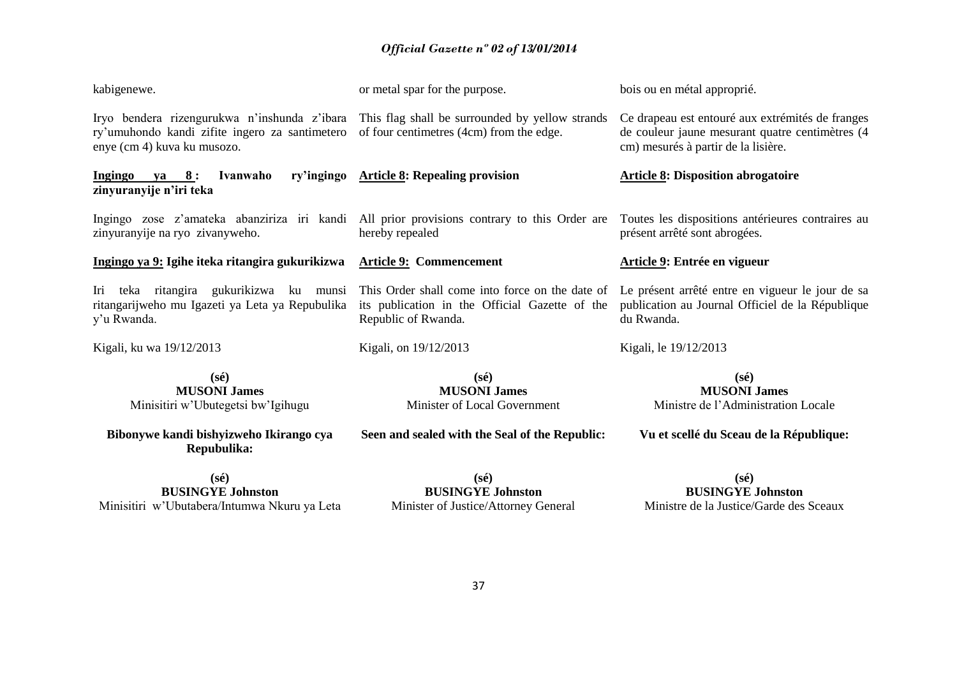| kabigenewe.                                                                                                                                                                   | or metal spar for the purpose.                                                                                           | bois ou en métal approprié.                                                                                                                |
|-------------------------------------------------------------------------------------------------------------------------------------------------------------------------------|--------------------------------------------------------------------------------------------------------------------------|--------------------------------------------------------------------------------------------------------------------------------------------|
| Iryo bendera rizengurukwa n'inshunda z'ibara This flag shall be surrounded by yellow strands<br>ry'umuhondo kandi zifite ingero za santimetero<br>enye (cm 4) kuva ku musozo. | of four centimetres (4cm) from the edge.                                                                                 | Ce drapeau est entouré aux extrémités de franges<br>de couleur jaune mesurant quatre centimètres (4<br>cm) mesurés à partir de la lisière. |
| ry'ingingo<br><u>Ingingo ya 8:</u><br>Ivanwaho<br>zinyuranyije n'iri teka                                                                                                     | <b>Article 8: Repealing provision</b>                                                                                    | <b>Article 8: Disposition abrogatoire</b>                                                                                                  |
| Ingingo zose z'amateka abanziriza iri kandi All prior provisions contrary to this Order are<br>zinyuranyije na ryo zivanyweho.                                                | hereby repealed                                                                                                          | Toutes les dispositions antérieures contraires au<br>présent arrêté sont abrogées.                                                         |
| Ingingo ya 9: Igihe iteka ritangira gukurikizwa                                                                                                                               | <b>Article 9: Commencement</b>                                                                                           | Article 9: Entrée en vigueur                                                                                                               |
| Iri teka ritangira gukurikizwa ku munsi<br>ritangarijweho mu Igazeti ya Leta ya Repubulika<br>y'u Rwanda.                                                                     | This Order shall come into force on the date of<br>its publication in the Official Gazette of the<br>Republic of Rwanda. | Le présent arrêté entre en vigueur le jour de sa<br>publication au Journal Officiel de la République<br>du Rwanda.                         |
| Kigali, ku wa 19/12/2013                                                                                                                                                      | Kigali, on 19/12/2013                                                                                                    | Kigali, le 19/12/2013                                                                                                                      |
| $(s\acute{e})$<br><b>MUSONI James</b><br>Minisitiri w'Ubutegetsi bw'Igihugu                                                                                                   | $(s\acute{e})$<br><b>MUSONI James</b><br>Minister of Local Government                                                    | $(s\acute{e})$<br><b>MUSONI James</b><br>Ministre de l'Administration Locale                                                               |
| Bibonywe kandi bishyizweho Ikirango cya<br>Repubulika:                                                                                                                        | Seen and sealed with the Seal of the Republic:                                                                           | Vu et scellé du Sceau de la République:                                                                                                    |
| $(s\acute{e})$                                                                                                                                                                | $(s\acute{e})$                                                                                                           | $(s\acute{e})$                                                                                                                             |
| <b>BUSINGYE Johnston</b><br>Minisitiri w'Ubutabera/Intumwa Nkuru ya Leta                                                                                                      | <b>BUSINGYE Johnston</b><br>Minister of Justice/Attorney General                                                         | <b>BUSINGYE Johnston</b><br>Ministre de la Justice/Garde des Sceaux                                                                        |
|                                                                                                                                                                               |                                                                                                                          |                                                                                                                                            |
|                                                                                                                                                                               |                                                                                                                          |                                                                                                                                            |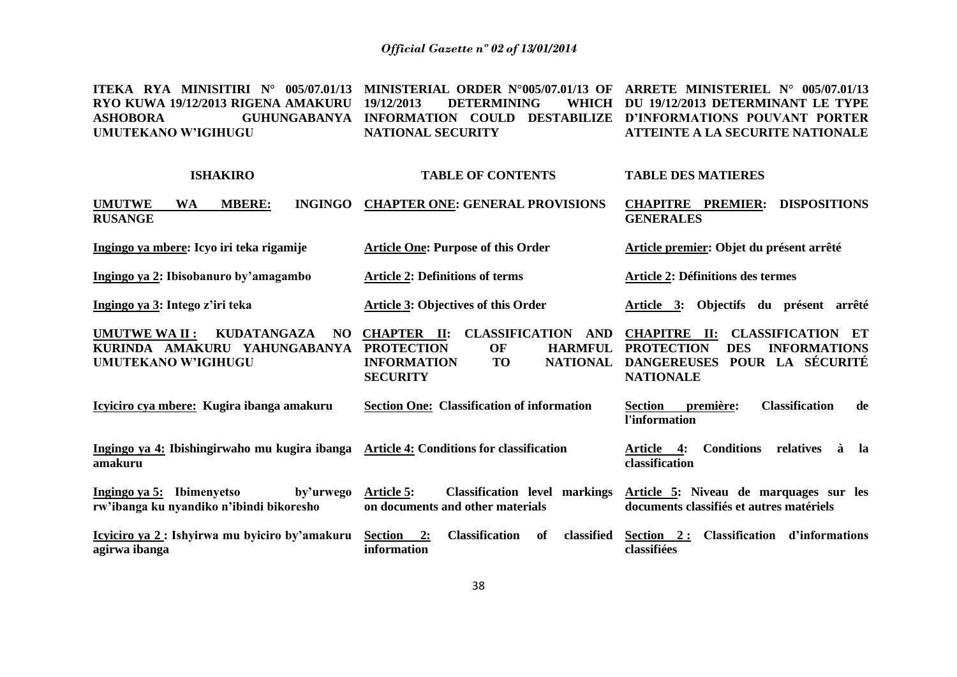**ITEKA RYA MINISITIRI N° 005/07.01/13 MINISTERIAL ORDER N°005/07.01/13 OF ARRETE MINISTERIEL N° 005/07.01/13 RYO KUWA 19/12/2013 RIGENA AMAKURU ASHOBORA GUHUNGABANYA INFORMATION COULD DESTABILIZE D'INFORMATIONS POUVANT PORTER UMUTEKANO W'IGIHUGU 19/12/2013 DETERMINING NATIONAL SECURITY DU 19/12/2013 DETERMINANT LE TYPE ATTEINTE A LA SECURITE NATIONALE**

| <b>ISHAKIRO</b>                                                                                                 | <b>TABLE OF CONTENTS</b>                                                                                                                                                                | <b>TABLE DES MATIERES</b>                                                                                                                                                    |
|-----------------------------------------------------------------------------------------------------------------|-----------------------------------------------------------------------------------------------------------------------------------------------------------------------------------------|------------------------------------------------------------------------------------------------------------------------------------------------------------------------------|
| <b>INGINGO</b><br><b>UMUTWE</b><br><b>WA</b><br><b>MBERE:</b><br><b>RUSANGE</b>                                 | <b>CHAPTER ONE: GENERAL PROVISIONS</b>                                                                                                                                                  | <b>DISPOSITIONS</b><br><b>CHAPITRE PREMIER:</b><br><b>GENERALES</b>                                                                                                          |
| Ingingo ya mbere: Icyo iri teka rigamije                                                                        | <b>Article One: Purpose of this Order</b>                                                                                                                                               | Article premier: Objet du présent arrêté                                                                                                                                     |
| Ingingo ya 2: Ibisobanuro by'amagambo                                                                           | <b>Article 2: Definitions of terms</b>                                                                                                                                                  | <b>Article 2: Définitions des termes</b>                                                                                                                                     |
| Ingingo ya 3: Intego z'iri teka                                                                                 | <b>Article 3: Objectives of this Order</b>                                                                                                                                              | Objectifs du présent arrêté<br>Article 3:                                                                                                                                    |
| <b>KUDATANGAZA</b><br><b>UMUTWE WA II:</b><br>NO.<br>KURINDA AMAKURU YAHUNGABANYA<br><b>UMUTEKANO W'IGIHUGU</b> | <b>CLASSIFICATION</b><br><b>CHAPTER</b><br>$\mathbf{II}$ :<br>AND<br><b>HARMFUL</b><br><b>PROTECTION</b><br>OF<br><b>INFORMATION</b><br><b>NATIONAL</b><br><b>TO</b><br><b>SECURITY</b> | <b>CHAPITRE II:</b><br><b>CLASSIFICATION</b><br>- ET<br><b>PROTECTION</b><br><b>DES</b><br><b>INFORMATIONS</b><br>POUR LA SÉCURITÉ<br><b>DANGEREUSES</b><br><b>NATIONALE</b> |
| Icyiciro cya mbere: Kugira ibanga amakuru                                                                       | <b>Section One: Classification of information</b>                                                                                                                                       | <b>Classification</b><br><b>Section</b><br>première:<br>de<br>l'information                                                                                                  |
| Ingingo ya 4: Ibishingirwaho mu kugira ibanga<br>amakuru                                                        | <b>Article 4: Conditions for classification</b>                                                                                                                                         | <b>Conditions</b><br>relatives<br>Article 4:<br>à<br>la<br>classification                                                                                                    |
| Ingingo ya 5: Ibimenyetso<br>by'urwego<br>rw'ibanga ku nyandiko n'ibindi bikoresho                              | <b>Article 5:</b><br><b>Classification</b> level markings<br>on documents and other materials                                                                                           | Article 5: Niveau de marquages sur les<br>documents classifiés et autres matériels                                                                                           |
| Icyiciro ya 2 : Ishyirwa mu byiciro by'amakuru<br>agirwa ibanga                                                 | Section<br><b>Classification</b><br>classified<br>2:<br>of<br>information                                                                                                               | <b>Classification</b><br>d'informations<br>Section 2:<br>classifiées                                                                                                         |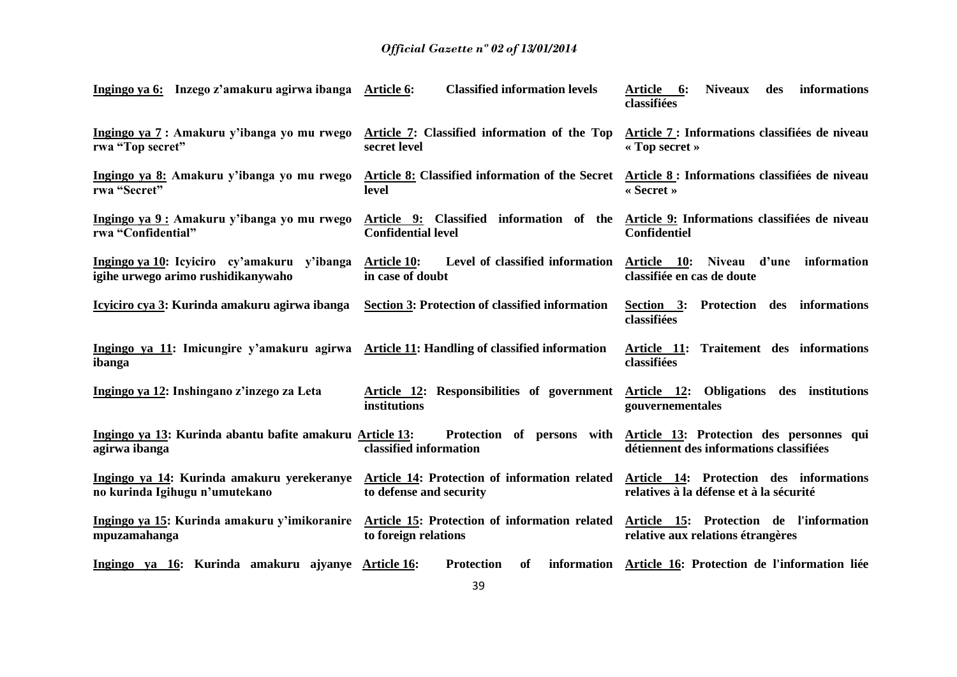| Ingingo ya 6: Inzego z'amakuru agirwa ibanga Article 6:                                             | <b>Classified information levels</b>                                                                                | Article 6:<br><b>Niveaux</b><br>des<br>informations<br>classifiées                  |
|-----------------------------------------------------------------------------------------------------|---------------------------------------------------------------------------------------------------------------------|-------------------------------------------------------------------------------------|
| Ingingo ya 7 : Amakuru y'ibanga yo mu rwego<br>rwa "Top secret"                                     | Article 7: Classified information of the Top<br>secret level                                                        | Article 7 : Informations classifiées de niveau<br>« Top secret »                    |
| Ingingo ya 8: Amakuru y'ibanga yo mu rwego<br>rwa "Secret"                                          | Article 8: Classified information of the Secret<br>level                                                            | Article 8 : Informations classifiées de niveau<br>$\triangleleft$ Secret »          |
| Ingingo ya 9: Amakuru y'ibanga yo mu rwego<br>rwa "Confidential"                                    | Article 9: Classified information of the Article 9: Informations classifiées de niveau<br><b>Confidential level</b> | Confidentiel                                                                        |
| Ingingo ya 10: Icyiciro cy'amakuru y'ibanga<br>igihe urwego arimo rushidikanywaho                   | Level of classified information<br><b>Article 10:</b><br>in case of doubt                                           | Article 10:<br>Niveau d'une information<br>classifiée en cas de doute               |
| Icyiciro cya 3: Kurinda amakuru agirwa ibanga                                                       | <b>Section 3: Protection of classified information</b>                                                              | Section 3: Protection des informations<br>classifiées                               |
| Ingingo ya 11: Imicungire y'amakuru agirwa Article 11: Handling of classified information<br>ibanga |                                                                                                                     | Article 11: Traitement des informations<br>classifiées                              |
| Ingingo ya 12: Inshingano z'inzego za Leta                                                          | Article 12: Responsibilities of government<br>institutions                                                          | Article 12: Obligations des institutions<br>gouvernementales                        |
| Ingingo ya 13: Kurinda abantu bafite amakuru Article 13:<br>agirwa ibanga                           | Protection of persons with<br>classified information                                                                | Article 13: Protection des personnes qui<br>détiennent des informations classifiées |
| Ingingo ya 14: Kurinda amakuru yerekeranye<br>no kurinda Igihugu n'umutekano                        | Article 14: Protection of information related<br>to defense and security                                            | Article 14: Protection des informations<br>relatives à la défense et à la sécurité  |
| Ingingo ya 15: Kurinda amakuru y'imikoranire<br>mpuzamahanga                                        | Article 15: Protection of information related<br>to foreign relations                                               | Article 15: Protection de l'information<br>relative aux relations étrangères        |
| Ingingo ya 16: Kurinda amakuru ajyanye Article 16:                                                  | <b>Protection</b><br>of                                                                                             | information Article 16: Protection de l'information liée                            |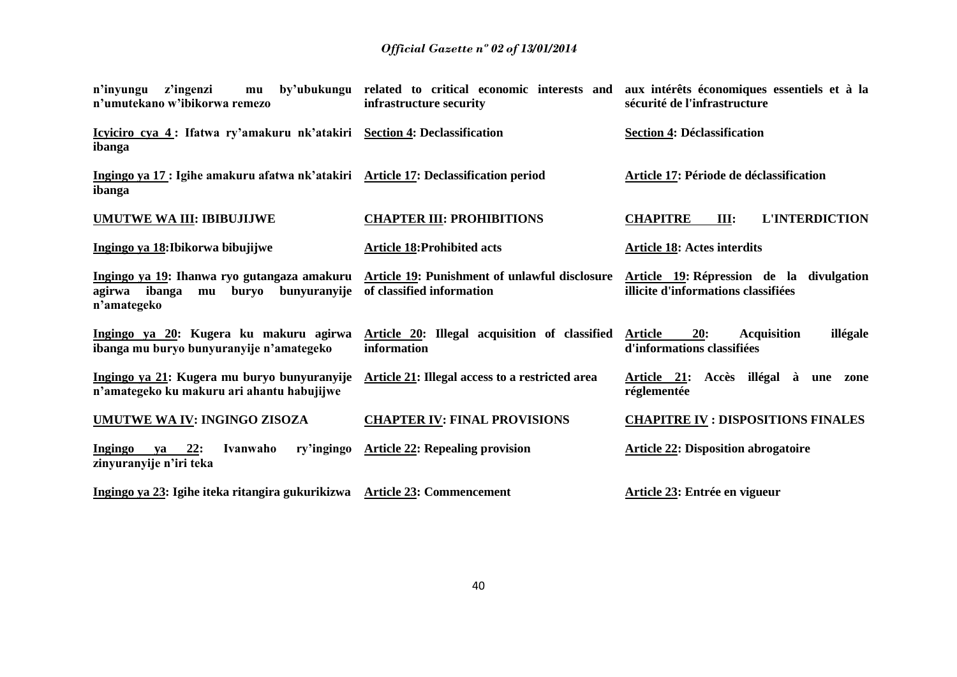| z'ingenzi<br>n'inyungu<br>mu<br>n'umutekano w'ibikorwa remezo                                                 | by'ubukungu related to critical economic interests and<br>infrastructure security | aux intérêts économiques essentiels et à la<br>sécurité de l'infrastructure           |
|---------------------------------------------------------------------------------------------------------------|-----------------------------------------------------------------------------------|---------------------------------------------------------------------------------------|
| Icyiciro cya 4: Ifatwa ry'amakuru nk'atakiri Section 4: Declassification<br>ibanga                            |                                                                                   | <b>Section 4: Déclassification</b>                                                    |
| Ingingo ya 17 : Igihe amakuru afatwa nk'atakiri Article 17: Declassification period<br>ibanga                 |                                                                                   | Article 17: Période de déclassification                                               |
| UMUTWE WA III: IBIBUJIJWE                                                                                     | <b>CHAPTER III: PROHIBITIONS</b>                                                  | <b>L'INTERDICTION</b><br><b>CHAPITRE</b><br>III:                                      |
| Ingingo ya 18: Ibikorwa bibujijwe                                                                             | <b>Article 18: Prohibited acts</b>                                                | <b>Article 18: Actes interdits</b>                                                    |
| Ingingo ya 19: Ihanwa ryo gutangaza amakuru<br>bunyuranyije<br>ibanga<br>buryo<br>agirwa<br>mu<br>n'amategeko | <b>Article 19: Punishment of unlawful disclosure</b><br>of classified information | Article 19: Répression de la divulgation<br>illicite d'informations classifiées       |
| Ingingo ya 20: Kugera ku makuru agirwa<br>ibanga mu buryo bunyuranyije n'amategeko                            | Article 20: Illegal acquisition of classified<br>information                      | <b>Acquisition</b><br>illégale<br>Article<br><b>20:</b><br>d'informations classifiées |
| Ingingo ya 21: Kugera mu buryo bunyuranyije<br>n'amategeko ku makuru ari ahantu habujijwe                     | Article 21: Illegal access to a restricted area                                   | Article 21: Accès illégal à<br>une<br>zone<br>réglementée                             |
| <b>UMUTWE WA IV: INGINGO ZISOZA</b>                                                                           | <b>CHAPTER IV: FINAL PROVISIONS</b>                                               | <b>CHAPITRE IV : DISPOSITIONS FINALES</b>                                             |
| 22:<br>Ingingo<br>Ivanwaho<br>ry'ingingo<br>ya<br>zinyuranyije n'iri teka                                     | <b>Article 22: Repealing provision</b>                                            | <b>Article 22: Disposition abrogatoire</b>                                            |
| Ingingo ya 23: Igihe iteka ritangira gukurikizwa Article 23: Commencement                                     |                                                                                   | Article 23: Entrée en vigueur                                                         |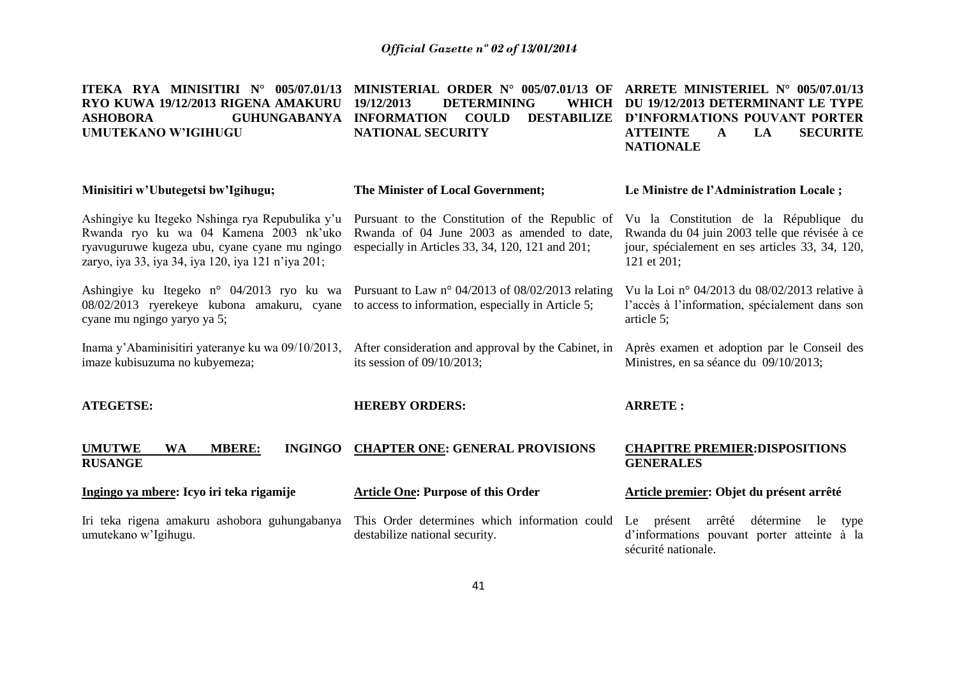| ITEKA RYA MINISITIRI N° 005/07.01/13<br>RYO KUWA 19/12/2013 RIGENA AMAKURU<br><b>ASHOBORA</b><br><b>GUHUNGABANYA</b><br><b>UMUTEKANO W'IGIHUGU</b>                                               | MINISTERIAL ORDER N° 005/07.01/13 OF<br>19/12/2013<br><b>DETERMINING</b><br>WHICH<br><b>DESTABILIZE</b><br><b>INFORMATION</b><br><b>COULD</b><br><b>NATIONAL SECURITY</b> | ARRETE MINISTERIEL N° 005/07.01/13<br>DU 19/12/2013 DETERMINANT LE TYPE<br>D'INFORMATIONS POUVANT PORTER<br><b>ATTEINTE</b><br>LA<br><b>SECURITE</b><br>$\mathbf{A}$<br><b>NATIONALE</b> |
|--------------------------------------------------------------------------------------------------------------------------------------------------------------------------------------------------|---------------------------------------------------------------------------------------------------------------------------------------------------------------------------|------------------------------------------------------------------------------------------------------------------------------------------------------------------------------------------|
| Minisitiri w'Ubutegetsi bw'Igihugu;                                                                                                                                                              | The Minister of Local Government;                                                                                                                                         | Le Ministre de l'Administration Locale;                                                                                                                                                  |
| Ashingiye ku Itegeko Nshinga rya Repubulika y'u<br>Rwanda ryo ku wa 04 Kamena 2003 nk'uko<br>ryavuguruwe kugeza ubu, cyane cyane mu ngingo<br>zaryo, iya 33, iya 34, iya 120, iya 121 n'iya 201; | Pursuant to the Constitution of the Republic of<br>Rwanda of 04 June 2003 as amended to date,<br>especially in Articles 33, 34, 120, 121 and 201;                         | Vu la Constitution de la République du<br>Rwanda du 04 juin 2003 telle que révisée à ce<br>jour, spécialement en ses articles 33, 34, 120,<br>121 et 201;                                |
| Ashingiye ku Itegeko n° 04/2013 ryo ku wa<br>08/02/2013 ryerekeye kubona amakuru, cyane<br>cyane mu ngingo yaryo ya 5;                                                                           | Pursuant to Law n° 04/2013 of 08/02/2013 relating<br>to access to information, especially in Article 5;                                                                   | Vu la Loi nº 04/2013 du 08/02/2013 relative à<br>l'accès à l'information, spécialement dans son<br>article 5;                                                                            |
| Inama y'Abaminisitiri yateranye ku wa 09/10/2013,<br>imaze kubisuzuma no kubyemeza;                                                                                                              | After consideration and approval by the Cabinet, in<br>its session of $09/10/2013$ ;                                                                                      | Après examen et adoption par le Conseil des<br>Ministres, en sa séance du 09/10/2013;                                                                                                    |
| <b>ATEGETSE:</b>                                                                                                                                                                                 | <b>HEREBY ORDERS:</b>                                                                                                                                                     | <b>ARRETE:</b>                                                                                                                                                                           |
| <b>UMUTWE</b><br><b>WA</b><br><b>MBERE:</b><br><b>INGINGO</b><br><b>RUSANGE</b>                                                                                                                  | <b>CHAPTER ONE: GENERAL PROVISIONS</b>                                                                                                                                    | <b>CHAPITRE PREMIER: DISPOSITIONS</b><br><b>GENERALES</b>                                                                                                                                |
| Ingingo ya mbere: Icyo iri teka rigamije                                                                                                                                                         | <b>Article One: Purpose of this Order</b>                                                                                                                                 | Article premier: Objet du présent arrêté                                                                                                                                                 |
| Iri teka rigena amakuru ashobora guhungabanya<br>umutekano w'Igihugu.                                                                                                                            | This Order determines which information could<br>destabilize national security.                                                                                           | détermine<br>Le<br>présent<br>arrêté<br>le<br>type<br>d'informations pouvant porter atteinte à la<br>sécurité nationale.                                                                 |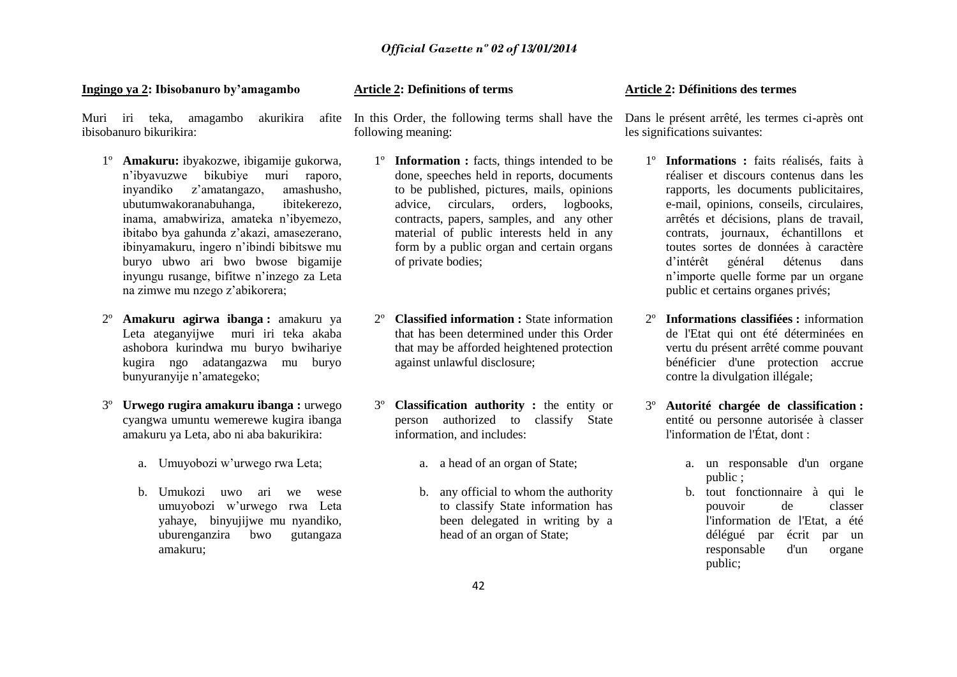### **Ingingo ya 2: Ibisobanuro by'amagambo**

Muri iri teka, amagambo akurikira ibisobanuro bikurikira:

- 1º **Amakuru:** ibyakozwe, ibigamije gukorwa, n'ibyavuzwe bikubiye muri raporo, inyandiko z'amatangazo, amashusho, ubutumwakoranabuhanga, ibitekerezo, inama, amabwiriza, amateka n'ibyemezo, ibitabo bya gahunda z'akazi, amasezerano, ibinyamakuru, ingero n'ibindi bibitswe mu buryo ubwo ari bwo bwose bigamije inyungu rusange, bifitwe n'inzego za Leta na zimwe mu nzego z'abikorera;
- 2º **Amakuru agirwa ibanga :** amakuru ya Leta ateganyijwe muri iri teka akaba ashobora kurindwa mu buryo bwihariye kugira ngo adatangazwa mu buryo bunyuranyije n'amategeko;
- 3º **Urwego rugira amakuru ibanga :** urwego cyangwa umuntu wemerewe kugira ibanga amakuru ya Leta, abo ni aba bakurikira:
	- a. Umuyobozi w'urwego rwa Leta;
	- b. Umukozi uwo ari we wese umuyobozi w'urwego rwa Leta yahaye, binyujijwe mu nyandiko, uburenganzira bwo gutangaza amakuru;

### **Article 2: Definitions of terms**

In this Order, the following terms shall have the Dans le présent arrêté, les termes ci-après ont following meaning:

- 1º **Information :** facts, things intended to be done, speeches held in reports, documents to be published, pictures, mails, opinions advice, circulars, orders, logbooks, contracts, papers, samples, and any other material of public interests held in any form by a public organ and certain organs of private bodies;
- **Classified information :** State information that has been determined under this Order that may be afforded heightened protection against unlawful disclosure;
- **Classification authority :** the entity or person authorized to classify State information, and includes:
	- a. a head of an organ of State;
	- b. any official to whom the authority to classify State information has been delegated in writing by a head of an organ of State;

### **Article 2: Définitions des termes**

les significations suivantes:

- 1º **Informations :** faits réalisés, faits à réaliser et discours contenus dans les rapports, les documents publicitaires, e-mail, opinions, conseils, circulaires, arrêtés et décisions, plans de travail, contrats, journaux, échantillons et toutes sortes de données à caractère d'intérêt général détenus dans n'importe quelle forme par un organe public et certains organes privés;
- 2º **Informations classifiées :** information de l'Etat qui ont été déterminées en vertu du présent arrêté comme pouvant bénéficier d'une protection accrue contre la divulgation illégale;
- 3º **Autorité chargée de classification :** entité ou personne autorisée à classer l'information de l'État, dont :
	- a. un responsable d'un organe public ;
	- b. tout fonctionnaire à qui le pouvoir de classer l'information de l'Etat, a été délégué par écrit par un responsable d'un organe public;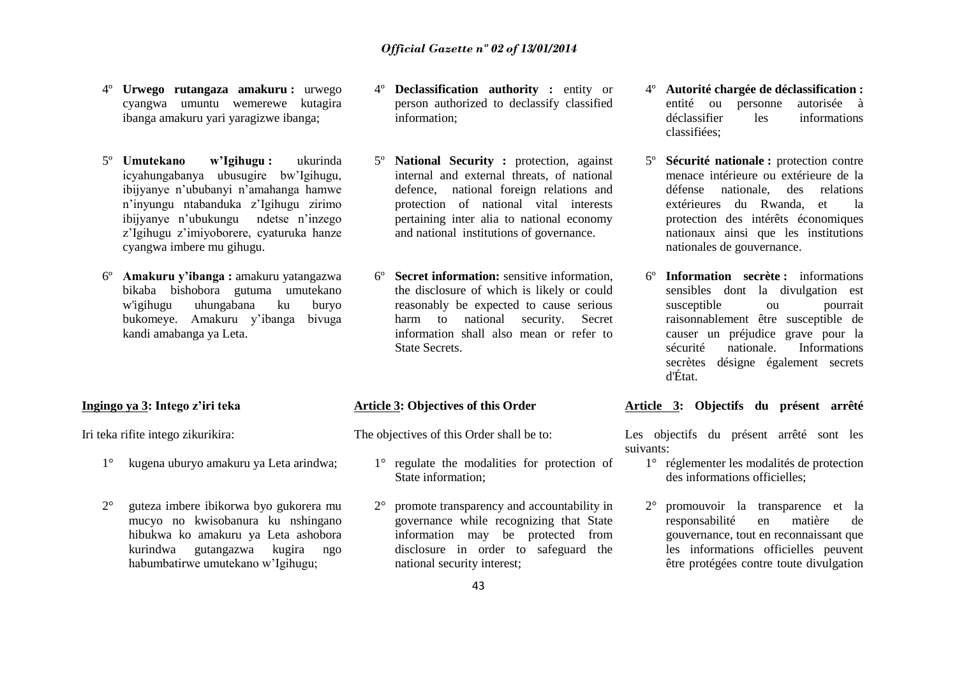- 4º **Urwego rutangaza amakuru :** urwego cyangwa umuntu wemerewe kutagira ibanga amakuru yari yaragizwe ibanga;
- 5º **Umutekano w'Igihugu :** ukurinda icyahungabanya ubusugire bw'Igihugu, ibijyanye n'ububanyi n'amahanga hamwe n'inyungu ntabanduka z'Igihugu zirimo ibijyanye n'ubukungu ndetse n'inzego z'Igihugu z'imiyoborere, cyaturuka hanze cyangwa imbere mu gihugu.
- 6º **Amakuru y'ibanga :** amakuru yatangazwa bikaba bishobora gutuma umutekano w'igihugu uhungabana ku buryo bukomeye. Amakuru y'ibanga bivuga kandi amabanga ya Leta.

### **Ingingo ya 3: Intego z'iri teka**

Iri teka rifite intego zikurikira:

- 1° kugena uburyo amakuru ya Leta arindwa;
- 2° guteza imbere ibikorwa byo gukorera mu mucyo no kwisobanura ku nshingano hibukwa ko amakuru ya Leta ashobora kurindwa gutangazwa kugira ngo habumbatirwe umutekano w'Igihugu;
- 4º **Declassification authority :** entity or person authorized to declassify classified information;
- **National Security :** protection, against internal and external threats, of national defence, national foreign relations and protection of national vital interests pertaining inter alia to national economy and national institutions of governance.
- **Secret information:** sensitive information, the disclosure of which is likely or could reasonably be expected to cause serious harm to national security. Secret information shall also mean or refer to State Secrets.

### **Article 3: Objectives of this Order**

The objectives of this Order shall be to:

- 1° regulate the modalities for protection of State information;
- 2° promote transparency and accountability in governance while recognizing that State information may be protected from disclosure in order to safeguard the national security interest;
- 4º **Autorité chargée de déclassification :** entité ou personne autorisée à déclassifier les informations classifiées;
- 5º **Sécurité nationale :** protection contre menace intérieure ou extérieure de la défense nationale, des relations extérieures du Rwanda, et la protection des intérêts économiques nationaux ainsi que les institutions nationales de gouvernance.
- 6º **Information secrète :** informations sensibles dont la divulgation est susceptible ou pourrait raisonnablement être susceptible de causer un préjudice grave pour la sécurité nationale. Informations secrètes désigne également secrets d'État.

### **Article 3: Objectifs du présent arrêté**

Les objectifs du présent arrêté sont les suivants:

- 1° réglementer les modalités de protection des informations officielles;
- 2° promouvoir la transparence et la responsabilité en matière de gouvernance, tout en reconnaissant que les informations officielles peuvent être protégées contre toute divulgation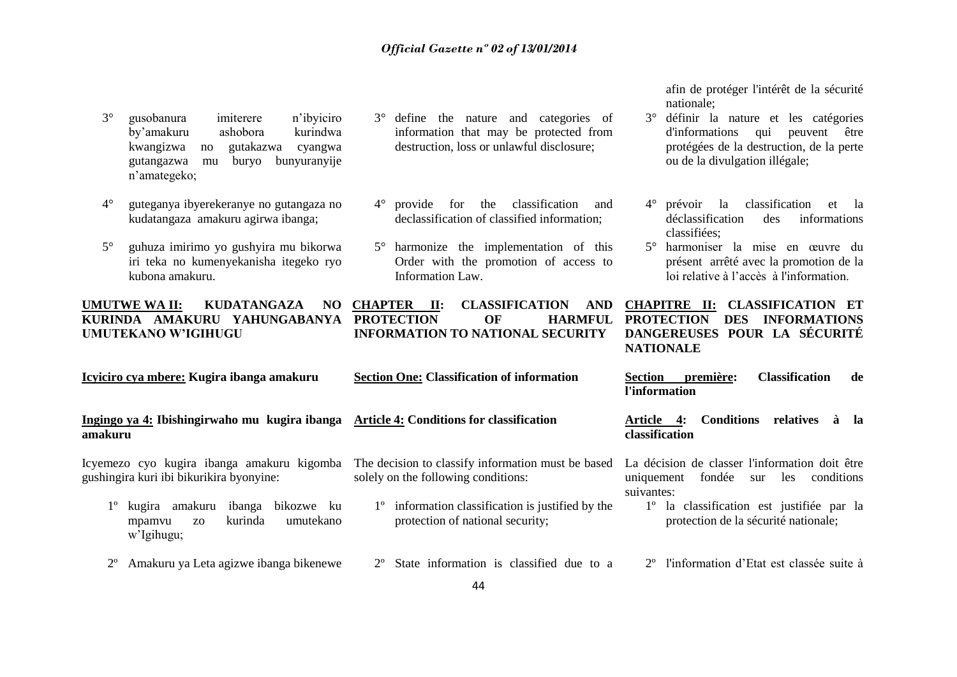- 3° gusobanura imiterere n'ibyiciro by'amakuru ashobora kurindwa kwangizwa no gutakazwa cyangwa gutangazwa mu buryo bunyuranyije n'amategeko;
- 4° guteganya ibyerekeranye no gutangaza no kudatangaza amakuru agirwa ibanga;
- 5° guhuza imirimo yo gushyira mu bikorwa iri teka no kumenyekanisha itegeko ryo kubona amakuru.

### **UMUTWE WA II: KUDATANGAZA NO KURINDA AMAKURU YAHUNGABANYA PROTECTION OF HARMFUL UMUTEKANO W'IGIHUGU**

- 3° define the nature and categories of information that may be protected from destruction, loss or unlawful disclosure;
- 4° provide for the classification and declassification of classified information;
- 5° harmonize the implementation of this Order with the promotion of access to Information Law.

 $CLASSIFICATION$  AND **INFORMATION TO NATIONAL SECURITY**

afin de protéger l'intérêt de la sécurité nationale;

- 3° définir la nature et les catégories d'informations qui peuvent être protégées de la destruction, de la perte ou de la divulgation illégale;
- 4° prévoir la classification et la déclassification des informations classifiées;
- 5° harmoniser la mise en œuvre du présent arrêté avec la promotion de la loi relative à l'accès à l'information.

### **CHAPITRE II: CLASSIFICATION ET PROTECTION DES INFORMATIONS DANGEREUSES POUR LA SÉCURITÉ NATIONALE**

|             | Icyiciro cya mbere: Kugira ibanga amakuru                                                        | <b>Section One: Classification of information</b>                                                 | première:<br><b>Classification</b><br><b>Section</b><br>de<br>l'information                                       |
|-------------|--------------------------------------------------------------------------------------------------|---------------------------------------------------------------------------------------------------|-------------------------------------------------------------------------------------------------------------------|
| amakuru     | Ingingo ya 4: Ibishingirwaho mu kugira ibanga                                                    | <b>Article 4: Conditions for classification</b>                                                   | <b>Conditions</b><br>relatives<br>Article<br>-4:<br>- Ia<br>à<br>classification                                   |
|             | Icyemezo cyo kugira ibanga amakuru kigomba<br>gushingira kuri ibi bikurikira byonyine:           | The decision to classify information must be based<br>solely on the following conditions:         | La décision de classer l'information doit être<br>fondée<br>conditions<br>uniquement<br>les.<br>sur<br>suivantes: |
|             | amakuru<br>ibanga<br>bikozwe ku<br>kugira<br>kurinda<br>umutekano<br>mpamvu<br>ZO.<br>w'Igihugu; | information classification is justified by the<br>$1^{\circ}$<br>protection of national security; | la classification est justifiée par la<br>$1^{\circ}$<br>protection de la sécurité nationale;                     |
| $2^{\circ}$ | Amakuru ya Leta agizwe ibanga bikenewe                                                           | State information is classified due to a<br>$2^{\circ}$                                           | 2 <sup>°</sup> l'information d'Etat est classée suite à                                                           |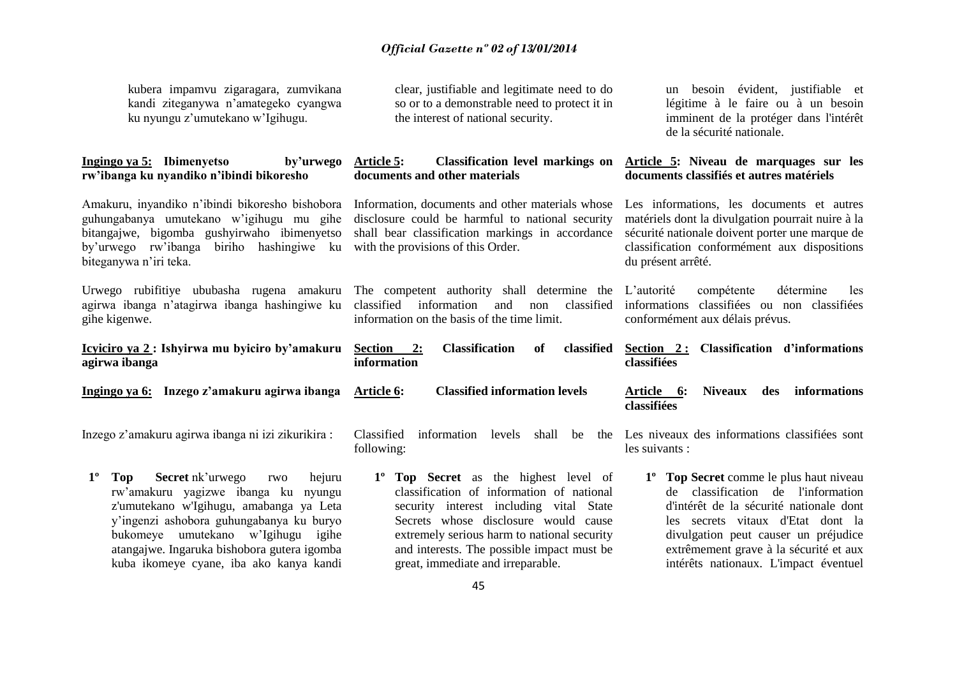kubera impamvu zigaragara, zumvikana kandi ziteganywa n'amategeko cyangwa ku nyungu z'umutekano w'Igihugu.

### **Ingingo ya 5: Ibimenyetso by'urwego rw'ibanga ku nyandiko n'ibindi bikoresho**

Amakuru, inyandiko n'ibindi bikoresho bishobora guhungabanya umutekano w'igihugu mu gihe bitangajwe, bigomba gushyirwaho ibimenyetso by'urwego rw'ibanga biriho hashingiwe ku biteganywa n'iri teka.

Urwego rubifitiye ububasha rugena amakuru agirwa ibanga n'atagirwa ibanga hashingiwe ku gihe kigenwe.

**Icyiciro ya 2 : Ishyirwa mu byiciro by'amakuru agirwa ibanga**

**Ingingo ya 6: Inzego z'amakuru agirwa ibanga** 

Inzego z'amakuru agirwa ibanga ni izi zikurikira :

**1º Top Secret** nk'urwego rwo hejuru rw'amakuru yagizwe ibanga ku nyungu z'umutekano w'Igihugu, amabanga ya Leta y'ingenzi ashobora guhungabanya ku buryo bukomeye umutekano w'Igihugu igihe atangajwe. Ingaruka bishobora gutera igomba kuba ikomeye cyane, iba ako kanya kandi

clear, justifiable and legitimate need to do so or to a demonstrable need to protect it in the interest of national security.

### **Article 5: Classification level markings on documents and other materials**

Information, documents and other materials whose disclosure could be harmful to national security shall bear classification markings in accordance with the provisions of this Order.

The competent authority shall determine the classified information and non classified information on the basis of the time limit.

**Section 2: Classification of classified information**

**Article 6: Classified information levels**

Classified information levels shall be following:

**1º Top Secret** as the highest level of classification of information of national security interest including vital State Secrets whose disclosure would cause extremely serious harm to national security and interests. The possible impact must be great, immediate and irreparable.

un besoin évident, justifiable et légitime à le faire ou à un besoin imminent de la protéger dans l'intérêt de la sécurité nationale.

### **Article 5: Niveau de marquages sur les documents classifiés et autres matériels**

Les informations, les documents et autres matériels dont la divulgation pourrait nuire à la sécurité nationale doivent porter une marque de classification conformément aux dispositions du présent arrêté.

L'autorité compétente détermine les informations classifiées ou non classifiées conformément aux délais prévus.

**Section 2 : Classification d'informations classifiées**

**Article 6: Niveaux des informations classifiées**

Les niveaux des informations classifiées sont les suivants :

> **1º Top Secret** comme le plus haut niveau de classification de l'information d'intérêt de la sécurité nationale dont les secrets vitaux d'Etat dont la divulgation peut causer un préjudice extrêmement grave à la sécurité et aux intérêts nationaux. L'impact éventuel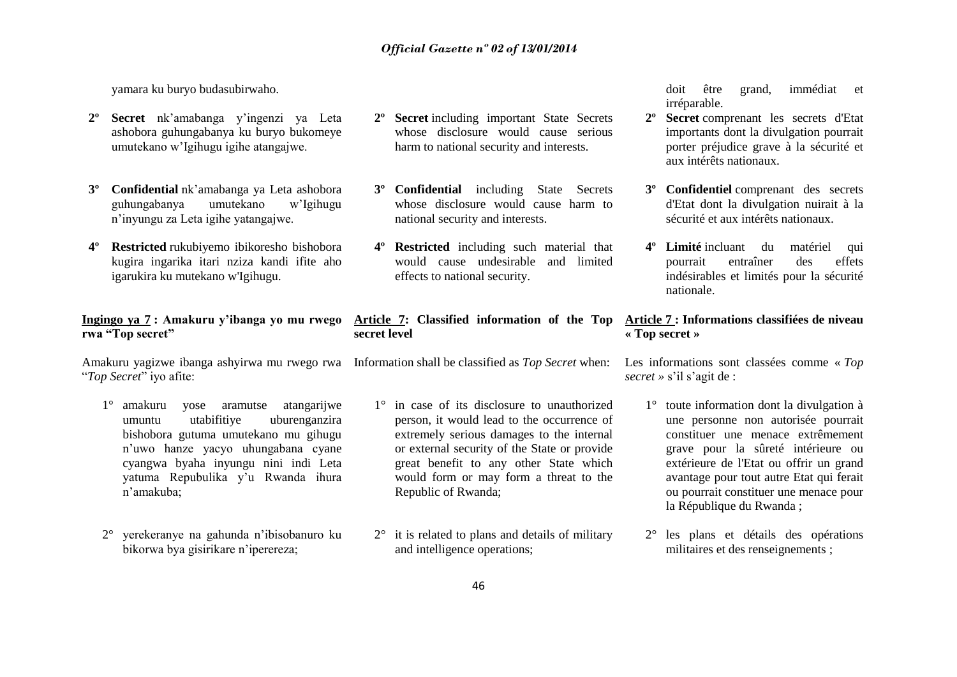yamara ku buryo budasubirwaho.

- **2 Secret** nk'amabanga y'ingenzi ya Leta ashobora guhungabanya ku buryo bukomeye umutekano w'Igihugu igihe atangajwe.
- **3º Confidential** nk'amabanga ya Leta ashobora guhungabanya umutekano w'Igihugu n'inyungu za Leta igihe yatangajwe.
- **4º Restricted** rukubiyemo ibikoresho bishobora kugira ingarika itari nziza kandi ifite aho igarukira ku mutekano w'Igihugu.

### **Ingingo ya 7 : Amakuru y'ibanga yo mu rwego rwa "Top secret"**

Amakuru yagizwe ibanga ashyirwa mu rwego rwa Information shall be classified as *Top Secret* when: "*Top Secret*" iyo afite:

- 1° amakuru yose aramutse atangarijwe umuntu utabifitiye uburenganzira bishobora gutuma umutekano mu gihugu n'uwo hanze yacyo uhungabana cyane cyangwa byaha inyungu nini indi Leta yatuma Repubulika y'u Rwanda ihura n'amakuba;
- 2° yerekeranye na gahunda n'ibisobanuro ku bikorwa bya gisirikare n'iperereza;
- **2º Secret** including important State Secrets whose disclosure would cause serious harm to national security and interests.
- **3º Confidential** including State Secrets whose disclosure would cause harm to national security and interests.
- **4º Restricted** including such material that would cause undesirable and limited effects to national security.

### **Article 7: Classified information of the Top secret level**

- 1° in case of its disclosure to unauthorized person, it would lead to the occurrence of extremely serious damages to the internal or external security of the State or provide great benefit to any other State which would form or may form a threat to the Republic of Rwanda;
- 2° it is related to plans and details of military and intelligence operations;

doit être grand, immédiat et irréparable.

- **2º Secret** comprenant les secrets d'Etat importants dont la divulgation pourrait porter préjudice grave à la sécurité et aux intérêts nationaux.
- **3º Confidentiel** comprenant des secrets d'Etat dont la divulgation nuirait à la sécurité et aux intérêts nationaux.
- **4º Limité** incluant du matériel qui pourrait entraîner des effets indésirables et limités pour la sécurité nationale.

### **Article 7 : Informations classifiées de niveau « Top secret »**

Les informations sont classées comme « *Top secret »* s'il s'agit de :

- 1° toute information dont la divulgation à une personne non autorisée pourrait constituer une menace extrêmement grave pour la sûreté intérieure ou extérieure de l'Etat ou offrir un grand avantage pour tout autre Etat qui ferait ou pourrait constituer une menace pour la République du Rwanda ;
- 2° les plans et détails des opérations militaires et des renseignements ;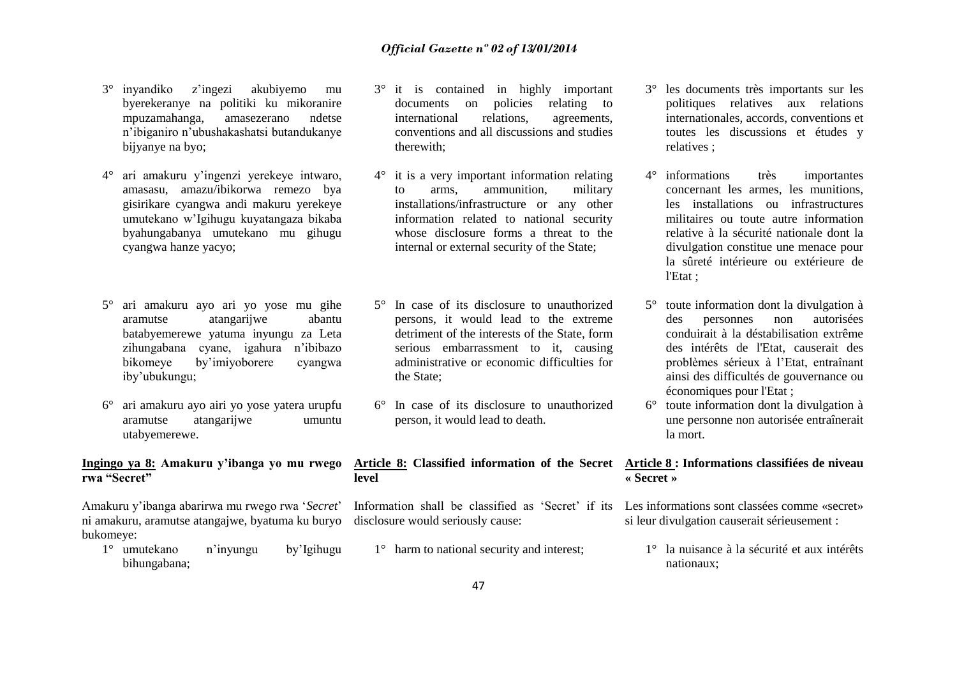- 3° inyandiko z'ingezi akubiyemo mu byerekeranye na politiki ku mikoranire mpuzamahanga, amasezerano ndetse n'ibiganiro n'ubushakashatsi butandukanye bijyanye na byo;
- 4° ari amakuru y'ingenzi yerekeye intwaro, amasasu, amazu/ibikorwa remezo bya gisirikare cyangwa andi makuru yerekeye umutekano w'Igihugu kuyatangaza bikaba byahungabanya umutekano mu gihugu cyangwa hanze yacyo;
- 5° ari amakuru ayo ari yo yose mu gihe aramutse atangarijwe abantu batabyemerewe yatuma inyungu za Leta zihungabana cyane, igahura n'ibibazo bikomeye by'imiyoborere cyangwa iby'ubukungu;
- 6° ari amakuru ayo airi yo yose yatera urupfu aramutse atangarijwe umuntu utabyemerewe.

### **Ingingo ya 8: Amakuru y'ibanga yo mu rwego rwa "Secret"**

Amakuru y'ibanga abarirwa mu rwego rwa '*Secret*' ni amakuru, aramutse atangajwe, byatuma ku buryo disclosure would seriously cause: bukomeye:

1° umutekano n'inyungu by'Igihugu bihungabana;

- 3° it is contained in highly important documents on policies relating to international relations, agreements, conventions and all discussions and studies therewith;
- 4° it is a very important information relating to arms, ammunition, military installations/infrastructure or any other information related to national security whose disclosure forms a threat to the internal or external security of the State;
- 5° In case of its disclosure to unauthorized persons, it would lead to the extreme detriment of the interests of the State, form serious embarrassment to it, causing administrative or economic difficulties for the State;
- 6° In case of its disclosure to unauthorized person, it would lead to death.

### **Article 8: Classified information of the Secret Article 8 : Informations classifiées de niveau level**

Information shall be classified as 'Secret' if its Les informations sont classées comme «secret»

1<sup>°</sup> harm to national security and interest;

- 3° les documents très importants sur les politiques relatives aux relations internationales, accords, conventions et toutes les discussions et études y relatives ;
- 4° informations très importantes concernant les armes, les munitions, les installations ou infrastructures militaires ou toute autre information relative à la sécurité nationale dont la divulgation constitue une menace pour la sûreté intérieure ou extérieure de l'Etat ;
- 5° toute information dont la divulgation à des personnes non autorisées conduirait à la déstabilisation extrême des intérêts de l'Etat, causerait des problèmes sérieux à l'Etat, entraînant ainsi des difficultés de gouvernance ou économiques pour l'Etat ;
- 6° toute information dont la divulgation à une personne non autorisée entraînerait la mort.

# **« Secret »**

si leur divulgation causerait sérieusement :

1° la nuisance à la sécurité et aux intérêts nationaux;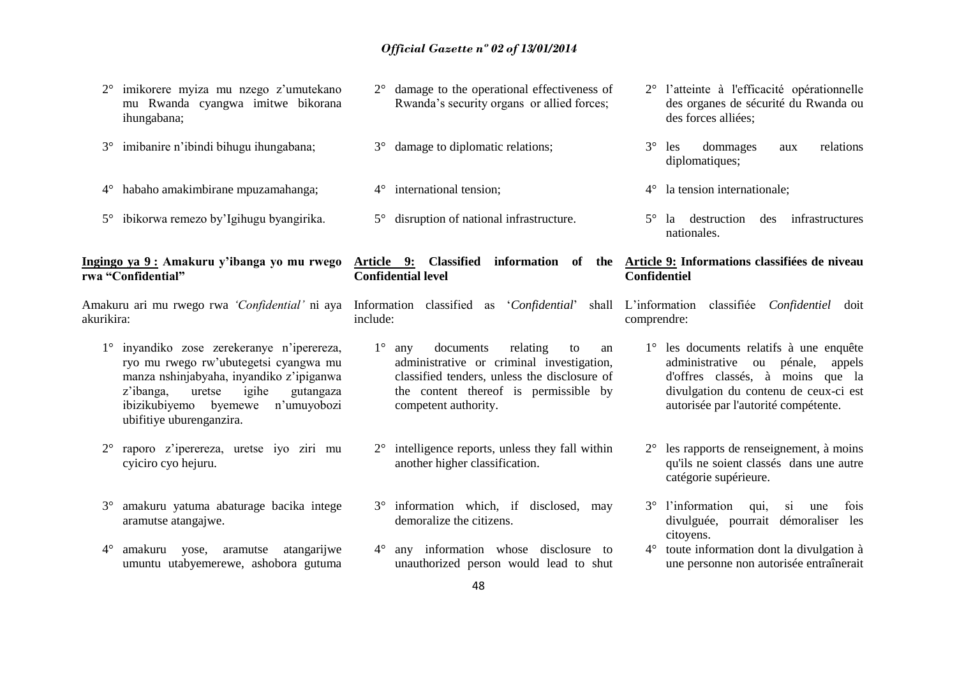|             | imikorere myiza mu nzego z'umutekano<br>mu Rwanda cyangwa imitwe bikorana<br>ihungabana;                                                                                                                                                      |             | $2^{\circ}$ damage to the operational effectiveness of<br>Rwanda's security organs or allied forces;                                                                                                   |                     | 2° l'atteinte à l'efficacité opérationnelle<br>des organes de sécurité du Rwanda ou<br>des forces alliées;                                                                                             |
|-------------|-----------------------------------------------------------------------------------------------------------------------------------------------------------------------------------------------------------------------------------------------|-------------|--------------------------------------------------------------------------------------------------------------------------------------------------------------------------------------------------------|---------------------|--------------------------------------------------------------------------------------------------------------------------------------------------------------------------------------------------------|
| $3^\circ$   | imibanire n'ibindi bihugu ihungabana;                                                                                                                                                                                                         | $3^{\circ}$ | damage to diplomatic relations;                                                                                                                                                                        | $3^\circ$           | dommages<br>relations<br>les<br>aux<br>diplomatiques;                                                                                                                                                  |
| $4^{\circ}$ | habaho amakimbirane mpuzamahanga;                                                                                                                                                                                                             |             | $4^{\circ}$ international tension;                                                                                                                                                                     | $4^{\circ}$         | la tension internationale;                                                                                                                                                                             |
| $5^{\circ}$ | ibikorwa remezo by'Igihugu byangirika.                                                                                                                                                                                                        |             | 5° disruption of national infrastructure.                                                                                                                                                              |                     | $5^{\circ}$ la destruction<br>infrastructures<br>des<br>nationales.                                                                                                                                    |
|             | Ingingo ya 9: Amakuru y'ibanga yo mu rwego<br>rwa "Confidential"                                                                                                                                                                              |             | Article 9: Classified information of the Article 9: Informations classifies de niveau<br><b>Confidential level</b>                                                                                     | <b>Confidentiel</b> |                                                                                                                                                                                                        |
| akurikira:  | Amakuru ari mu rwego rwa 'Confidential' ni aya                                                                                                                                                                                                | include:    | Information classified as 'Confidential'                                                                                                                                                               | comprendre:         | shall L'information<br>classifiée Confidentiel doit                                                                                                                                                    |
|             | inyandiko zose zerekeranye n'iperereza,<br>ryo mu rwego rw'ubutegetsi cyangwa mu<br>manza nshinjabyaha, inyandiko z'ipiganwa<br>z'ibanga,<br>igihe<br>uretse<br>gutangaza<br>ibizikubiyemo byemewe<br>n'umuyobozi<br>ubifitiye uburenganzira. | $1^{\circ}$ | relating<br>documents<br>any<br>to<br>an<br>administrative or criminal investigation,<br>classified tenders, unless the disclosure of<br>the content thereof is permissible by<br>competent authority. |                     | 1° les documents relatifs à une enquête<br>ou pénale,<br>administrative<br>appels<br>d'offres classés, à moins que la<br>divulgation du contenu de ceux-ci est<br>autorisée par l'autorité compétente. |
| $2^{\circ}$ | raporo z'iperereza, uretse iyo ziri mu<br>cyiciro cyo hejuru.                                                                                                                                                                                 | $2^{\circ}$ | intelligence reports, unless they fall within<br>another higher classification.                                                                                                                        |                     | $2^{\circ}$ les rapports de renseignement, à moins<br>qu'ils ne soient classés dans une autre<br>catégorie supérieure.                                                                                 |
| $3^\circ$   | amakuru yatuma abaturage bacika intege<br>aramutse atangajwe.                                                                                                                                                                                 |             | 3° information which, if disclosed, may<br>demoralize the citizens.                                                                                                                                    |                     | 3° l'information<br>fois<br>qui,<br><sub>si</sub><br>une<br>divulguée, pourrait<br>démoraliser les<br>citoyens.                                                                                        |
| $4^\circ$   | amakuru<br>atangarijwe<br>yose,<br>aramutse<br>umuntu utabyemerewe, ashobora gutuma                                                                                                                                                           | $4^\circ$   | any information whose disclosure to<br>unauthorized person would lead to shut                                                                                                                          |                     | 4° toute information dont la divulgation à<br>une personne non autorisée entraînerait                                                                                                                  |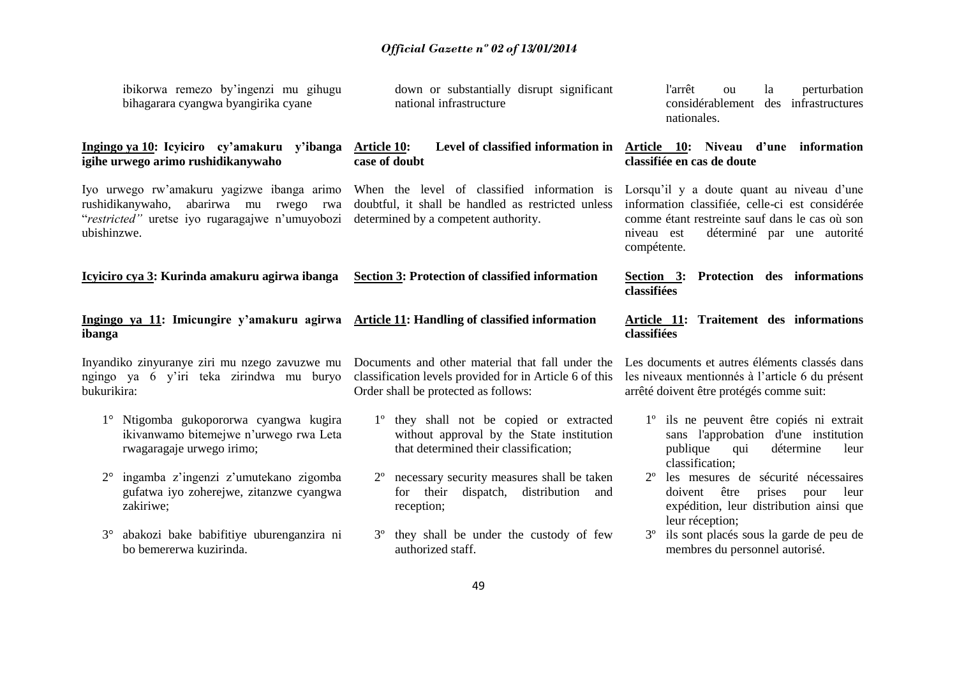| ibikorwa remezo by'ingenzi mu gihugu<br>bihagarara cyangwa byangirika cyane                                                                            | down or substantially disrupt significant<br>national infrastructure                                                                                | perturbation<br>l'arrêt<br>la<br>$_{\text{o}u}$<br>considérablement des infrastructures<br>nationales.                                                                                                    |
|--------------------------------------------------------------------------------------------------------------------------------------------------------|-----------------------------------------------------------------------------------------------------------------------------------------------------|-----------------------------------------------------------------------------------------------------------------------------------------------------------------------------------------------------------|
| Ingingo ya 10: Icyiciro cy'amakuru y'ibanga<br>igihe urwego arimo rushidikanywaho                                                                      | <b>Article 10:</b><br>case of doubt                                                                                                                 | Level of classified information in Article 10: Niveau d'une information<br>classifiée en cas de doute                                                                                                     |
| Iyo urwego rw'amakuru yagizwe ibanga arimo<br>rushidikanywaho, abarirwa mu rwego rwa<br>"restricted" uretse iyo rugaragajwe n'umuyobozi<br>ubishinzwe. | When the level of classified information is<br>doubtful, it shall be handled as restricted unless<br>determined by a competent authority.           | Lorsqu'il y a doute quant au niveau d'une<br>information classifiée, celle-ci est considérée<br>comme étant restreinte sauf dans le cas où son<br>niveau est<br>déterminé par une autorité<br>compétente. |
| Icyiciro cya 3: Kurinda amakuru agirwa ibanga                                                                                                          | <b>Section 3: Protection of classified information</b>                                                                                              | Section 3: Protection des informations<br>classifiées                                                                                                                                                     |
| Ingingo ya 11: Imicungire y'amakuru agirwa<br>ibanga                                                                                                   | <b>Article 11: Handling of classified information</b>                                                                                               | Article 11: Traitement des informations<br>classifiées                                                                                                                                                    |
| Inyandiko zinyuranye ziri mu nzego zavuzwe mu<br>ngingo ya 6 y'iri teka zirindwa mu buryo<br>bukurikira:                                               | Documents and other material that fall under the<br>classification levels provided for in Article 6 of this<br>Order shall be protected as follows: | Les documents et autres éléments classés dans<br>les niveaux mentionnés à l'article 6 du présent<br>arrêté doivent être protégés comme suit:                                                              |
| 1° Ntigomba gukopororwa cyangwa kugira<br>ikivanwamo bitemejwe n'urwego rwa Leta<br>rwagaragaje urwego irimo;                                          | 1 <sup>°</sup> they shall not be copied or extracted<br>without approval by the State institution<br>that determined their classification;          | 1 <sup>°</sup> ils ne peuvent être copiés ni extrait<br>sans l'approbation d'une institution<br>publique<br>détermine<br>qui<br>leur<br>classification;                                                   |
| ingamba z'ingenzi z'umutekano zigomba<br>$2^{\circ}$<br>gufatwa iyo zoherejwe, zitanzwe cyangwa<br>zakiriwe;                                           | necessary security measures shall be taken<br>$2^{\circ}$<br>their dispatch,<br>distribution<br>and<br>for<br>reception;                            | 2 <sup>°</sup> les mesures de sécurité nécessaires<br>être<br>prises<br>pour<br>leur<br>doivent<br>expédition, leur distribution ainsi que<br>leur réception;                                             |
| abakozi bake babifitiye uburenganzira ni<br>$3^\circ$<br>bo bemererwa kuzirinda.                                                                       | they shall be under the custody of few<br>authorized staff.                                                                                         | ils sont placés sous la garde de peu de<br>$3^{\circ}$<br>membres du personnel autorisé.                                                                                                                  |
|                                                                                                                                                        | $\sqrt{2}$                                                                                                                                          |                                                                                                                                                                                                           |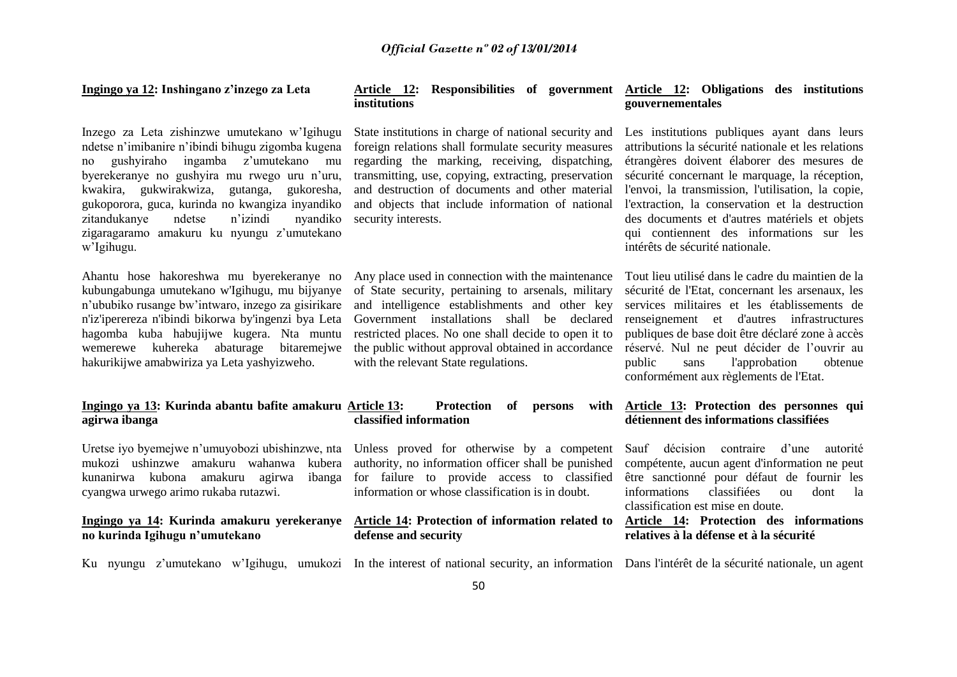### **Ingingo ya 12: Inshingano z'inzego za Leta**

Inzego za Leta zishinzwe umutekano w'Igihugu ndetse n'imibanire n'ibindi bihugu zigomba kugena no gushyiraho ingamba z'umutekano mu byerekeranye no gushyira mu rwego uru n'uru, kwakira, gukwirakwiza, gutanga, gukoresha, gukoporora, guca, kurinda no kwangiza inyandiko zitandukanye ndetse n'izindi nyandiko zigaragaramo amakuru ku nyungu z'umutekano w'Igihugu.

Ahantu hose hakoreshwa mu byerekeranye no kubungabunga umutekano w'Igihugu, mu bijyanye n'ububiko rusange bw'intwaro, inzego za gisirikare n'iz'iperereza n'ibindi bikorwa by'ingenzi bya Leta hagomba kuba habujijwe kugera. Nta muntu wemerewe kuhereka abaturage bitaremejwe hakurikijwe amabwiriza ya Leta yashyizweho.

### **Ingingo ya 13: Kurinda abantu bafite amakuru agirwa ibanga**

Uretse iyo byemejwe n'umuyobozi ubishinzwe, nta Unless proved for otherwise by a competent mukozi ushinzwe amakuru wahanwa kubera kunanirwa kubona amakuru agirwa cyangwa urwego arimo rukaba rutazwi.

### **Ingingo ya 14: Kurinda amakuru yerekeranye no kurinda Igihugu n'umutekano**

### **Article 12: Responsibilities of government Article 12: Obligations des institutions institutions**

State institutions in charge of national security and foreign relations shall formulate security measures regarding the marking, receiving, dispatching, transmitting, use, copying, extracting, preservation and destruction of documents and other material and objects that include information of national security interests.

Any place used in connection with the maintenance of State security, pertaining to arsenals, military and intelligence establishments and other key Government installations shall be declared restricted places. No one shall decide to open it to the public without approval obtained in accordance with the relevant State regulations.

### Protection of persons with **classified information**

authority, no information officer shall be punished ibanga for failure to provide access to classified information or whose classification is in doubt.

### **Article 14: Protection of information related to defense and security**

# **gouvernementales**

Les institutions publiques ayant dans leurs attributions la sécurité nationale et les relations étrangères doivent élaborer des mesures de sécurité concernant le marquage, la réception, l'envoi, la transmission, l'utilisation, la copie, l'extraction, la conservation et la destruction des documents et d'autres matériels et objets qui contiennent des informations sur les intérêts de sécurité nationale.

Tout lieu utilisé dans le cadre du maintien de la sécurité de l'Etat, concernant les arsenaux, les services militaires et les établissements de renseignement et d'autres infrastructures publiques de base doit être déclaré zone à accès réservé. Nul ne peut décider de l'ouvrir au public sans l'approbation obtenue conformément aux règlements de l'Etat.

### **Article 13: Protection des personnes qui détiennent des informations classifiées**

Sauf décision contraire d'une autorité compétente, aucun agent d'information ne peut être sanctionné pour défaut de fournir les informations classifiées ou dont la classification est mise en doute.

### **Article 14: Protection des informations relatives à la défense et à la sécurité**

Ku nyungu z'umutekano w'Igihugu, umukozi In the interest of national security, an information Dans l'intérêt de la sécurité nationale, un agent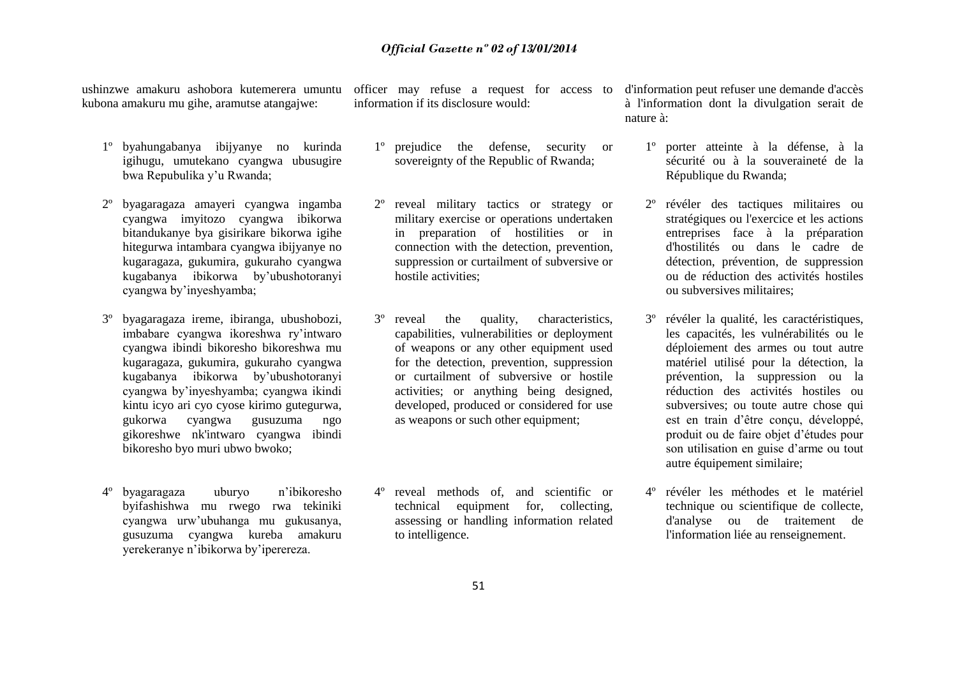ushinzwe amakuru ashobora kutemerera umuntu kubona amakuru mu gihe, aramutse atangajwe:

- 1º byahungabanya ibijyanye no kurinda igihugu, umutekano cyangwa ubusugire bwa Repubulika y'u Rwanda;
- 2º byagaragaza amayeri cyangwa ingamba cyangwa imyitozo cyangwa ibikorwa bitandukanye bya gisirikare bikorwa igihe hitegurwa intambara cyangwa ibijyanye no kugaragaza, gukumira, gukuraho cyangwa kugabanya ibikorwa by'ubushotoranyi cyangwa by'inyeshyamba;
- 3º byagaragaza ireme, ibiranga, ubushobozi, imbabare cyangwa ikoreshwa ry'intwaro cyangwa ibindi bikoresho bikoreshwa mu kugaragaza, gukumira, gukuraho cyangwa kugabanya ibikorwa by'ubushotoranyi cyangwa by'inyeshyamba; cyangwa ikindi kintu icyo ari cyo cyose kirimo gutegurwa, gukorwa cyangwa gusuzuma ngo gikoreshwe nk'intwaro cyangwa ibindi bikoresho byo muri ubwo bwoko;
- 4º byagaragaza uburyo n'ibikoresho byifashishwa mu rwego rwa tekiniki cyangwa urw'ubuhanga mu gukusanya, gusuzuma cyangwa kureba amakuru yerekeranye n'ibikorwa by'iperereza.

information if its disclosure would:

- 1º prejudice the defense, security or sovereignty of the Republic of Rwanda;
- 2º reveal military tactics or strategy or military exercise or operations undertaken in preparation of hostilities or in connection with the detection, prevention, suppression or curtailment of subversive or hostile activities;
- 3º reveal the quality, characteristics, capabilities, vulnerabilities or deployment of weapons or any other equipment used for the detection, prevention, suppression or curtailment of subversive or hostile activities; or anything being designed, developed, produced or considered for use as weapons or such other equipment;
- reveal methods of, and scientific or technical equipment for, collecting, assessing or handling information related to intelligence.

officer may refuse a request for access to d'information peut refuser une demande d'accès à l'information dont la divulgation serait de nature à:

- 1º porter atteinte à la défense, à la sécurité ou à la souveraineté de la République du Rwanda;
- 2º révéler des tactiques militaires ou stratégiques ou l'exercice et les actions entreprises face à la préparation d'hostilités ou dans le cadre de détection, prévention, de suppression ou de réduction des activités hostiles ou subversives militaires;
- 3º révéler la qualité, les caractéristiques, les capacités, les vulnérabilités ou le déploiement des armes ou tout autre matériel utilisé pour la détection, la prévention, la suppression ou la réduction des activités hostiles ou subversives; ou toute autre chose qui est en train d'être conçu, développé, produit ou de faire objet d'études pour son utilisation en guise d'arme ou tout autre équipement similaire;
- 4º révéler les méthodes et le matériel technique ou scientifique de collecte, d'analyse ou de traitement de l'information liée au renseignement.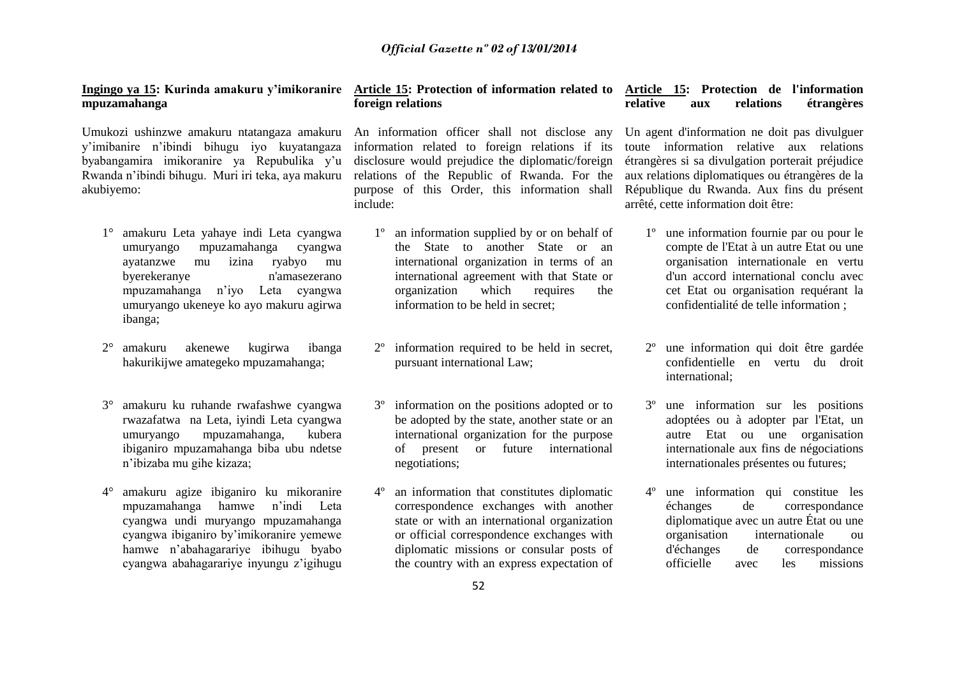# **mpuzamahanga**

Umukozi ushinzwe amakuru ntatangaza amakuru y'imibanire n'ibindi bihugu iyo kuyatangaza byabangamira imikoranire ya Repubulika y'u Rwanda n'ibindi bihugu. Muri iri teka, aya makuru akubiyemo:

- 1° amakuru Leta yahaye indi Leta cyangwa umuryango mpuzamahanga cyangwa ayatanzwe mu izina ryabyo mu byerekeranye n'amasezerano mpuzamahanga n'iyo Leta cyangwa umuryango ukeneye ko ayo makuru agirwa ibanga;
- 2° amakuru akenewe kugirwa ibanga hakurikijwe amategeko mpuzamahanga;
- 3° amakuru ku ruhande rwafashwe cyangwa rwazafatwa na Leta, iyindi Leta cyangwa umuryango mpuzamahanga, kubera ibiganiro mpuzamahanga biba ubu ndetse n'ibizaba mu gihe kizaza;
- 4° amakuru agize ibiganiro ku mikoranire mpuzamahanga hamwe n'indi Leta cyangwa undi muryango mpuzamahanga cyangwa ibiganiro by'imikoranire yemewe hamwe n'abahagarariye ibihugu byabo cyangwa abahagarariye inyungu z'igihugu

### **Ingingo ya 15: Kurinda amakuru y'imikoranire Article 15: Protection of information related to Article 15: Protection de l'information foreign relations**

An information officer shall not disclose any information related to foreign relations if its disclosure would prejudice the diplomatic/foreign relations of the Republic of Rwanda. For the purpose of this Order, this information shall include:

- 1º an information supplied by or on behalf of the State to another State or an international organization in terms of an international agreement with that State or organization which requires the information to be held in secret;
- information required to be held in secret, pursuant international Law;
- 3º information on the positions adopted or to be adopted by the state, another state or an international organization for the purpose of present or future international negotiations;
- an information that constitutes diplomatic correspondence exchanges with another state or with an international organization or official correspondence exchanges with diplomatic missions or consular posts of the country with an express expectation of

# **relative aux relations étrangères**

Un agent d'information ne doit pas divulguer toute information relative aux relations étrangères si sa divulgation porterait préjudice aux relations diplomatiques ou étrangères de la République du Rwanda. Aux fins du présent arrêté, cette information doit être:

- 1º une information fournie par ou pour le compte de l'Etat à un autre Etat ou une organisation internationale en vertu d'un accord international conclu avec cet Etat ou organisation requérant la confidentialité de telle information ;
- 2º une information qui doit être gardée confidentielle en vertu du droit international;
- 3º une information sur les positions adoptées ou à adopter par l'Etat, un autre Etat ou une organisation internationale aux fins de négociations internationales présentes ou futures;
- 4º une information qui constitue les échanges de correspondance diplomatique avec un autre État ou une organisation internationale ou d'échanges de correspondance officielle avec les missions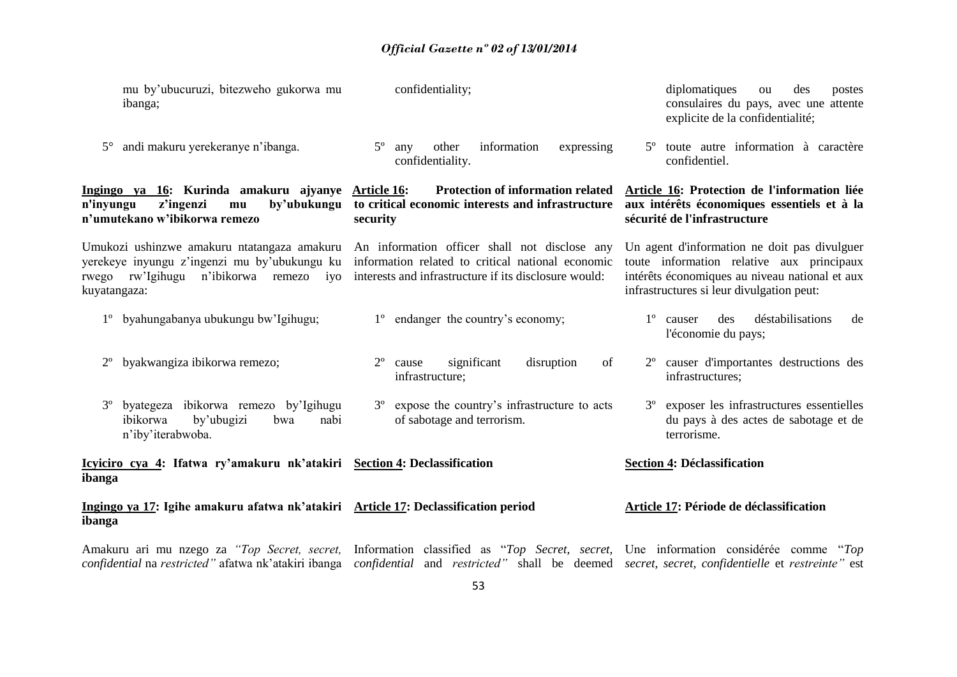| mu by'ubucuruzi, bitezweho gukorwa mu<br>ibanga;                                                                                                            | confidentiality;                                                                                                                                            | diplomatiques<br>des<br>ou<br>postes<br>consulaires du pays, avec une attente<br>explicite de la confidentialité;                                                                        |
|-------------------------------------------------------------------------------------------------------------------------------------------------------------|-------------------------------------------------------------------------------------------------------------------------------------------------------------|------------------------------------------------------------------------------------------------------------------------------------------------------------------------------------------|
| andi makuru yerekeranye n'ibanga.<br>$5^{\circ}$                                                                                                            | $5^{\circ}$<br>information<br>other<br>expressing<br>any<br>confidentiality.                                                                                | toute autre information à caractère<br>$5^{\circ}$<br>confidentiel.                                                                                                                      |
| Ingingo ya 16: Kurinda amakuru ajyanye<br>z'ingenzi<br>by'ubukungu<br>n'inyungu<br>mu<br>n'umutekano w'ibikorwa remezo                                      | <b>Protection of information related</b><br>Article 16:<br>to critical economic interests and infrastructure<br>security                                    | Article 16: Protection de l'information liée<br>aux intérêts économiques essentiels et à la<br>sécurité de l'infrastructure                                                              |
| Umukozi ushinzwe amakuru ntatangaza amakuru<br>yerekeye inyungu z'ingenzi mu by'ubukungu ku<br>rw'Igihugu n'ibikorwa remezo<br>rwego<br>ivo<br>kuyatangaza: | An information officer shall not disclose any<br>information related to critical national economic<br>interests and infrastructure if its disclosure would: | Un agent d'information ne doit pas divulguer<br>toute information relative aux principaux<br>intérêts économiques au niveau national et aux<br>infrastructures si leur divulgation peut: |
| byahungabanya ubukungu bw'Igihugu;<br>$1^{\circ}$                                                                                                           | endanger the country's economy;<br>$1^{\circ}$                                                                                                              | $1^{\circ}$<br>déstabilisations<br>causer<br>des<br>de<br>l'économie du pays;                                                                                                            |
| byakwangiza ibikorwa remezo;<br>$2^{\circ}$                                                                                                                 | $2^{\circ}$<br>significant<br>disruption<br>of<br>cause<br>infrastructure;                                                                                  | causer d'importantes destructions des<br>$2^{\circ}$<br>infrastructures;                                                                                                                 |
| byategeza ibikorwa remezo by'Igihugu<br>$3^{\circ}$<br>nabi<br>ibikorwa<br>by'ubugizi<br>bwa<br>n'iby'iterabwoba.                                           | expose the country's infrastructure to acts<br>$3^{\circ}$<br>of sabotage and terrorism.                                                                    | 3 <sup>°</sup> exposer les infrastructures essentielles<br>du pays à des actes de sabotage et de<br>terrorisme.                                                                          |
| Icyiciro cya 4: Ifatwa ry'amakuru nk'atakiri Section 4: Declassification<br>ibanga                                                                          |                                                                                                                                                             | <b>Section 4: Déclassification</b>                                                                                                                                                       |
| Ingingo ya 17: Igihe amakuru afatwa nk'atakiri Article 17: Declassification period<br>ibanga                                                                |                                                                                                                                                             | Article 17: Période de déclassification                                                                                                                                                  |

Amakuru ari mu nzego za "*Top Secret, secret, Information classified as "Top Secret, secret, Une information considérée comme "Top confidential* na *restricted"* afatwa nk'atakiri ibanga *confidential* and *restricted"* shall be deemed *secret, secret, confidentielle* et *restreinte"* est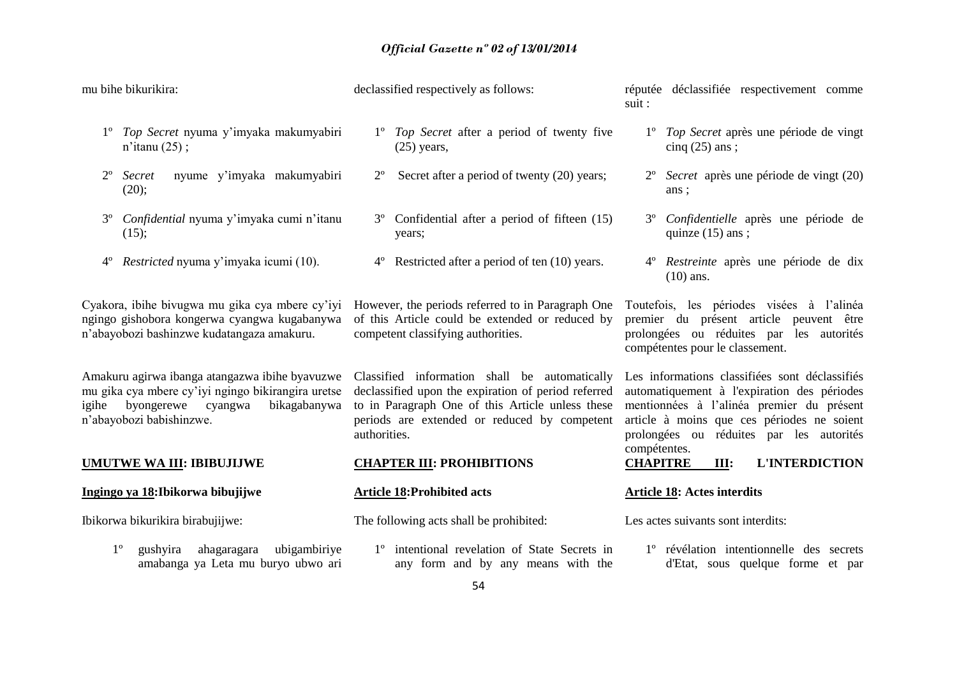mu bihe bikurikira: 1º *Top Secret* nyuma y'imyaka makumyabiri n'itanu (25) ; 2º *Secret* nyume y'imyaka makumyabiri (20); 3º *Confidential* nyuma y'imyaka cumi n'itanu (15); 4º *Restricted* nyuma y'imyaka icumi (10). Cyakora, ibihe bivugwa mu gika cya mbere cy'iyi ngingo gishobora kongerwa cyangwa kugabanywa n'abayobozi bashinzwe kudatangaza amakuru. Amakuru agirwa ibanga atangazwa ibihe byavuzwe mu gika cya mbere cy'iyi ngingo bikirangira uretse igihe byongerewe cyangwa bikagabanywa n'abayobozi babishinzwe. **UMUTWE WA III: IBIBUJIJWE Ingingo ya 18:Ibikorwa bibujijwe** Ibikorwa bikurikira birabujijwe: 1º gushyira ahagaragara ubigambiriye amabanga ya Leta mu buryo ubwo ari declassified respectively as follows: 1º *Top Secret* after a period of twenty five  $(25)$  years, 2º Secret after a period of twenty (20) years; 3º Confidential after a period of fifteen (15) years; 4º Restricted after a period of ten (10) years. However, the periods referred to in Paragraph One of this Article could be extended or reduced by competent classifying authorities. Classified information shall be automatically declassified upon the expiration of period referred to in Paragraph One of this Article unless these periods are extended or reduced by competent authorities. **CHAPTER III: PROHIBITIONS Article 18:Prohibited acts** The following acts shall be prohibited: 1º intentional revelation of State Secrets in any form and by any means with the réputée déclassifiée respectivement comme suit : 1º *Top Secret* après une période de vingt cinq  $(25)$  ans ; 2º *Secret* après une période de vingt (20) ans ; 3º *Confidentielle* après une période de quinze  $(15)$  ans ; 4º *Restreinte* après une période de dix (10) ans. Toutefois, les périodes visées à l'alinéa premier du présent article peuvent être prolongées ou réduites par les autorités compétentes pour le classement. Les informations classifiées sont déclassifiés automatiquement à l'expiration des périodes mentionnées à l'alinéa premier du présent article à moins que ces périodes ne soient prolongées ou réduites par les autorités compétentes. **CHAPITRE III: L'INTERDICTION Article 18: Actes interdits** Les actes suivants sont interdits: 1º révélation intentionnelle des secrets d'Etat, sous quelque forme et par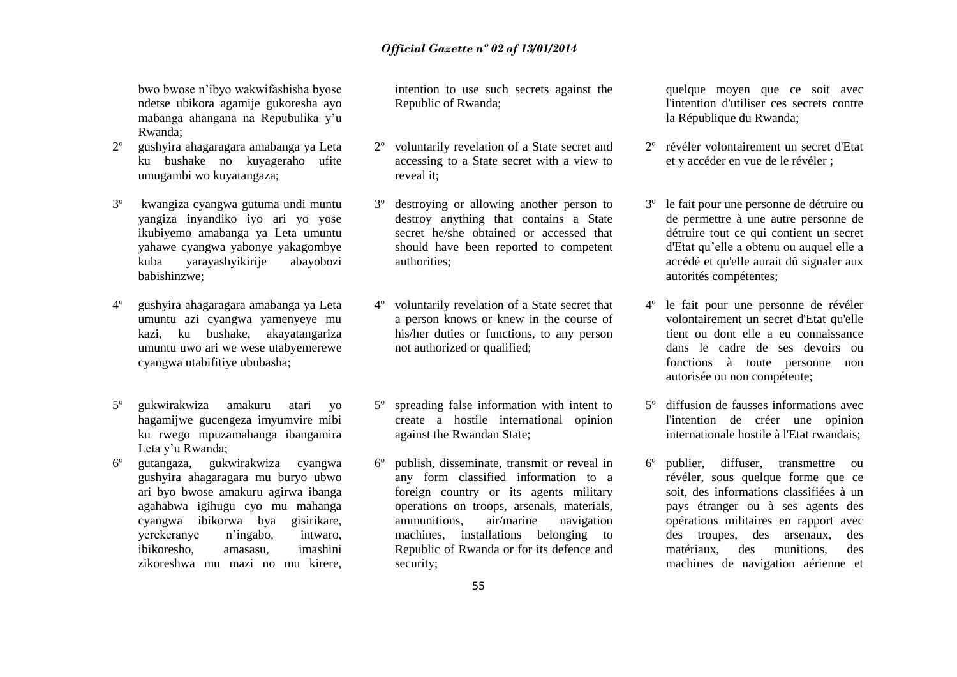bwo bwose n'ibyo wakwifashisha byose ndetse ubikora agamije gukoresha ayo mabanga ahangana na Repubulika y'u Rwanda;

- 2º gushyira ahagaragara amabanga ya Leta ku bushake no kuyageraho ufite umugambi wo kuyatangaza;
- 3º kwangiza cyangwa gutuma undi muntu yangiza inyandiko iyo ari yo yose ikubiyemo amabanga ya Leta umuntu yahawe cyangwa yabonye yakagombye kuba yarayashyikirije abayobozi babishinzwe;
- 4º gushyira ahagaragara amabanga ya Leta umuntu azi cyangwa yamenyeye mu kazi, ku bushake, akayatangariza umuntu uwo ari we wese utabyemerewe cyangwa utabifitiye ububasha;
- 5º gukwirakwiza amakuru atari yo hagamijwe gucengeza imyumvire mibi ku rwego mpuzamahanga ibangamira Leta y'u Rwanda;
- 6º gutangaza, gukwirakwiza cyangwa gushyira ahagaragara mu buryo ubwo ari byo bwose amakuru agirwa ibanga agahabwa igihugu cyo mu mahanga cyangwa ibikorwa bya gisirikare, yerekeranye n'ingabo, intwaro, ibikoresho, amasasu, imashini zikoreshwa mu mazi no mu kirere,

intention to use such secrets against the Republic of Rwanda;

- 2º voluntarily revelation of a State secret and accessing to a State secret with a view to reveal it;
- destroying or allowing another person to destroy anything that contains a State secret he/she obtained or accessed that should have been reported to competent authorities;
- voluntarily revelation of a State secret that a person knows or knew in the course of his/her duties or functions, to any person not authorized or qualified;
- 5º spreading false information with intent to create a hostile international opinion against the Rwandan State;
- 6º publish, disseminate, transmit or reveal in any form classified information to a foreign country or its agents military operations on troops, arsenals, materials, ammunitions, air/marine navigation machines, installations belonging to Republic of Rwanda or for its defence and security;

quelque moyen que ce soit avec l'intention d'utiliser ces secrets contre la République du Rwanda;

- 2º révéler volontairement un secret d'Etat et y accéder en vue de le révéler ;
- 3º le fait pour une personne de détruire ou de permettre à une autre personne de détruire tout ce qui contient un secret d'Etat qu'elle a obtenu ou auquel elle a accédé et qu'elle aurait dû signaler aux autorités compétentes;
- 4º le fait pour une personne de révéler volontairement un secret d'Etat qu'elle tient ou dont elle a eu connaissance dans le cadre de ses devoirs ou fonctions à toute personne non autorisée ou non compétente;
- 5º diffusion de fausses informations avec l'intention de créer une opinion internationale hostile à l'Etat rwandais;
- 6º publier, diffuser, transmettre ou révéler, sous quelque forme que ce soit, des informations classifiées à un pays étranger ou à ses agents des opérations militaires en rapport avec des troupes, des arsenaux, des matériaux, des munitions, des machines de navigation aérienne et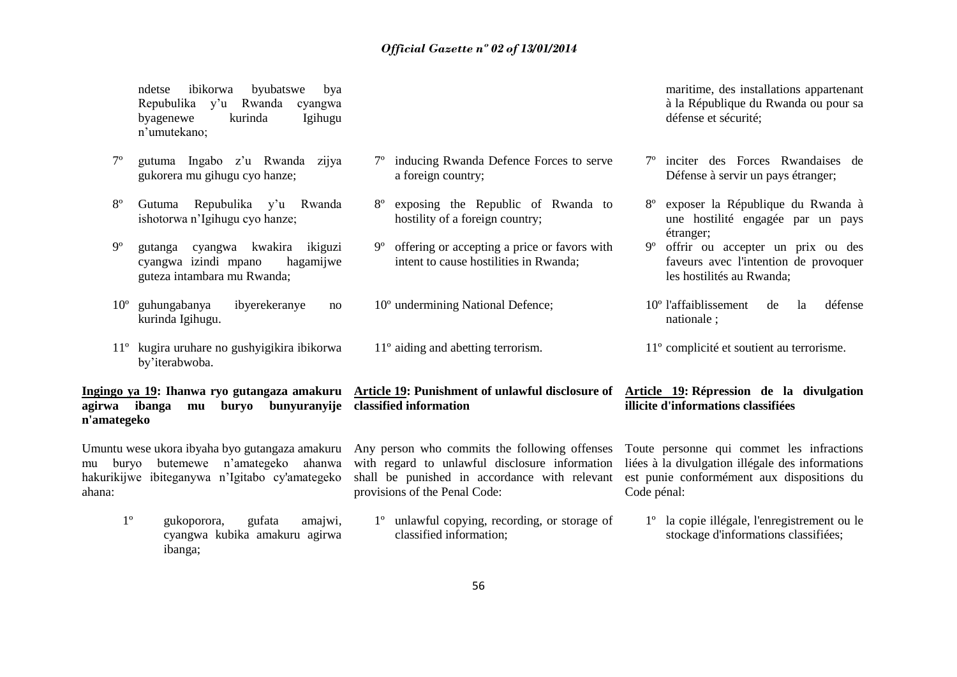a foreign country;

inducing Rwanda Defence Forces to serve

exposing the Republic of Rwanda to

offering or accepting a price or favors with intent to cause hostilities in Rwanda;

hostility of a foreign country:

10º undermining National Defence;

11º aiding and abetting terrorism.

ndetse ibikorwa byubatswe bya Repubulika y'u Rwanda cyangwa byagenewe kurinda Igihugu n'umutekano;

- 7º gutuma Ingabo z'u Rwanda zijya gukorera mu gihugu cyo hanze;
- 8º Gutuma Repubulika y'u Rwanda ishotorwa n'Igihugu cyo hanze;
- 9º gutanga cyangwa kwakira ikiguzi cyangwa izindi mpano hagamijwe guteza intambara mu Rwanda;
- 10º guhungabanya ibyerekeranye no kurinda Igihugu.
- 11º kugira uruhare no gushyigikira ibikorwa by'iterabwoba.

**Ingingo ya 19: Ihanwa ryo gutangaza amakuru Article 19: Punishment of unlawful disclosure of agirwa ibanga mu buryo bunyuranyije classified information n'amategeko**

Umuntu wese ukora ibyaha byo gutangaza amakuru Any person who commits the following offenses mu buryo butemewe n'amategeko ahanwa hakurikijwe ibiteganywa n'Igitabo cy'amategeko ahana:

ibanga;

1º gukoporora, gufata amajwi,

cyangwa kubika amakuru agirwa

- with regard to unlawful disclosure information shall be punished in accordance with relevant provisions of the Penal Code:
	- 1º unlawful copying, recording, or storage of classified information;

maritime, des installations appartenant à la République du Rwanda ou pour sa défense et sécurité;

- 7º inciter des Forces Rwandaises de Défense à servir un pays étranger;
- 8º exposer la République du Rwanda à une hostilité engagée par un pays étranger;
- 9º offrir ou accepter un prix ou des faveurs avec l'intention de provoquer les hostilités au Rwanda;

10º l'affaiblissement de la défense nationale ;

11º complicité et soutient au terrorisme.

### **Article 19: Répression de la divulgation illicite d'informations classifiées**

Toute personne qui commet les infractions liées à la divulgation illégale des informations est punie conformément aux dispositions du Code pénal:

1º la copie illégale, l'enregistrement ou le stockage d'informations classifiées;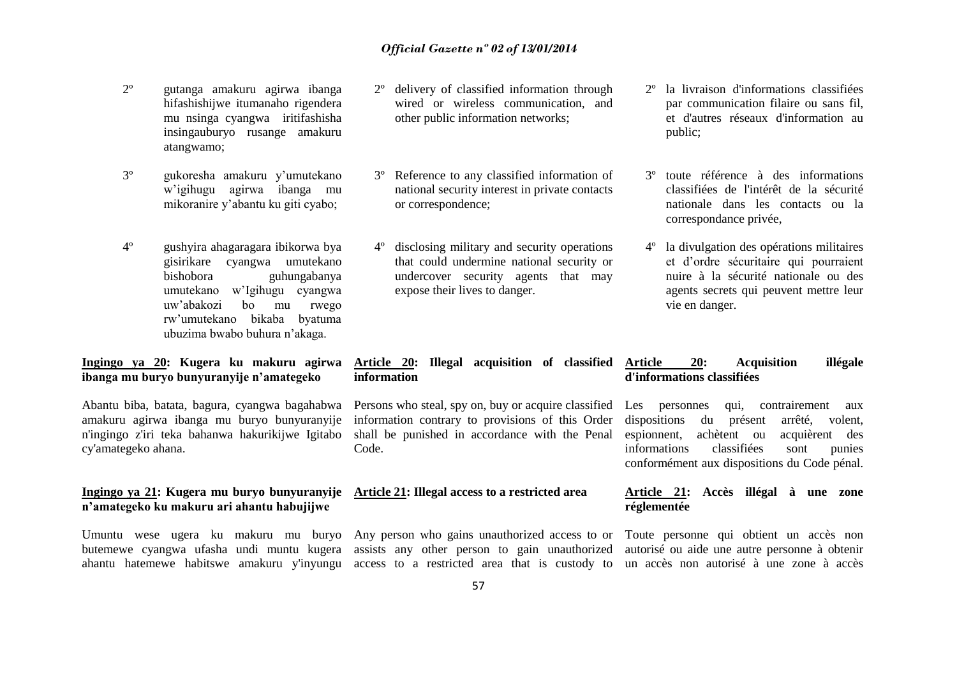- 2º gutanga amakuru agirwa ibanga hifashishijwe itumanaho rigendera mu nsinga cyangwa iritifashisha insingauburyo rusange amakuru atangwamo;
- 3º gukoresha amakuru y'umutekano w'igihugu agirwa ibanga mu mikoranire y'abantu ku giti cyabo;
- 4º gushyira ahagaragara ibikorwa bya gisirikare cyangwa umutekano bishobora guhungabanya umutekano w'Igihugu cyangwa uw'abakozi bo mu rwego rw'umutekano bikaba byatuma ubuzima bwabo buhura n'akaga.

### **Ingingo ya 20: Kugera ku makuru agirwa ibanga mu buryo bunyuranyije n'amategeko**

Abantu biba, batata, bagura, cyangwa bagahabwa amakuru agirwa ibanga mu buryo bunyuranyije n'ingingo z'iri teka bahanwa hakurikijwe Igitabo cy'amategeko ahana.

### **Ingingo ya 21: Kugera mu buryo bunyuranyije n'amategeko ku makuru ari ahantu habujijwe**

Umuntu wese ugera ku makuru mu buryo Any person who gains unauthorized access to or

- 2º delivery of classified information through wired or wireless communication, and other public information networks;
- 3º Reference to any classified information of national security interest in private contacts or correspondence;
- 4º disclosing military and security operations that could undermine national security or undercover security agents that may expose their lives to danger.
- 2º la livraison d'informations classifiées par communication filaire ou sans fil, et d'autres réseaux d'information au public;
- 3º toute référence à des informations classifiées de l'intérêt de la sécurité nationale dans les contacts ou la correspondance privée,
- 4º la divulgation des opérations militaires et d'ordre sécuritaire qui pourraient nuire à la sécurité nationale ou des agents secrets qui peuvent mettre leur vie en danger.

#### **Article 20: Illegal acquisition of classified information Article 20: Acquisition illégale d'informations classifiées**

Persons who steal, spy on, buy or acquire classified information contrary to provisions of this Order shall be punished in accordance with the Penal Code.

### **Article 21: Illegal access to a restricted area**

butemewe cyangwa ufasha undi muntu kugera assists any other person to gain unauthorized ahantu hatemewe habitswe amakuru y'inyungu access to a restricted area that is custody to

Les personnes qui, contrairement aux dispositions du présent arrêté, volent, espionnent, achètent ou acquièrent des informations classifiées sont punies conformément aux dispositions du Code pénal.

### **Article 21: Accès illégal à une zone réglementée**

Toute personne qui obtient un accès non autorisé ou aide une autre personne à obtenir un accès non autorisé à une zone à accès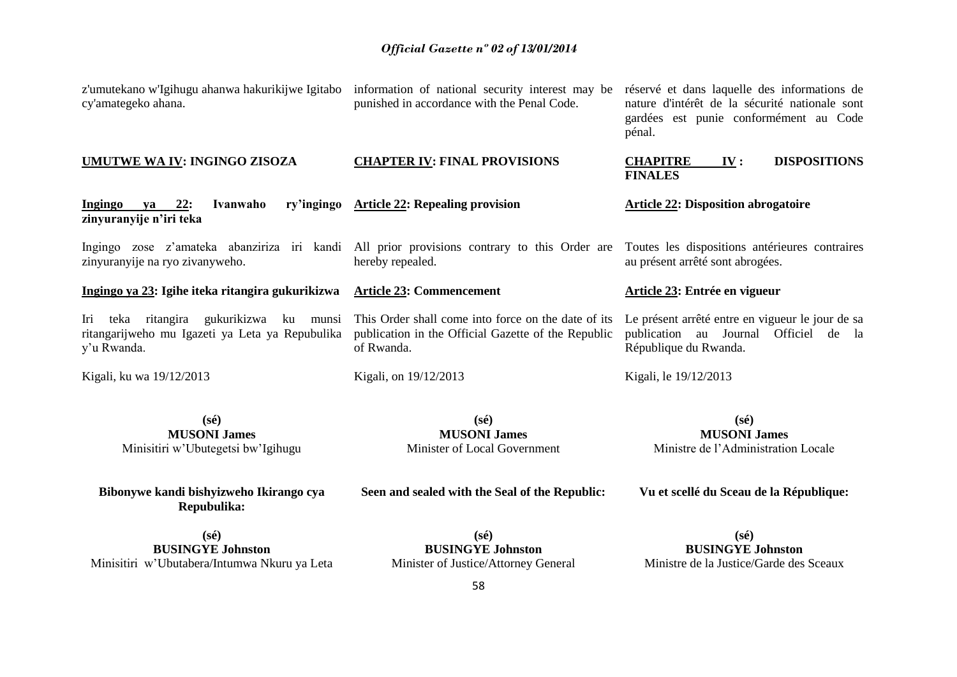| z'umutekano w'Igihugu ahanwa hakurikijwe Igitabo<br>cy'amategeko ahana.                                      | information of national security interest may be<br>punished in accordance with the Penal Code.                          | réservé et dans laquelle des informations de<br>nature d'intérêt de la sécurité nationale sont<br>gardées est punie conformément au Code<br>pénal. |
|--------------------------------------------------------------------------------------------------------------|--------------------------------------------------------------------------------------------------------------------------|----------------------------------------------------------------------------------------------------------------------------------------------------|
| <b>UMUTWE WA IV: INGINGO ZISOZA</b>                                                                          | <b>CHAPTER IV: FINAL PROVISIONS</b>                                                                                      | <b>DISPOSITIONS</b><br><b>CHAPITRE</b><br>IV:<br><b>FINALES</b>                                                                                    |
| $ya$ 22:<br><b>Ingingo</b><br>Ivanwaho<br>ry'ingingo<br>zinyuranyije n'iri teka                              | <b>Article 22: Repealing provision</b>                                                                                   | <b>Article 22: Disposition abrogatoire</b>                                                                                                         |
| zinyuranyije na ryo zivanyweho.                                                                              | Ingingo zose z'amateka abanziriza iri kandi All prior provisions contrary to this Order are<br>hereby repealed.          | Toutes les dispositions antérieures contraires<br>au présent arrêté sont abrogées.                                                                 |
| Ingingo ya 23: Igihe iteka ritangira gukurikizwa                                                             | <b>Article 23: Commencement</b>                                                                                          | Article 23: Entrée en vigueur                                                                                                                      |
| teka ritangira gukurikizwa ku munsi<br>Iri<br>ritangarijweho mu Igazeti ya Leta ya Repubulika<br>y'u Rwanda. | This Order shall come into force on the date of its<br>publication in the Official Gazette of the Republic<br>of Rwanda. | Le présent arrêté entre en vigueur le jour de sa<br>publication au Journal<br>Officiel de la<br>République du Rwanda.                              |
| Kigali, ku wa 19/12/2013                                                                                     | Kigali, on 19/12/2013                                                                                                    | Kigali, le 19/12/2013                                                                                                                              |
| $(s\acute{e})$<br><b>MUSONI James</b><br>Minisitiri w'Ubutegetsi bw'Igihugu                                  | $(s\acute{e})$<br><b>MUSONI James</b><br>Minister of Local Government                                                    | $(s\acute{e})$<br><b>MUSONI James</b><br>Ministre de l'Administration Locale                                                                       |

**Bibonywe kandi bishyizweho Ikirango cya Repubulika:**

**Seen and sealed with the Seal of the Republic:**

**Vu et scellé du Sceau de la République:**

**(sé) BUSINGYE Johnston** Minisitiri w'Ubutabera/Intumwa Nkuru ya Leta

**(sé) BUSINGYE Johnston** Minister of Justice/Attorney General

**(sé) BUSINGYE Johnston** Ministre de la Justice/Garde des Sceaux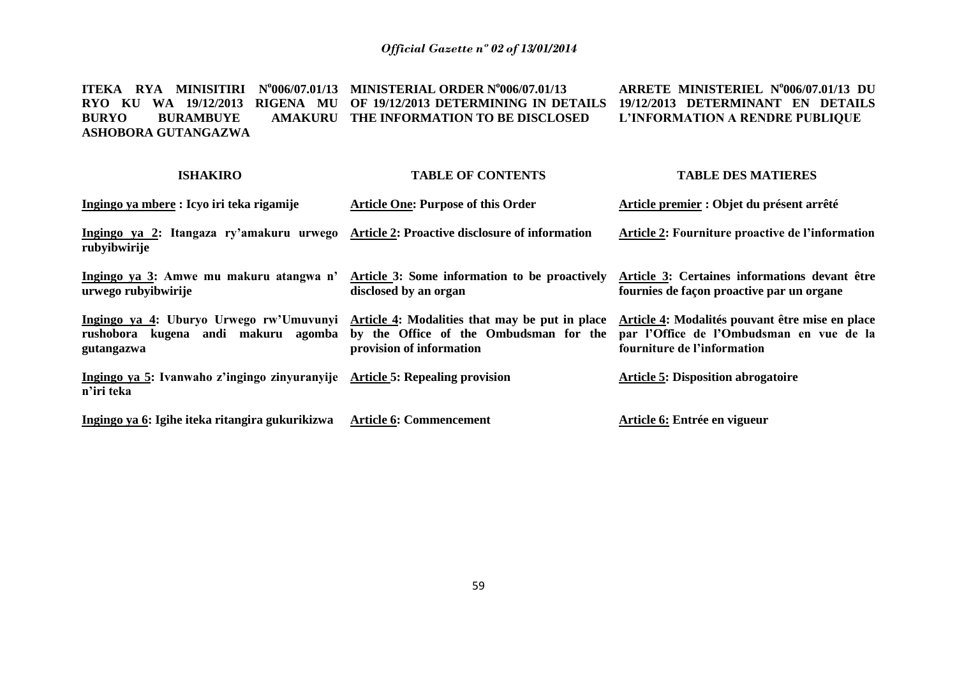**ITEKA RYA MINISITIRI N o 006/07.01/13 MINISTERIAL ORDER N o 006/07.01/13 RYO KU WA 19/12/2013 RIGENA MU OF 19/12/2013 DETERMINING IN DETAILS BURYO BURAMBUYE ASHOBORA GUTANGAZWA AMAKURU THE INFORMATION TO BE DISCLOSED ARRETE MINISTERIEL N o 006/07.01/13 DU 19/12/2013 DETERMINANT EN DETAILS L'INFORMATION A RENDRE PUBLIQUE**

#### **ISHAKIRO Ingingo ya mbere : Icyo iri teka rigamije Ingingo ya 2: Itangaza ry'amakuru urwego Article 2: Proactive disclosure of information rubyibwirije Ingingo ya 3: Amwe mu makuru atangwa n' urwego rubyibwirije Ingingo ya 4: Uburyo Urwego rw'Umuvunyi Article 4: Modalities that may be put in place rushobora kugena andi makuru agomba by the Office of the Ombudsman for the gutangazwa Ingingo ya 5: Ivanwaho z'ingingo zinyuranyije Article 5: Repealing provision n'iri teka Ingingo ya 6: Igihe iteka ritangira gukurikizwa TABLE OF CONTENTS Article One: Purpose of this Order Article 3: Some information to be proactively disclosed by an organ provision of information Article 6: Commencement TABLE DES MATIERES Article premier : Objet du présent arrêté Article 2: Fourniture proactive de l'information Article 3: Certaines informations devant être fournies de façon proactive par un organe Article 4: Modalités pouvant être mise en place par l'Office de l'Ombudsman en vue de la fourniture de l'information Article 5: Disposition abrogatoire Article 6: Entrée en vigueur**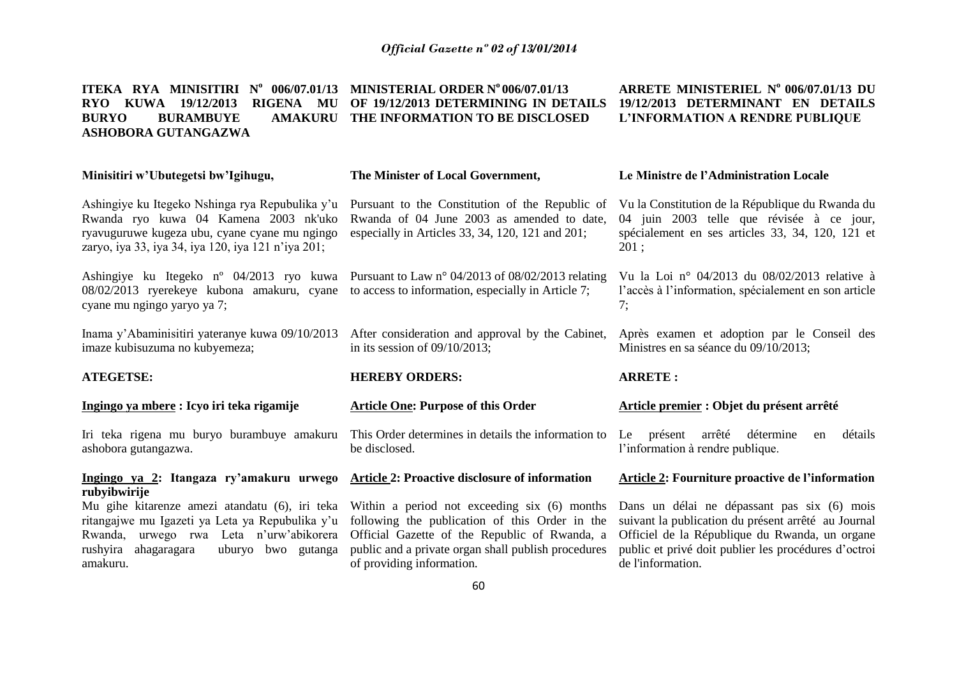#### **ITEKA RYA MINISITIRI N<sup>o</sup> 006/07.01/13 MINISTERIAL ORDER N<sup>o</sup> 006/07.01/13 RYO KUWA 19/12/2013 RIGENA MU OF 19/12/2013 DETERMINING IN DETAILS BURYO BURAMBUYE ASHOBORA GUTANGAZWA AMAKURU THE INFORMATION TO BE DISCLOSED ARRETE MINISTERIEL N o 006/07.01/13 DU 19/12/2013 DETERMINANT EN DETAILS L'INFORMATION A RENDRE PUBLIQUE**

### **Minisitiri w'Ubutegetsi bw'Igihugu,**

### **The Minister of Local Government,**

Ashingiye ku Itegeko Nshinga rya Repubulika y'u Pursuant to the Constitution of the Republic of Rwanda ryo kuwa 04 Kamena 2003 nk'uko ryavuguruwe kugeza ubu, cyane cyane mu ngingo zaryo, iya 33, iya 34, iya 120, iya 121 n'iya 201;

Ashingiye ku Itegeko n<sup>o</sup> 04/2013 ryo kuwa Pursuant to Law n<sup>o</sup> 04/2013 of 08/02/2013 relating 08/02/2013 ryerekeye kubona amakuru, cyane to access to information, especially in Article 7; cyane mu ngingo yaryo ya 7;

imaze kubisuzuma no kubyemeza;

### **ATEGETSE:**

### **Ingingo ya mbere : Icyo iri teka rigamije**

Iri teka rigena mu buryo burambuye amakuru ashobora gutangazwa.

### **Ingingo ya 2: Itangaza ry'amakuru urwego Article 2: Proactive disclosure of information rubyibwirije**

ritangajwe mu Igazeti ya Leta ya Repubulika y'u following the publication of this Order in the Rwanda, urwego rwa Leta n'urw'abikorera rushyira ahagaragara uburyo bwo gutanga public and a private organ shall publish procedures amakuru.

Rwanda of 04 June 2003 as amended to date, especially in Articles 33, 34, 120, 121 and 201;

in its session of 09/10/2013;

### **HEREBY ORDERS:**

### **Article One: Purpose of this Order**

This Order determines in details the information to be disclosed.

Mu gihe kitarenze amezi atandatu (6), iri teka Within a period not exceeding six (6) months Official Gazette of the Republic of Rwanda, a of providing information.

### **Le Ministre de l'Administration Locale**

Vu la Constitution de la République du Rwanda du 04 juin 2003 telle que révisée à ce jour, spécialement en ses articles 33, 34, 120, 121 et 201 ;

Vu la Loi n° 04/2013 du 08/02/2013 relative à l'accès à l'information, spécialement en son article 7;

Inama y'Abaminisitiri yateranye kuwa 09/10/2013 After consideration and approval by the Cabinet, Après examen et adoption par le Conseil des Ministres en sa séance du 09/10/2013;

### **ARRETE :**

### **Article premier : Objet du présent arrêté**

Le présent arrêté détermine en détails l'information à rendre publique.

### **Article 2: Fourniture proactive de l'information**

Dans un délai ne dépassant pas six (6) mois suivant la publication du présent arrêté au Journal Officiel de la République du Rwanda, un organe public et privé doit publier les procédures d'octroi de l'information.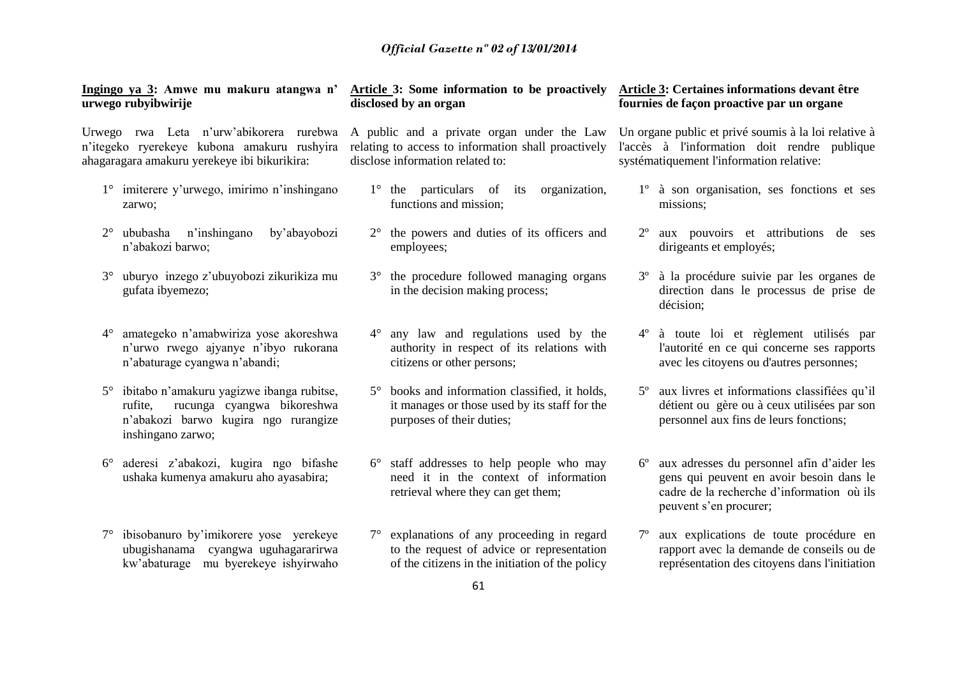**Ingingo ya 3: Amwe mu makuru atangwa n' urwego rubyibwirije**

Urwego rwa Leta n'urw'abikorera rurebwa A public and a private organ under the Law n'itegeko ryerekeye kubona amakuru rushyira ahagaragara amakuru yerekeye ibi bikurikira:

- 1° imiterere y'urwego, imirimo n'inshingano zarwo;
- 2° ububasha n'inshingano by'abayobozi n'abakozi barwo;
- 3° uburyo inzego z'ubuyobozi zikurikiza mu gufata ibyemezo;
- 4° amategeko n'amabwiriza yose akoreshwa n'urwo rwego ajyanye n'ibyo rukorana n'abaturage cyangwa n'abandi;
- 5° ibitabo n'amakuru yagizwe ibanga rubitse, rufite, rucunga cyangwa bikoreshwa n'abakozi barwo kugira ngo rurangize inshingano zarwo;
- 6° aderesi z'abakozi, kugira ngo bifashe ushaka kumenya amakuru aho ayasabira;
- 7° ibisobanuro by'imikorere yose yerekeye ubugishanama cyangwa uguhagararirwa kw'abaturage mu byerekeye ishyirwaho

# **disclosed by an organ**

relating to access to information shall proactively disclose information related to:

- 1° the particulars of its organization, functions and mission;
- 2° the powers and duties of its officers and employees;
- 3° the procedure followed managing organs in the decision making process;
- 4° any law and regulations used by the authority in respect of its relations with citizens or other persons;
- 5° books and information classified, it holds, it manages or those used by its staff for the purposes of their duties;
- 6° staff addresses to help people who may need it in the context of information retrieval where they can get them;
- 7° explanations of any proceeding in regard to the request of advice or representation of the citizens in the initiation of the policy

### **Article 3: Some information to be proactively Article 3: Certaines informations devant être fournies de façon proactive par un organe**

Un organe public et privé soumis à la loi relative à l'accès à l'information doit rendre publique systématiquement l'information relative:

- 1º à son organisation, ses fonctions et ses missions;
- 2º aux pouvoirs et attributions de ses dirigeants et employés;
- 3º à la procédure suivie par les organes de direction dans le processus de prise de décision;
- 4º à toute loi et règlement utilisés par l'autorité en ce qui concerne ses rapports avec les citoyens ou d'autres personnes;
- 5º aux livres et informations classifiées qu'il détient ou gère ou à ceux utilisées par son personnel aux fins de leurs fonctions;
- 6º aux adresses du personnel afin d'aider les gens qui peuvent en avoir besoin dans le cadre de la recherche d'information où ils peuvent s'en procurer;
- 7º aux explications de toute procédure en rapport avec la demande de conseils ou de représentation des citoyens dans l'initiation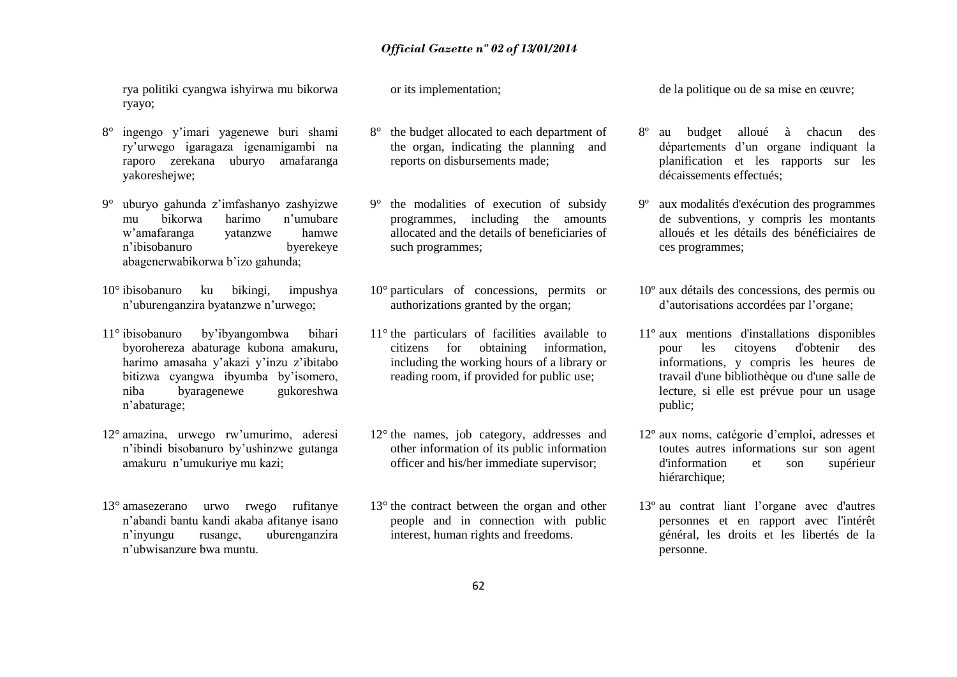rya politiki cyangwa ishyirwa mu bikorwa ryayo;

- 8° ingengo y'imari yagenewe buri shami ry'urwego igaragaza igenamigambi na raporo zerekana uburyo amafaranga yakoreshejwe;
- 9° uburyo gahunda z'imfashanyo zashyizwe mu bikorwa harimo n'umubare w'amafaranga yatanzwe hamwe n'ibisobanuro byerekeye abagenerwabikorwa b'izo gahunda;
- 10° ibisobanuro ku bikingi, impushya n'uburenganzira byatanzwe n'urwego;
- 11° ibisobanuro by'ibyangombwa bihari byorohereza abaturage kubona amakuru, harimo amasaha y'akazi y'inzu z'ibitabo bitizwa cyangwa ibyumba by'isomero, niba byaragenewe gukoreshwa n'abaturage;
- 12° amazina, urwego rw'umurimo, aderesi n'ibindi bisobanuro by'ushinzwe gutanga amakuru n'umukuriye mu kazi;
- 13° amasezerano urwo rwego rufitanye n'abandi bantu kandi akaba afitanye isano n'inyungu rusange, uburenganzira n'ubwisanzure bwa muntu.

or its implementation;

- 8° the budget allocated to each department of the organ, indicating the planning and reports on disbursements made;
- 9° the modalities of execution of subsidy programmes, including the amounts allocated and the details of beneficiaries of such programmes;
- 10° particulars of concessions, permits or authorizations granted by the organ;
- 11° the particulars of facilities available to citizens for obtaining information, including the working hours of a library or reading room, if provided for public use;
- 12° the names, job category, addresses and other information of its public information officer and his/her immediate supervisor;
- 13° the contract between the organ and other people and in connection with public interest, human rights and freedoms.

de la politique ou de sa mise en œuvre;

- 8º au budget alloué à chacun des départements d'un organe indiquant la planification et les rapports sur les décaissements effectués;
- 9º aux modalités d'exécution des programmes de subventions, y compris les montants alloués et les détails des bénéficiaires de ces programmes;
- 10º aux détails des concessions, des permis ou d'autorisations accordées par l'organe;
- 11º aux mentions d'installations disponibles pour les citoyens d'obtenir des informations, y compris les heures de travail d'une bibliothèque ou d'une salle de lecture, si elle est prévue pour un usage public;
- 12º aux noms, catégorie d'emploi, adresses et toutes autres informations sur son agent d'information et son supérieur hiérarchique;
- 13º au contrat liant l'organe avec d'autres personnes et en rapport avec l'intérêt général, les droits et les libertés de la personne.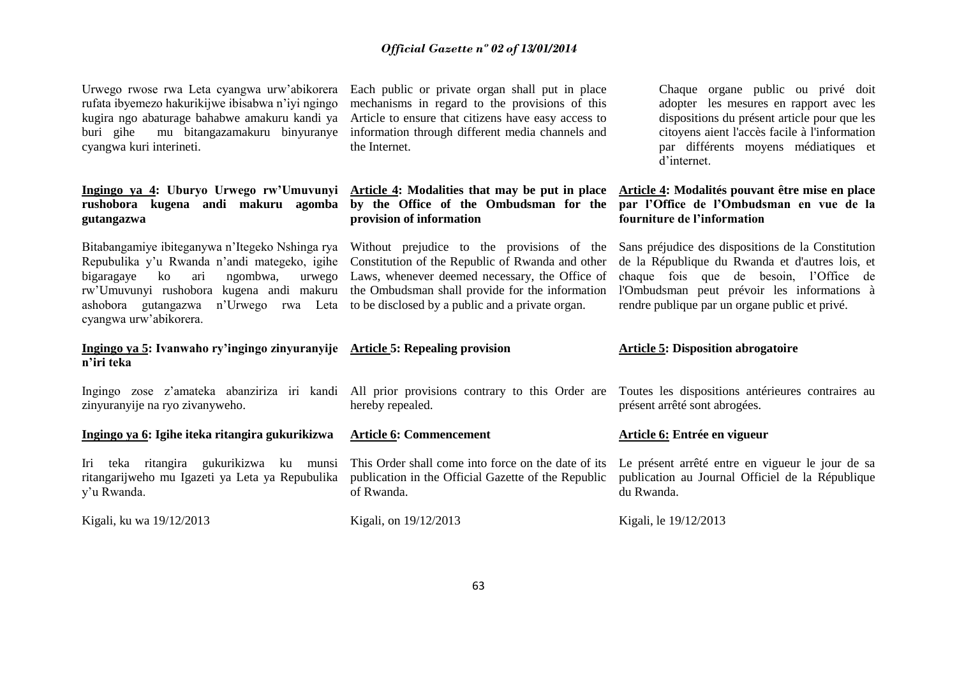rufata ibyemezo hakurikijwe ibisabwa n'iyi ngingo mechanisms in regard to the provisions of this kugira ngo abaturage bahabwe amakuru kandi ya Article to ensure that citizens have easy access to buri gihe mu bitangazamakuru binyuranye information through different media channels and cyangwa kuri interineti.

**rushobora kugena andi makuru agomba by the Office of the Ombudsman for the gutangazwa** 

 $bigarase$  ko ari ngombwa, ashobora gutangazwa n'Urwego rwa Leta to be disclosed by a public and a private organ. cyangwa urw'abikorera.

### **Ingingo ya 5: Ivanwaho ry'ingingo zinyuranyije Article 5: Repealing provision n'iri teka**

zinyuranyije na ryo zivanyweho.

### **Ingingo ya 6: Igihe iteka ritangira gukurikizwa**

Iri teka ritangira gukurikizwa ku munsi This Order shall come into force on the date of its Le présent arrêté entre en vigueur le jour de sa ritangarijweho mu Igazeti ya Leta ya Repubulika publication in the Official Gazette of the Republic y'u Rwanda.

Kigali, ku wa 19/12/2013 Kigali, on 19/12/2013 Kigali, ku wa 19/12/2013

Urwego rwose rwa Leta cyangwa urw'abikorera Each public or private organ shall put in place the Internet.

**provision of information**

Repubulika y'u Rwanda n'andi mategeko, igihe Constitution of the Republic of Rwanda and other rw'Umuvunyi rushobora kugena andi makuru the Ombudsman shall provide for the information Laws, whenever deemed necessary, the Office of

hereby repealed.

of Rwanda.

**Article 6: Commencement**

Chaque organe public ou privé doit adopter les mesures en rapport avec les dispositions du présent article pour que les citoyens aient l'accès facile à l'information par différents moyens médiatiques et d'internet.

### Ingingo ya 4: Uburyo Urwego rw'Umuvunyi Article 4: Modalities that may be put in place Article 4: Modalités pouvant être mise en place **par l'Office de l'Ombudsman en vue de la fourniture de l'information**

Bitabangamiye ibiteganywa n'Itegeko Nshinga rya Without prejudice to the provisions of the Sans préjudice des dispositions de la Constitution de la République du Rwanda et d'autres lois, et chaque fois que de besoin, l'Office de l'Ombudsman peut prévoir les informations à rendre publique par un organe public et privé.

### **Article 5: Disposition abrogatoire**

Ingingo zose z'amateka abanziriza iri kandi All prior provisions contrary to this Order are Toutes les dispositions antérieures contraires au présent arrêté sont abrogées.

### **Article 6: Entrée en vigueur**

publication au Journal Officiel de la République du Rwanda.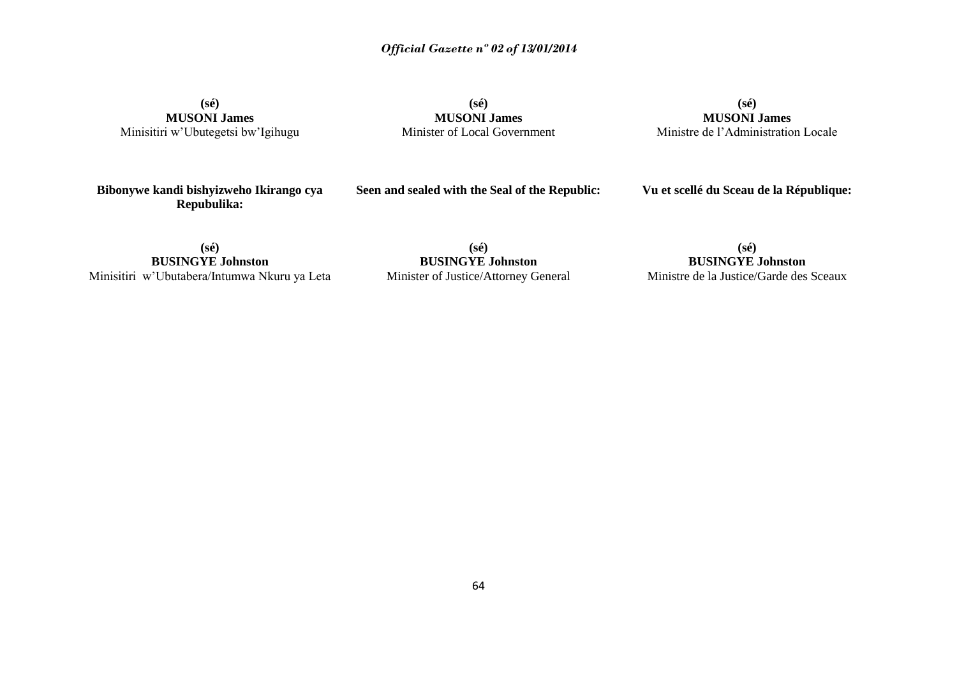**(sé) MUSONI James** Minisitiri w'Ubutegetsi bw'Igihugu

**(sé) MUSONI James** Minister of Local Government

**(sé) MUSONI James** Ministre de l'Administration Locale

**Bibonywe kandi bishyizweho Ikirango cya Repubulika:**

**Seen and sealed with the Seal of the Republic:**

**Vu et scellé du Sceau de la République:**

**(sé) BUSINGYE Johnston** Minisitiri w'Ubutabera/Intumwa Nkuru ya Leta

**(sé) BUSINGYE Johnston** Minister of Justice/Attorney General

**(sé) BUSINGYE Johnston**

Ministre de la Justice/Garde des Sceaux

64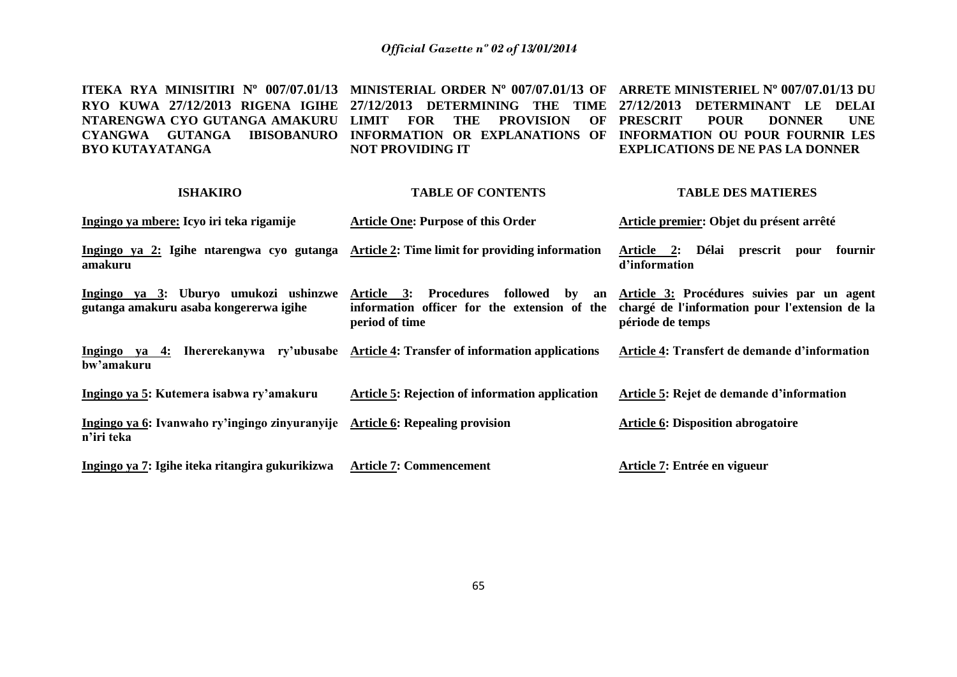**ITEKA RYA MINISITIRI Nº 007/07.01/13 MINISTERIAL ORDER Nº 007/07.01/13 OF ARRETE MINISTERIEL Nº 007/07.01/13 DU RYO KUWA 27/12/2013 RIGENA IGIHE 27/12/2013 DETERMINING THE TIME 27/12/2013 DETERMINANT LE DELAI NTARENGWA CYO GUTANGA AMAKURU LIMIT FOR THE PROVISION OF PRESCRIT POUR DONNER UNE CYANGWA GUTANGA IBISOBANURO INFORMATION OR EXPLANATIONS OF INFORMATION OU POUR FOURNIR LES BYO KUTAYATANGA NOT PROVIDING IT EXPLICATIONS DE NE PAS LA DONNER**

| <b>ISHAKIRO</b>                                                                             | <b>TABLE OF CONTENTS</b>                                                                                  | <b>TABLE DES MATIERES</b>                                                                                        |
|---------------------------------------------------------------------------------------------|-----------------------------------------------------------------------------------------------------------|------------------------------------------------------------------------------------------------------------------|
| Ingingo ya mbere: Icyo iri teka rigamije                                                    | <b>Article One: Purpose of this Order</b>                                                                 | Article premier: Objet du présent arrêté                                                                         |
| Ingingo ya 2: Igihe ntarengwa cyo gutanga<br>amakuru                                        | Article 2: Time limit for providing information                                                           | Article 2: Délai<br>prescrit pour<br>fournir<br>d'information                                                    |
| Ingingo ya 3: Uburyo umukozi ushinzwe<br>gutanga amakuru asaba kongererwa igihe             | Article 3: Procedures<br>followed by an<br>information officer for the extension of the<br>period of time | Article 3: Procédures suivies par un agent<br>chargé de l'information pour l'extension de la<br>période de temps |
| Ingingo ya 4: Ihererekanywa ry'ubusabe<br>bw'amakuru                                        | <b>Article 4: Transfer of information applications</b>                                                    | Article 4: Transfert de demande d'information                                                                    |
| Ingingo ya 5: Kutemera isabwa ry'amakuru                                                    | Article 5: Rejection of information application                                                           | Article 5: Rejet de demande d'information                                                                        |
| Ingingo ya 6: Ivanwaho ry'ingingo zinyuranyije Article 6: Repealing provision<br>n'iri teka |                                                                                                           | <b>Article 6: Disposition abrogatoire</b>                                                                        |
| Ingingo ya 7: Igihe iteka ritangira gukurikizwa                                             | <b>Article 7: Commencement</b>                                                                            | Article 7: Entrée en vigueur                                                                                     |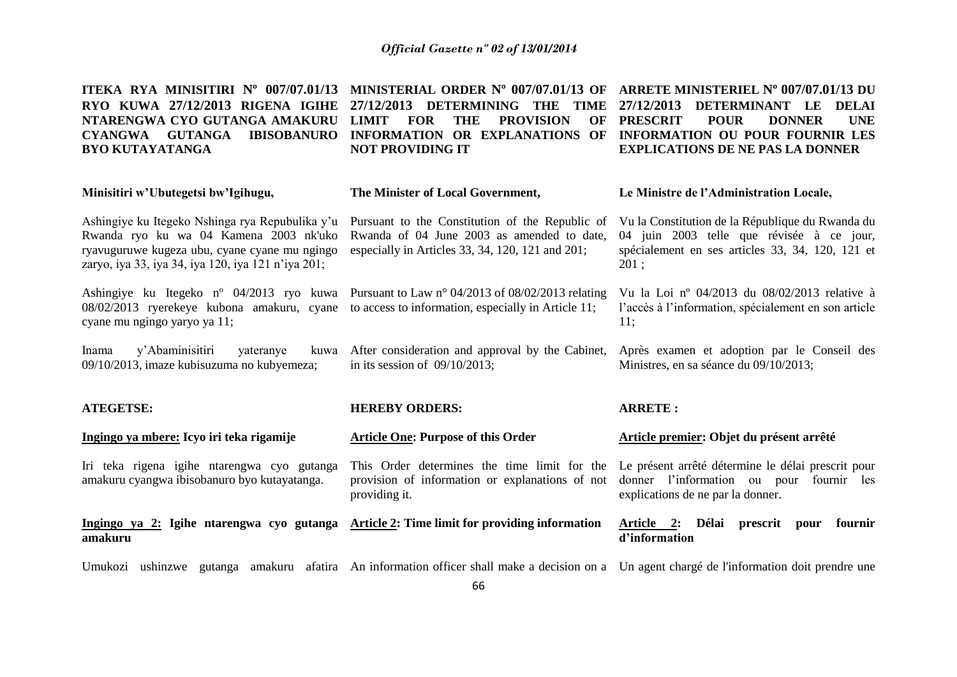**ITEKA RYA MINISITIRI Nº 007/07.01/13 MINISTERIAL ORDER Nº 007/07.01/13 OF ARRETE MINISTERIEL Nº 007/07.01/13 DU RYO KUWA 27/12/2013 RIGENA IGIHE 27/12/2013 DETERMINING THE TIME 27/12/2013 DETERMINANT LE DELAI NTARENGWA CYO GUTANGA AMAKURU LIMIT FOR THE PROVISION OF PRESCRIT POUR DONNER UNE CYANGWA GUTANGA IBISOBANURO INFORMATION OR EXPLANATIONS OF INFORMATION OU POUR FOURNIR LES BYO KUTAYATANGA NOT PROVIDING IT EXPLICATIONS DE NE PAS LA DONNER**

| Minisitiri w'Ubutegetsi bw'Igihugu,                                                                                                                                                              | The Minister of Local Government,                                                                                                                                   | Le Ministre de l'Administration Locale,                                                                                                                      |
|--------------------------------------------------------------------------------------------------------------------------------------------------------------------------------------------------|---------------------------------------------------------------------------------------------------------------------------------------------------------------------|--------------------------------------------------------------------------------------------------------------------------------------------------------------|
| Ashingiye ku Itegeko Nshinga rya Repubulika y'u<br>Rwanda ryo ku wa 04 Kamena 2003 nk'uko<br>ryavuguruwe kugeza ubu, cyane cyane mu ngingo<br>zaryo, iya 33, iya 34, iya 120, iya 121 n'iya 201; | Pursuant to the Constitution of the Republic of<br>Rwanda of 04 June 2003 as amended to date,<br>especially in Articles 33, 34, 120, 121 and 201;                   | Vu la Constitution de la République du Rwanda du<br>04 juin 2003 telle que révisée à ce jour,<br>spécialement en ses articles 33, 34, 120, 121 et<br>$201$ ; |
| 08/02/2013 ryerekeye kubona amakuru, cyane<br>cyane mu ngingo yaryo ya 11;                                                                                                                       | Ashingiye ku Itegeko n° 04/2013 ryo kuwa Pursuant to Law n° 04/2013 of 08/02/2013 relating<br>to access to information, especially in Article 11;                   | Vu la Loi nº 04/2013 du 08/02/2013 relative à<br>l'accès à l'information, spécialement en son article<br>11;                                                 |
| y'Abaminisitiri<br>Inama<br>yateranye<br>kuwa<br>09/10/2013, imaze kubisuzuma no kubyemeza;                                                                                                      | After consideration and approval by the Cabinet,<br>in its session of $09/10/2013$ ;                                                                                | Après examen et adoption par le Conseil des<br>Ministres, en sa séance du 09/10/2013;                                                                        |
|                                                                                                                                                                                                  |                                                                                                                                                                     |                                                                                                                                                              |
| <b>ATEGETSE:</b>                                                                                                                                                                                 | <b>HEREBY ORDERS:</b>                                                                                                                                               | <b>ARRETE:</b>                                                                                                                                               |
| Ingingo ya mbere: Icyo iri teka rigamije                                                                                                                                                         | <b>Article One: Purpose of this Order</b>                                                                                                                           | Article premier: Objet du présent arrêté                                                                                                                     |
| Iri teka rigena igihe ntarengwa cyo gutanga<br>amakuru cyangwa ibisobanuro byo kutayatanga.                                                                                                      | This Order determines the time limit for the Le présent arrêté détermine le délai prescrit pour<br>provision of information or explanations of not<br>providing it. | donner l'information ou pour fournir les<br>explications de ne par la donner.                                                                                |
| Ingingo ya 2: Igihe ntarengwa cyo gutanga Article 2: Time limit for providing information<br>amakuru                                                                                             |                                                                                                                                                                     | <u>Article 2:</u> Délai<br>prescrit<br>fournir<br>pour<br>d'information                                                                                      |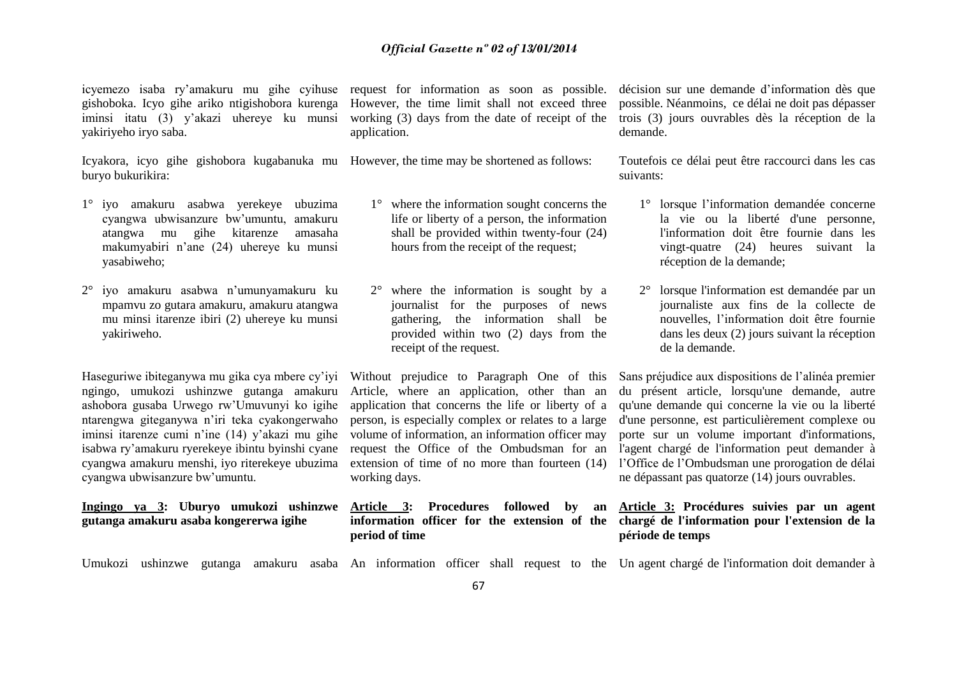icyemezo isaba ry'amakuru mu gihe cyihuse request for information as soon as possible. décision sur une demande d'information dès que gishoboka. Icyo gihe ariko ntigishobora kurenga However, the time limit shall not exceed three yakiriyeho iryo saba.

Icyakora, icyo gihe gishobora kugabanuka mu However, the time may be shortened as follows: buryo bukurikira:

- 1° iyo amakuru asabwa yerekeye ubuzima cyangwa ubwisanzure bw'umuntu, amakuru atangwa mu gihe kitarenze amasaha makumyabiri n'ane (24) uhereye ku munsi yasabiweho;
- 2° iyo amakuru asabwa n'umunyamakuru ku mpamvu zo gutara amakuru, amakuru atangwa mu minsi itarenze ibiri (2) uhereye ku munsi yakiriweho.

Haseguriwe ibiteganywa mu gika cya mbere cy'iyi ngingo, umukozi ushinzwe gutanga amakuru ashobora gusaba Urwego rw'Umuvunyi ko igihe ntarengwa giteganywa n'iri teka cyakongerwaho iminsi itarenze cumi n'ine (14) y'akazi mu gihe isabwa ry'amakuru ryerekeye ibintu byinshi cyane cyangwa ubwisanzure bw'umuntu.

**gutanga amakuru asaba kongererwa igihe**

application.

- 1° where the information sought concerns the life or liberty of a person, the information shall be provided within twenty-four (24) hours from the receipt of the request;
- 2° where the information is sought by a journalist for the purposes of news gathering, the information shall be provided within two (2) days from the receipt of the request.

Without prejudice to Paragraph One of this Article, where an application, other than an application that concerns the life or liberty of a person, is especially complex or relates to a large volume of information, an information officer may request the Office of the Ombudsman for an working days.

**period of time**

iminsi itatu (3) y'akazi uhereye ku munsi working (3) days from the date of receipt of the trois (3) jours ouvrables dès la réception de la possible. Néanmoins, ce délai ne doit pas dépasser demande.

> Toutefois ce délai peut être raccourci dans les cas suivants:

- 1° lorsque l'information demandée concerne la vie ou la liberté d'une personne, l'information doit être fournie dans les vingt-quatre (24) heures suivant la réception de la demande;
- 2° lorsque l'information est demandée par un journaliste aux fins de la collecte de nouvelles, l'information doit être fournie dans les deux (2) jours suivant la réception de la demande.

cyangwa amakuru menshi, iyo riterekeye ubuzima extension of time of no more than fourteen (14) l'Office de l'Ombudsman une prorogation de délai Sans préjudice aux dispositions de l'alinéa premier du présent article, lorsqu'une demande, autre qu'une demande qui concerne la vie ou la liberté d'une personne, est particulièrement complexe ou porte sur un volume important d'informations, l'agent chargé de l'information peut demander à ne dépassant pas quatorze (14) jours ouvrables.

### **Ingingo ya 3: Uburyo umukozi ushinzwe Article 3: Procedures followed by an Article 3: Procédures suivies par un agent information officer for the extension of the chargé de l'information pour l'extension de la période de temps**

Umukozi ushinzwe gutanga amakuru asaba An information officer shall request to the Un agent chargé de l'information doit demander à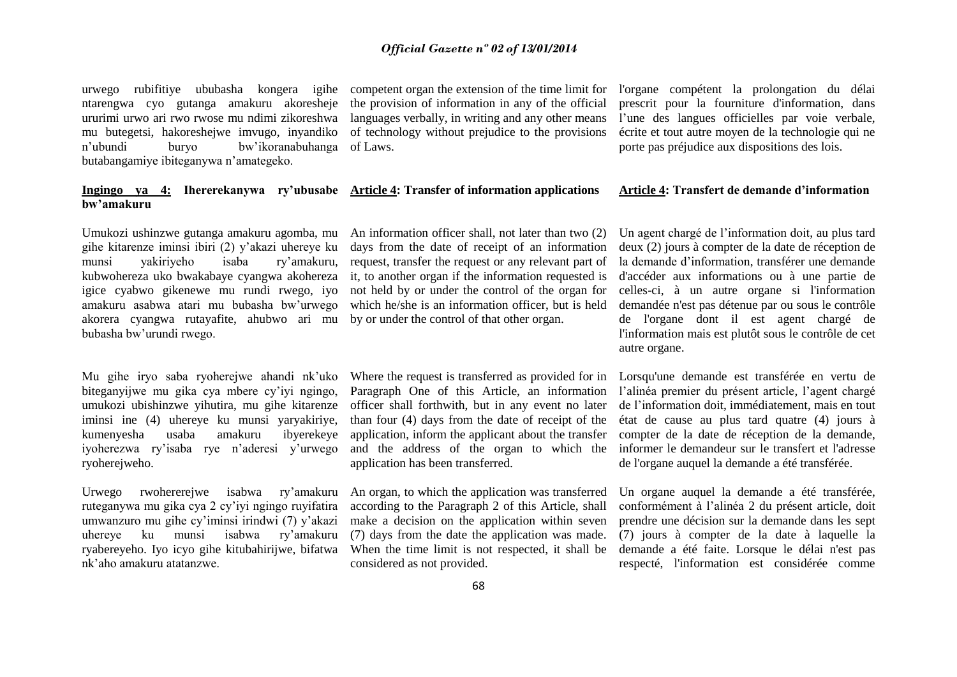urwego rubifitiye ububasha kongera igihe competentorganthe extension of the time limit for l'organe compétent la prolongation du délai ntarengwa cyo gutanga amakuru akoresheje the provision of information in any of the official ururimi urwo ari rwo rwose mu ndimi zikoreshwa languages verbally, in writing and any other means mu butegetsi, hakoreshejwe imvugo, inyandiko of technology without prejudice to the provisions n'ubundi buryo bw'ikoranabuhanga of Laws. butabangamiye ibiteganywa n'amategeko.

### **Ingingo ya 4: Ihererekanywa ry'ubusabe Article 4: Transfer of information applications bw'amakuru**

gihe kitarenze iminsi ibiri (2) y'akazi uhereye ku munsi yakiriyeho isaba ry'amakuru, kubwohereza uko bwakabaye cyangwa akohereza igice cyabwo gikenewe mu rundi rwego, iyo amakuru asabwa atari mu bubasha bw'urwego akorera cyangwa rutayafite, ahubwo ari mu bubasha bw'urundi rwego.

Mu gihe iryo saba ryoherejwe ahandi nk'uko biteganyijwe mu gika cya mbere cy'iyi ngingo, umukozi ubishinzwe yihutira, mu gihe kitarenze iminsi ine (4) uhereye ku munsi yaryakiriye, kumenyesha usaba amakuru ibyerekeye iyoherezwa ry'isaba rye n'aderesi y'urwego ryoherejweho.

Urwego rwohererejwe isabwa ry'amakuru ruteganywa mu gika cya 2 cy'iyi ngingo ruyifatira umwanzuro mu gihe cy'iminsi irindwi (7) y'akazi<br>uhereye ku munsi isabwa rv'amakuru uhereye ku munsi isabwa ry'amakuru ryabereyeho. Iyo icyo gihe kitubahirijwe, bifatwa nk'aho amakuru atatanzwe.

Umukozi ushinzwe gutanga amakuru agomba, mu An information officer shall, not later than two (2) days from the date of receipt of an information request, transfer the request or any relevant part of it, to another organ if the information requested is not held by or under the control of the organ for which he/she is an information officer, but is held by or under the control of that other organ.

> Where the request is transferred as provided for in Paragraph One of this Article, an information officer shall forthwith, but in any event no later than four (4) days from the date of receipt of the application, inform the applicant about the transfer and the address of the organ to which the application has been transferred.

> An organ, to which the application was transferred according to the Paragraph 2 of this Article, shall make a decision on the application within seven (7) days from the date the application was made. When the time limit is not respected, it shall be considered as not provided.

prescrit pour la fourniture d'information, dans l'une des langues officielles par voie verbale, écrite et tout autre moyen de la technologie qui ne porte pas préjudice aux dispositions des lois.

### **Article 4: Transfert de demande d'information**

Un agent chargé de l'information doit, au plus tard deux (2) jours à compter de la date de réception de la demande d'information, transférer une demande d'accéder aux informations ou à une partie de celles-ci, à un autre organe si l'information demandée n'est pas détenue par ou sous le contrôle de l'organe dont il est agent chargé de l'information mais est plutôt sous le contrôle de cet autre organe.

Lorsqu'une demande est transférée en vertu de l'alinéa premier du présent article, l'agent chargé de l'information doit, immédiatement, mais en tout état de cause au plus tard quatre (4) jours à compter de la date de réception de la demande, informer le demandeur sur le transfert et l'adresse de l'organe auquel la demande a été transférée.

Un organe auquel la demande a été transférée, conformément à l'alinéa 2 du présent article, doit prendre une décision sur la demande dans les sept (7) jours à compter de la date à laquelle la demande a été faite. Lorsque le délai n'est pas respecté, l'information est considérée comme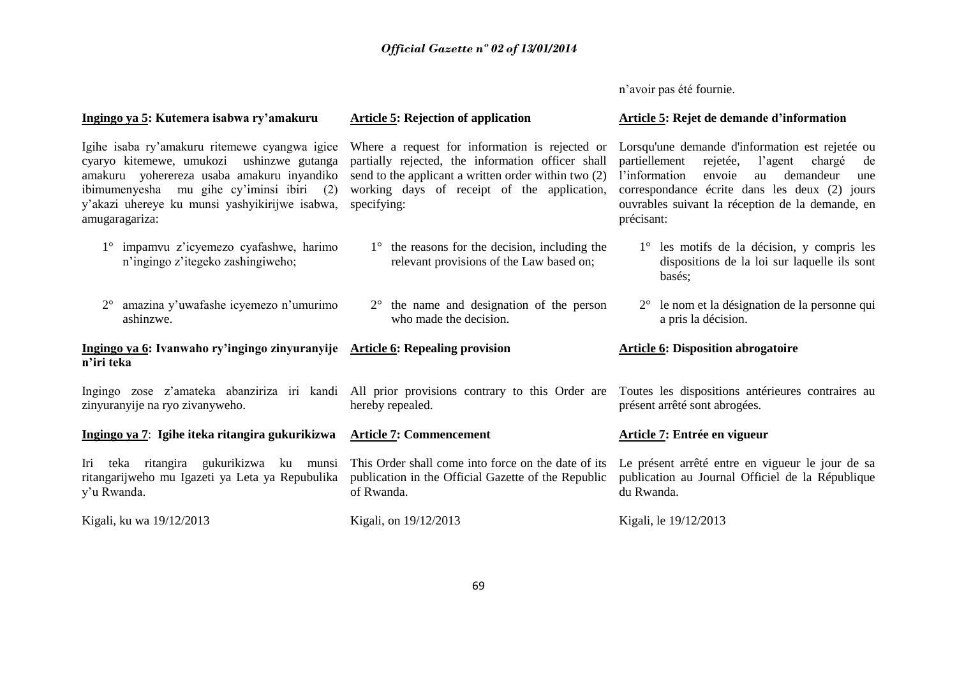n'avoir pas été fournie.

| Ingingo ya 5: Kutemera isabwa ry'amakuru                                                                                                                                                                                                                  | <b>Article 5: Rejection of application</b>                                                                                                                                                                                | Article 5: Rejet de demande d'information                                                                                                                                                                                                                                       |
|-----------------------------------------------------------------------------------------------------------------------------------------------------------------------------------------------------------------------------------------------------------|---------------------------------------------------------------------------------------------------------------------------------------------------------------------------------------------------------------------------|---------------------------------------------------------------------------------------------------------------------------------------------------------------------------------------------------------------------------------------------------------------------------------|
| Igihe isaba ry'amakuru ritemewe cyangwa igice<br>cyaryo kitemewe, umukozi ushinzwe gutanga<br>amakuru yoherereza usaba amakuru inyandiko<br>ibimumenyesha mu gihe cy'iminsi ibiri (2)<br>y'akazi uhereye ku munsi yashyikirijwe isabwa,<br>amugaragariza: | Where a request for information is rejected or<br>partially rejected, the information officer shall<br>send to the applicant a written order within two (2)<br>working days of receipt of the application,<br>specifying: | Lorsqu'une demande d'information est rejetée ou<br>partiellement<br>rejetée,<br>l'agent<br>chargé<br>de<br>l'information<br>demandeur<br>envoie<br>au<br>une<br>correspondance écrite dans les deux (2) jours<br>ouvrables suivant la réception de la demande, en<br>précisant: |
| impamvu z'icyemezo cyafashwe, harimo<br>n'ingingo z'itegeko zashingiweho;                                                                                                                                                                                 | $1^\circ$ the reasons for the decision, including the<br>relevant provisions of the Law based on;                                                                                                                         | 1° les motifs de la décision, y compris les<br>dispositions de la loi sur laquelle ils sont<br>basés;                                                                                                                                                                           |
| amazina y'uwafashe icyemezo n'umurimo<br>$2^{\circ}$<br>ashinzwe.                                                                                                                                                                                         | $2^{\circ}$ the name and designation of the person<br>who made the decision.                                                                                                                                              | 2° le nom et la désignation de la personne qui<br>a pris la décision.                                                                                                                                                                                                           |
| Ingingo ya 6: Ivanwaho ry'ingingo zinyuranyije Article 6: Repealing provision<br>n'iri teka                                                                                                                                                               |                                                                                                                                                                                                                           | <b>Article 6: Disposition abrogatoire</b>                                                                                                                                                                                                                                       |
| zinyuranyije na ryo zivanyweho.                                                                                                                                                                                                                           | Ingingo zose z'amateka abanziriza iri kandi All prior provisions contrary to this Order are Toutes les dispositions antérieures contraires au<br>hereby repealed.                                                         | présent arrêté sont abrogées.                                                                                                                                                                                                                                                   |
| Ingingo ya 7: Igihe iteka ritangira gukurikizwa                                                                                                                                                                                                           | <b>Article 7: Commencement</b>                                                                                                                                                                                            | Article 7: Entrée en vigueur                                                                                                                                                                                                                                                    |
| Iri<br>teka ritangira gukurikizwa ku munsi<br>ritangarijweho mu Igazeti ya Leta ya Repubulika<br>y'u Rwanda.                                                                                                                                              | This Order shall come into force on the date of its<br>publication in the Official Gazette of the Republic<br>of Rwanda.                                                                                                  | Le présent arrêté entre en vigueur le jour de sa<br>publication au Journal Officiel de la République<br>du Rwanda.                                                                                                                                                              |
| Kigali, ku wa 19/12/2013                                                                                                                                                                                                                                  | Kigali, on 19/12/2013                                                                                                                                                                                                     | Kigali, le 19/12/2013                                                                                                                                                                                                                                                           |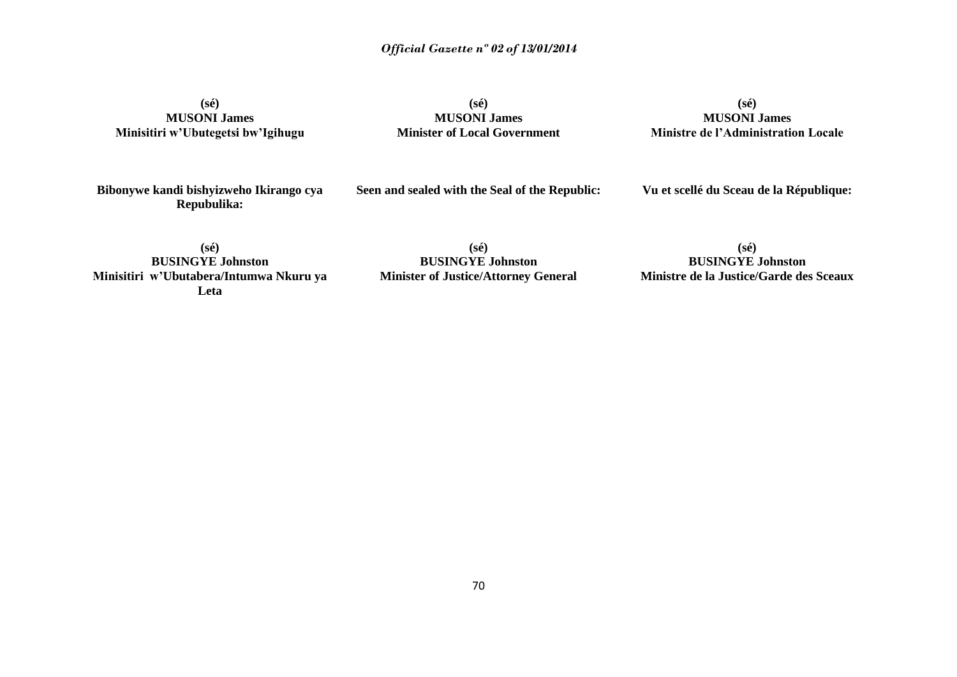**(sé) MUSONI James Minisitiri w'Ubutegetsi bw'Igihugu**

**(sé) MUSONI James Minister of Local Government**

**(sé) MUSONI James Ministre de l'Administration Locale**

**Bibonywe kandi bishyizweho Ikirango cya Repubulika:**

**Seen and sealed with the Seal of the Republic:**

**Vu et scellé du Sceau de la République:**

**(sé) BUSINGYE Johnston Minisitiri w'Ubutabera/Intumwa Nkuru ya Leta**

**(sé) BUSINGYE Johnston Minister of Justice/Attorney General**

**(sé) BUSINGYE Johnston Ministre de la Justice/Garde des Sceaux**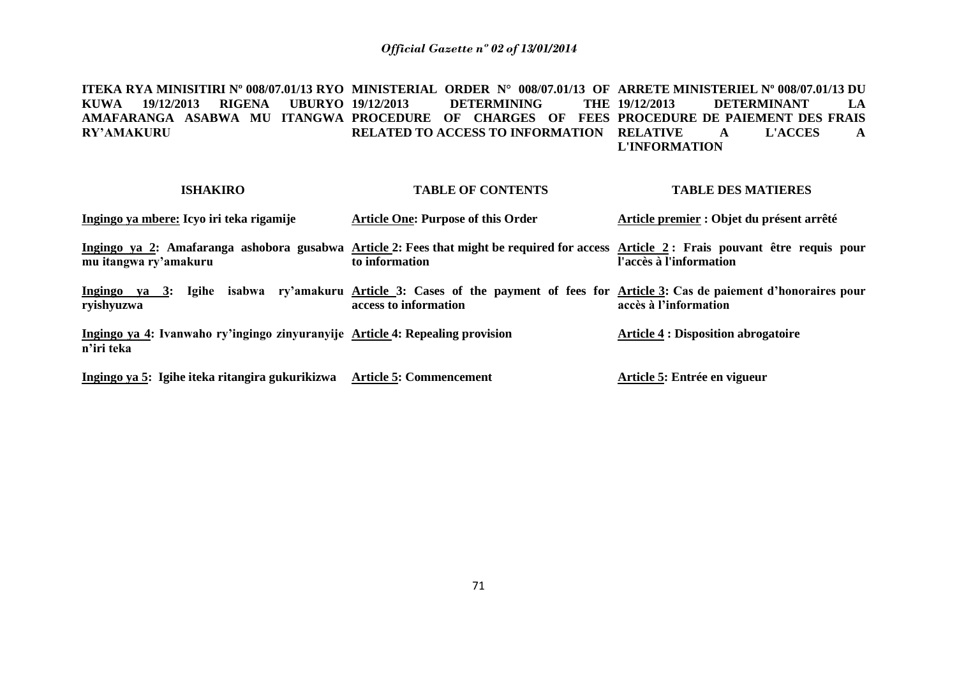**ITEKA RYA MINISITIRI Nº 008/07.01/13 RYO MINISTERIAL ORDER N° 008/07.01/13 OF ARRETE MINISTERIEL Nº 008/07.01/13 DU KUWA 19/12/2013 RIGENA UBURYO AMAFARANGA ASABWA MU ITANGWA PROCEDURE OF CHARGES OF FEES PROCEDURE DE PAIEMENT DES FRAIS RY'AMAKURU 19/12/2013 DETERMINING THE RELATED TO ACCESS TO INFORMATION RELATIVE A L'ACCES A 19/12/2013 DETERMINANT LA L'INFORMATION**

| <b>ISHAKIRO</b>                                                                                                                                                | <b>TABLE OF CONTENTS</b>                                                                                                                  | <b>TABLE DES MATIERES</b>                  |
|----------------------------------------------------------------------------------------------------------------------------------------------------------------|-------------------------------------------------------------------------------------------------------------------------------------------|--------------------------------------------|
| Ingingo ya mbere: Icyo iri teka rigamije                                                                                                                       | <b>Article One: Purpose of this Order</b>                                                                                                 | Article premier : Objet du présent arrêté  |
| Ingingo ya 2: Amafaranga ashobora gusabwa Article 2: Fees that might be required for access Article 2: Frais pouvant être requis pour<br>mu itangwa ry'amakuru | to information                                                                                                                            | l'accès à l'information                    |
| Ingingo ya 3:<br>ryishyuzwa                                                                                                                                    | Igihe isabwa ry'amakuru Article 3: Cases of the payment of fees for Article 3: Cas de paiement d'honoraires pour<br>access to information | accès à l'information                      |
| Ingingo ya 4: Ivanwaho ry'ingingo zinyuranyije Article 4: Repealing provision<br>n'iri teka                                                                    |                                                                                                                                           | <b>Article 4 : Disposition abrogatoire</b> |
| Ingingo ya 5: Igihe iteka ritangira gukurikizwa                                                                                                                | <b>Article 5: Commencement</b>                                                                                                            | Article 5: Entrée en vigueur               |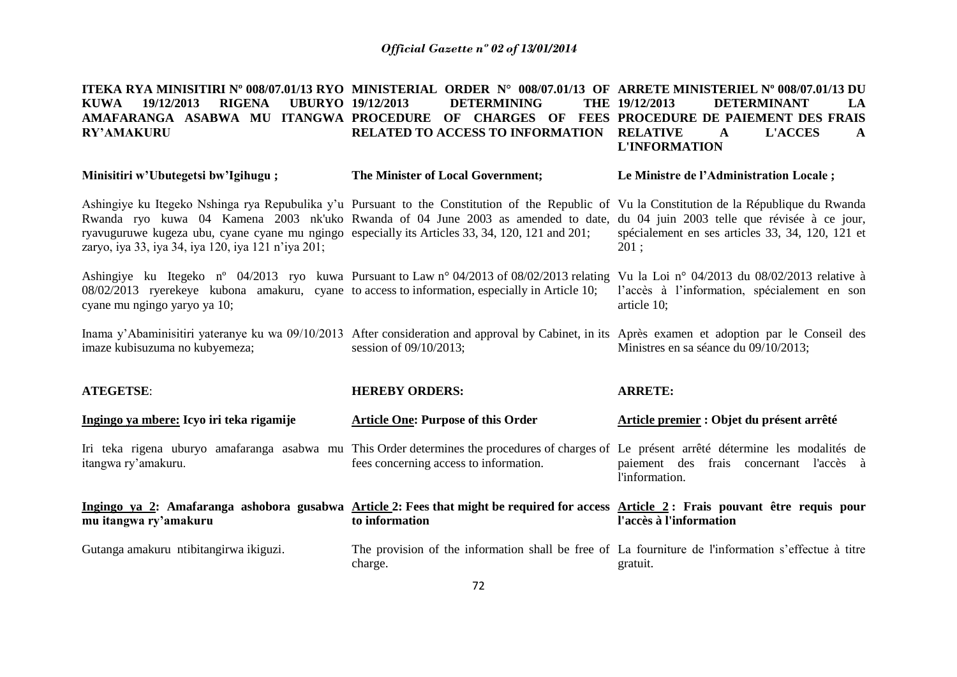#### **ITEKA RYA MINISITIRI Nº 008/07.01/13 RYO MINISTERIAL ORDER N° 008/07.01/13 OF ARRETE MINISTERIEL Nº 008/07.01/13 DU KUWA 19/12/2013 RIGENA UBURYO AMAFARANGA ASABWA MU ITANGWA PROCEDURE OF CHARGES OF FEES PROCEDURE DE PAIEMENT DES FRAIS RY'AMAKURU 19/12/2013 DETERMINING THE RELATED TO ACCESS TO INFORMATION RELATIVE A L'ACCES A 19/12/2013 DETERMINANT LA L'INFORMATION**

| Minisitiri w'Ubutegetsi bw'Igihugu;                                                                                                                                                                                                                                                                                                                                                                                                     | The Minister of Local Government;         | Le Ministre de l'Administration Locale;                     |
|-----------------------------------------------------------------------------------------------------------------------------------------------------------------------------------------------------------------------------------------------------------------------------------------------------------------------------------------------------------------------------------------------------------------------------------------|-------------------------------------------|-------------------------------------------------------------|
| Ashingiye ku Itegeko Nshinga rya Repubulika y'u Pursuant to the Constitution of the Republic of Vu la Constitution de la République du Rwanda<br>Rwanda ryo kuwa 04 Kamena 2003 nk'uko Rwanda of 04 June 2003 as amended to date, du 04 juin 2003 telle que révisée à ce jour,<br>ryavuguruwe kugeza ubu, cyane cyane mu ngingo especially its Articles 33, 34, 120, 121 and 201;<br>zaryo, iya 33, iya 34, iya 120, iya 121 n'iya 201; |                                           | spécialement en ses articles 33, 34, 120, 121 et<br>201:    |
| Ashingiye ku Itegeko n° 04/2013 ryo kuwa Pursuant to Law n° 04/2013 of 08/02/2013 relating Vu la Loi n° 04/2013 du 08/02/2013 relative à<br>08/02/2013 ryerekeye kubona amakuru, cyane to access to information, especially in Article 10;<br>cyane mu ngingo yaryo ya 10;                                                                                                                                                              |                                           | l'accès à l'information, spécialement en son<br>article 10; |
| Inama y'Abaminisitiri yateranye ku wa 09/10/2013 After consideration and approval by Cabinet, in its Après examen et adoption par le Conseil des<br>imaze kubisuzuma no kubyemeza;                                                                                                                                                                                                                                                      | session of $09/10/2013$ ;                 | Ministres en sa séance du 09/10/2013;                       |
|                                                                                                                                                                                                                                                                                                                                                                                                                                         |                                           |                                                             |
| <b>ATEGETSE:</b>                                                                                                                                                                                                                                                                                                                                                                                                                        | <b>HEREBY ORDERS:</b>                     | <b>ARRETE:</b>                                              |
| Ingingo ya mbere: Icyo iri teka rigamije                                                                                                                                                                                                                                                                                                                                                                                                | <b>Article One: Purpose of this Order</b> | Article premier : Objet du présent arrêté                   |
| Iri teka rigena uburyo amafaranga asabwa mu This Order determines the procedures of charges of Le présent arrêté détermine les modalités de<br>itangwa ry'amakuru.                                                                                                                                                                                                                                                                      | fees concerning access to information.    | paiement des frais concernant l'accès à<br>l'information.   |
| Ingingo ya 2: Amafaranga ashobora gusabwa Article 2: Fees that might be required for access Article 2: Frais pouvant être requis pour<br>mu itangwa ry'amakuru                                                                                                                                                                                                                                                                          | to information                            | l'accès à l'information                                     |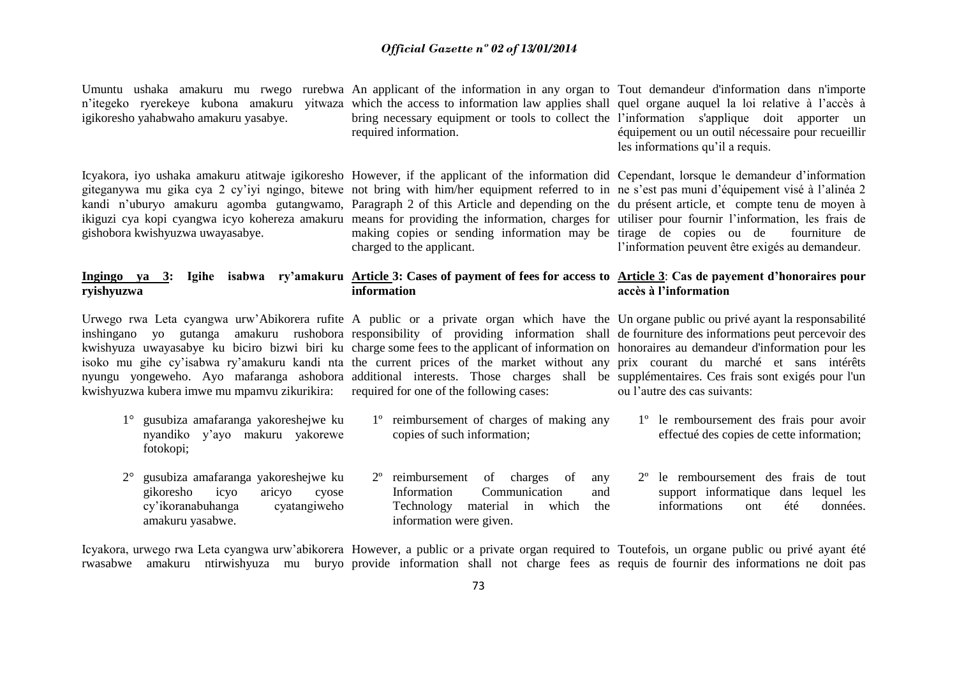Umuntu ushaka amakuru mu rwego rurebwa An applicant of the information in any organ to Tout demandeur d'information dans n'importe n'itegeko ryerekeye kubona amakuru yitwaza which the access to information law applies shall quel organe auquel la loi relative à l'accès à igikoresho yahabwaho amakuru yasabye. bring necessary equipment or tools to collect the l'information s'applique doit apporter un required information. équipement ou un outil nécessaire pour recueillir les informations qu'il a requis.

giteganywa mu gika cya 2 cy'iyi ngingo, bitewe not bring with him/her equipment referred to in ne s'est pas muni d'équipement visé à l'alinéa 2 kandi n'uburyo amakuru agomba gutangwamo, Paragraph 2 of this Article and depending on the du présent article, et compte tenu de moyen à ikiguzi cya kopi cyangwa icyo kohereza amakuru means for providing the information, charges for utiliser pour fournir l'information, les frais de gishobora kwishyuzwa uwayasabye.

making copies or sending information may be tirage de copies ou de fourniture de charged to the applicant.

Icyakora, iyo ushaka amakuru atitwaje igikoresho However, if the applicant of the information did Cependant, lorsque le demandeur d'information l'information peuvent être exigés au demandeur.

#### **Ingingo ya 3: Igihe isabwa ry'amakuru Article 3: Cases of payment of fees for access to Article 3**: **Cas de payement d'honoraires pour ryishyuzwa information accès à l'information**

Urwego rwa Leta cyangwa urw'Abikorera rufite A public or a private organ which have the Un organe public ou privé ayant la responsabilité inshingano yo gutanga amakuru rushobora responsibility of providing information shall de fourniture des informations peut percevoir des kwishyuza uwayasabye ku biciro bizwi biri ku charge some fees to the applicant of information on honoraires au demandeur d'information pour les isoko mu gihe cy'isabwa ry'amakuru kandi nta the current prices of the market without any prix courant du marché et sans intérêts nyungu yongeweho. Ayo mafaranga ashobora additional interests. Those charges shall be supplémentaires. Ces frais sont exigés pour l'un kwishyuzwa kubera imwe mu mpamvu zikurikira: required for one of the following cases:

- 1° gusubiza amafaranga yakoreshejwe ku nyandiko y'ayo makuru yakorewe fotokopi;
- 2° gusubiza amafaranga yakoreshejwe ku gikoresho icyo aricyo cyose cy'ikoranabuhanga cyatangiweho amakuru yasabwe.

- 1º reimbursement of charges of making any copies of such information;
	- 2º reimbursement of charges of any Information Communication and Technology material in which the information were given.

ou l'autre des cas suivants:

- 1º le remboursement des frais pour avoir effectué des copies de cette information;
- 2º le remboursement des frais de tout support informatique dans lequel les informations ont été données.

Icyakora, urwego rwa Leta cyangwa urw'abikorera However, a public or a private organ required to Toutefois, un organe public ou privé ayant été rwasabwe amakuru ntirwishyuza mu buryo provide information shall not charge fees as requis de fournir des informations ne doit pas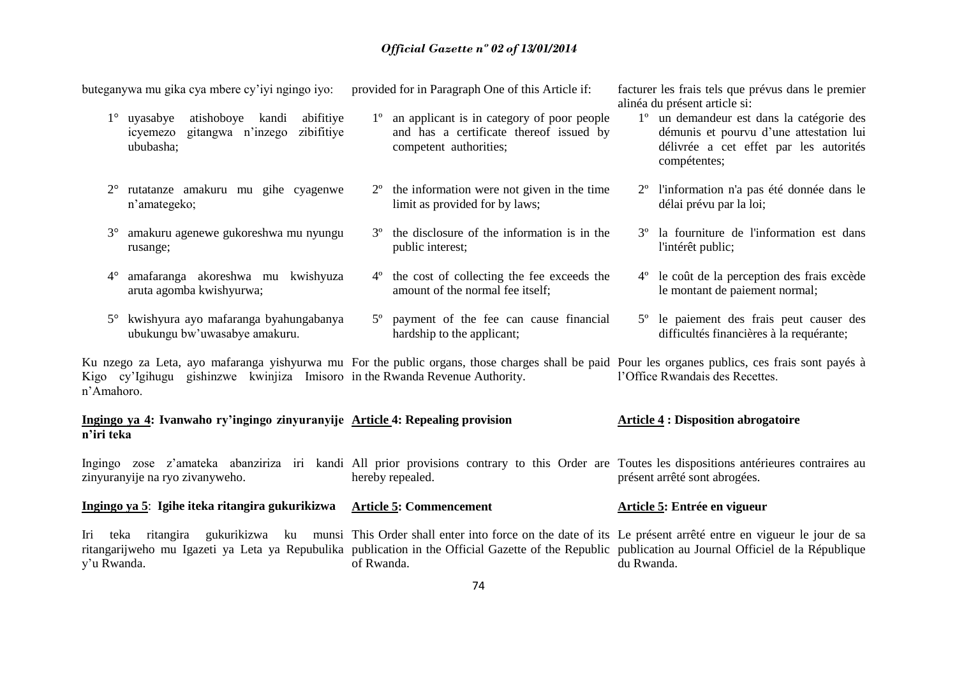buteganywa mu gika cya mbere cy'iyi ngingo iyo: provided for in Paragraph One of this Article if:

- 1° uyasabye atishoboye kandi abifitiye icyemezo gitangwa n'inzego zibifitiye ububasha;
- 2° rutatanze amakuru mu gihe cyagenwe n'amategeko;
- 3° amakuru agenewe gukoreshwa mu nyungu rusange;
- 4° amafaranga akoreshwa mu kwishyuza aruta agomba kwishyurwa;
- 5° kwishyura ayo mafaranga byahungabanya ubukungu bw'uwasabye amakuru.
- 1º an applicant is in category of poor people and has a certificate thereof issued by competent authorities;
- 2º the information were not given in the time limit as provided for by laws;
- 3º the disclosure of the information is in the public interest;
- 4º the cost of collecting the fee exceeds the amount of the normal fee itself;
- 5º payment of the fee can cause financial hardship to the applicant;

facturer les frais tels que prévus dans le premier alinéa du présent article si:

- 1º un demandeur est dans la catégorie des démunis et pourvu d'une attestation lui délivrée a cet effet par les autorités compétentes;
- 2º l'information n'a pas été donnée dans le délai prévu par la loi;
- 3º la fourniture de l'information est dans l'intérêt public;
- 4º le coût de la perception des frais excède le montant de paiement normal;
- 5º le paiement des frais peut causer des difficultés financières à la requérante;

Ku nzego za Leta, ayo mafaranga yishyurwa mu For the public organs, those charges shall be paid Pour les organes publics, ces frais sont payés à Kigo cy'Igihugu gishinzwe kwinjiza Imisoro in the Rwanda Revenue Authority. n'Amahoro. l'Office Rwandais des Recettes.

### **Ingingo ya 4: Ivanwaho ry'ingingo zinyuranyije Article 4: Repealing provision n'iri teka Article 4 : Disposition abrogatoire**

Ingingo zose z'amateka abanziriza iri kandi All prior provisions contrary to this Order are Toutes les dispositions antérieures contraires au zinyuranyije na ryo zivanyweho. hereby repealed. présent arrêté sont abrogées.

**Ingingo ya 5**: **Igihe iteka ritangira gukurikizwa Article 5: Commencement Article 5: Entrée en vigueur**

Iri teka ritangira gukurikizwa ku munsi This Order shall enter into force on the date of its Le présent arrêté entre en vigueur le jour de sa ritangarijweho mu Igazeti ya Leta ya Repubulika publication in the Official Gazette of the Republic publication au Journal Officiel de la République y'u Rwanda. of Rwanda. du Rwanda.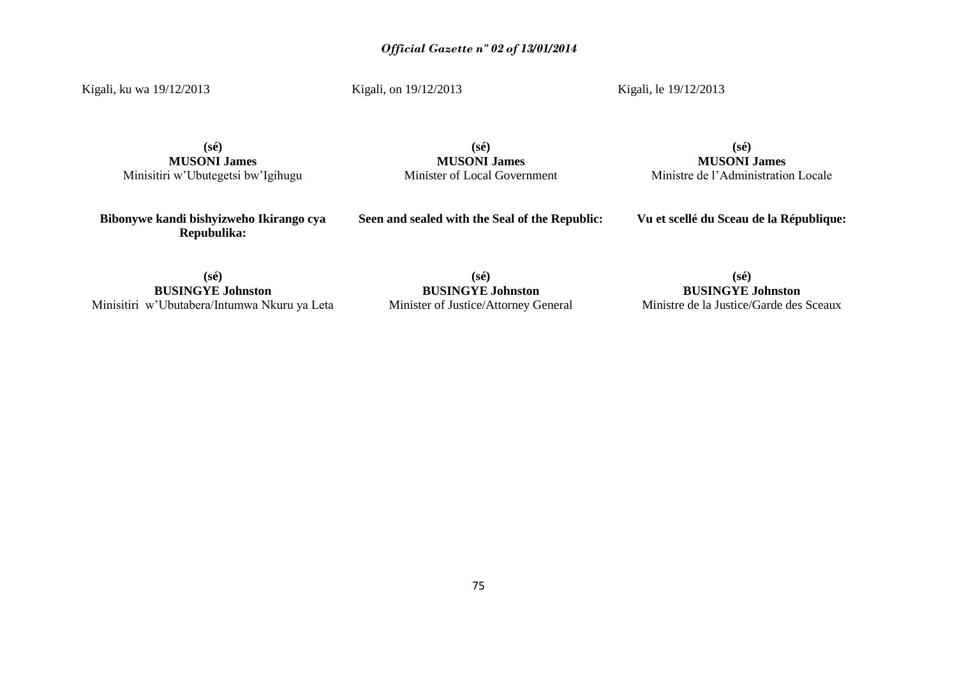Kigali, ku wa 19/12/2013

Kigali, on 19/12/2013

Kigali, le 19/12/2013

**(sé) MUSONI James** Minisitiri w'Ubutegetsi bw'Igihugu

**(sé) MUSONI James** Minister of Local Government

**(sé) MUSONI James** Ministre de l'Administration Locale

**Bibonywe kandi bishyizweho Ikirango cya Repubulika:**

**Seen and sealed with the Seal of the Republic:**

**Vu et scellé du Sceau de la République:**

**(sé) BUSINGYE Johnston** Minisitiri w'Ubutabera/Intumwa Nkuru ya Leta

**(sé) BUSINGYE Johnston** Minister of Justice/Attorney General

**(sé) BUSINGYE Johnston** Ministre de la Justice/Garde des Sceaux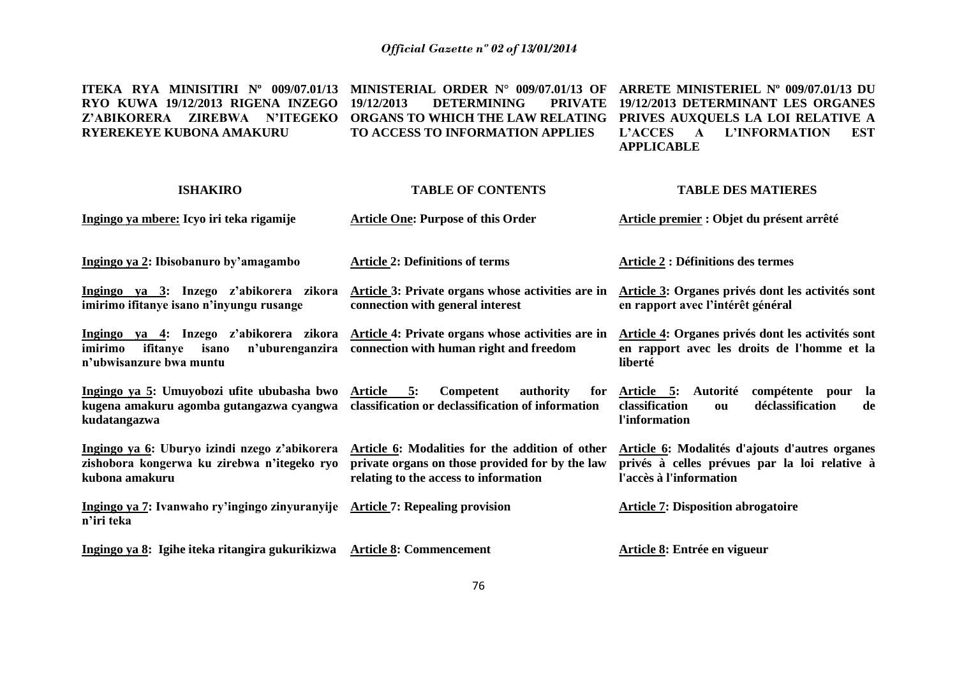**ITEKA RYA MINISITIRI Nº 009/07.01/13 MINISTERIAL ORDER N° 009/07.01/13 OF ARRETE MINISTERIEL Nº 009/07.01/13 DU RYO KUWA 19/12/2013 RIGENA INZEGO Z'ABIKORERA ZIREBWA N'ITEGEKO ORGANS TO WHICH THE LAW RELATING PRIVES AUXQUELS LA LOI RELATIVE A RYEREKEYE KUBONA AMAKURU 19/12/2013 DETERMINING TO ACCESS TO INFORMATION APPLIES 19/12/2013 DETERMINANT LES ORGANES L'ACCES A L'INFORMATION EST APPLICABLE**

| <b>ISHAKIRO</b>                                                                                                               | <b>TABLE OF CONTENTS</b>                                                                                                                    | <b>TABLE DES MATIERES</b>                                                                                                  |
|-------------------------------------------------------------------------------------------------------------------------------|---------------------------------------------------------------------------------------------------------------------------------------------|----------------------------------------------------------------------------------------------------------------------------|
| Ingingo ya mbere: Icyo iri teka rigamije                                                                                      | <b>Article One: Purpose of this Order</b>                                                                                                   | Article premier : Objet du présent arrêté                                                                                  |
| Ingingo ya 2: Ibisobanuro by'amagambo                                                                                         | <b>Article 2: Definitions of terms</b>                                                                                                      | <b>Article 2: Définitions des termes</b>                                                                                   |
| Ingingo ya 3: Inzego z'abikorera zikora<br>imirimo ifitanye isano n'inyungu rusange                                           | Article 3: Private organs whose activities are in<br>connection with general interest                                                       | Article 3: Organes privés dont les activités sont<br>en rapport avec l'intérêt général                                     |
| <u>Ingingo ya 4</u> : Inzego z'abikorera zikora<br>imirimo<br>n'uburenganzira<br>ifitanye<br>isano<br>n'ubwisanzure bwa muntu | Article 4: Private organs whose activities are in<br>connection with human right and freedom                                                | Article 4: Organes privés dont les activités sont<br>en rapport avec les droits de l'homme et la<br>liberté                |
| Ingingo ya 5: Umuyobozi ufite ububasha bwo<br>kugena amakuru agomba gutangazwa cyangwa<br>kudatangazwa                        | Article 5:<br>Competent<br>authority<br>for<br>classification or declassification of information                                            | compétente pour la<br>Article 5: Autorité<br>déclassification<br>classification<br>de<br>ou<br>l'information               |
| Ingingo ya 6: Uburyo izindi nzego z'abikorera<br>zishobora kongerwa ku zirebwa n'itegeko ryo<br>kubona amakuru                | Article 6: Modalities for the addition of other<br>private organs on those provided for by the law<br>relating to the access to information | Article 6: Modalités d'ajouts d'autres organes<br>privés à celles prévues par la loi relative à<br>l'accès à l'information |
| Ingingo ya 7: Ivanwaho ry'ingingo zinyuranyije Article 7: Repealing provision<br>n'iri teka                                   |                                                                                                                                             | <b>Article 7: Disposition abrogatoire</b>                                                                                  |
| Ingingo ya 8: Igihe iteka ritangira gukurikizwa                                                                               | <b>Article 8: Commencement</b>                                                                                                              | Article 8: Entrée en vigueur                                                                                               |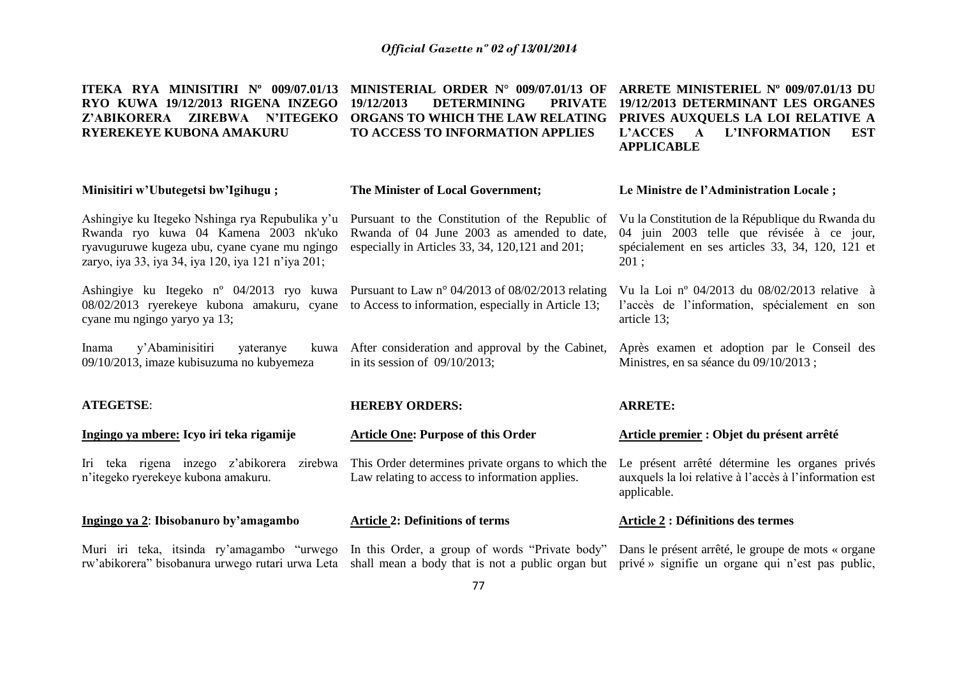| ITEKA RYA MINISITIRI Nº 009/07.01/13<br>RYO KUWA 19/12/2013 RIGENA INZEGO<br>Z'ABIKORERA ZIREBWA N'ITEGEKO<br>RYEREKEYE KUBONA AMAKURU                                                                                       | MINISTERIAL ORDER N° 009/07.01/13 OF<br>19/12/2013<br><b>DETERMINING</b><br><b>PRIVATE</b><br>ORGANS TO WHICH THE LAW RELATING<br>TO ACCESS TO INFORMATION APPLIES | ARRETE MINISTERIEL Nº 009/07.01/13 DU<br>19/12/2013 DETERMINANT LES ORGANES<br>PRIVES AUXQUELS LA LOI RELATIVE A<br>L'ACCES A<br>L'INFORMATION<br><b>EST</b><br><b>APPLICABLE</b> |
|------------------------------------------------------------------------------------------------------------------------------------------------------------------------------------------------------------------------------|--------------------------------------------------------------------------------------------------------------------------------------------------------------------|-----------------------------------------------------------------------------------------------------------------------------------------------------------------------------------|
| Minisitiri w'Ubutegetsi bw'Igihugu;                                                                                                                                                                                          | The Minister of Local Government;                                                                                                                                  | Le Ministre de l'Administration Locale;                                                                                                                                           |
| Ashingiye ku Itegeko Nshinga rya Repubulika y'u<br>Rwanda ryo kuwa 04 Kamena 2003 nk'uko<br>ryavuguruwe kugeza ubu, cyane cyane mu ngingo<br>zaryo, iya 33, iya 34, iya 120, iya 121 n'iya 201;                              | Pursuant to the Constitution of the Republic of<br>Rwanda of 04 June 2003 as amended to date,<br>especially in Articles 33, 34, 120, 121 and 201;                  | Vu la Constitution de la République du Rwanda du<br>04 juin 2003 telle que révisée à ce jour,<br>spécialement en ses articles 33, 34, 120, 121 et<br>201:                         |
| Ashingiye ku Itegeko n° 04/2013 ryo kuwa Pursuant to Law n° 04/2013 of 08/02/2013 relating<br>08/02/2013 ryerekeye kubona amakuru, cyane to Access to information, especially in Article 13;<br>cyane mu ngingo yaryo ya 13; |                                                                                                                                                                    | Vu la Loi nº 04/2013 du 08/02/2013 relative à<br>l'accès de l'information, spécialement en son<br>article 13;                                                                     |
| y'Abaminisitiri<br>yateranye<br>Inama<br>09/10/2013, imaze kubisuzuma no kubyemeza                                                                                                                                           | kuwa After consideration and approval by the Cabinet,<br>in its session of $09/10/2013$ ;                                                                          | Après examen et adoption par le Conseil des<br>Ministres, en sa séance du 09/10/2013 ;                                                                                            |
| <b>ATEGETSE:</b>                                                                                                                                                                                                             | <b>HEREBY ORDERS:</b>                                                                                                                                              | <b>ARRETE:</b>                                                                                                                                                                    |
| Ingingo ya mbere: Icyo iri teka rigamije                                                                                                                                                                                     | <b>Article One: Purpose of this Order</b>                                                                                                                          | Article premier : Objet du présent arrêté                                                                                                                                         |
| Iri teka rigena inzego z'abikorera zirebwa<br>n'itegeko ryerekeye kubona amakuru.                                                                                                                                            | This Order determines private organs to which the<br>Law relating to access to information applies.                                                                | Le présent arrêté détermine les organes privés<br>auxquels la loi relative à l'accès à l'information est<br>applicable.                                                           |
| Ingingo ya 2: Ibisobanuro by'amagambo                                                                                                                                                                                        | <b>Article 2: Definitions of terms</b>                                                                                                                             | <b>Article 2 : Définitions des termes</b>                                                                                                                                         |
| Muri iri teka, itsinda ry'amagambo "urwego<br>rw'abikorera" bisobanura urwego rutari urwa Leta                                                                                                                               | In this Order, a group of words "Private body"<br>shall mean a body that is not a public organ but prive » signifie un organe qui n'est pas public,                | Dans le présent arrêté, le groupe de mots « organe                                                                                                                                |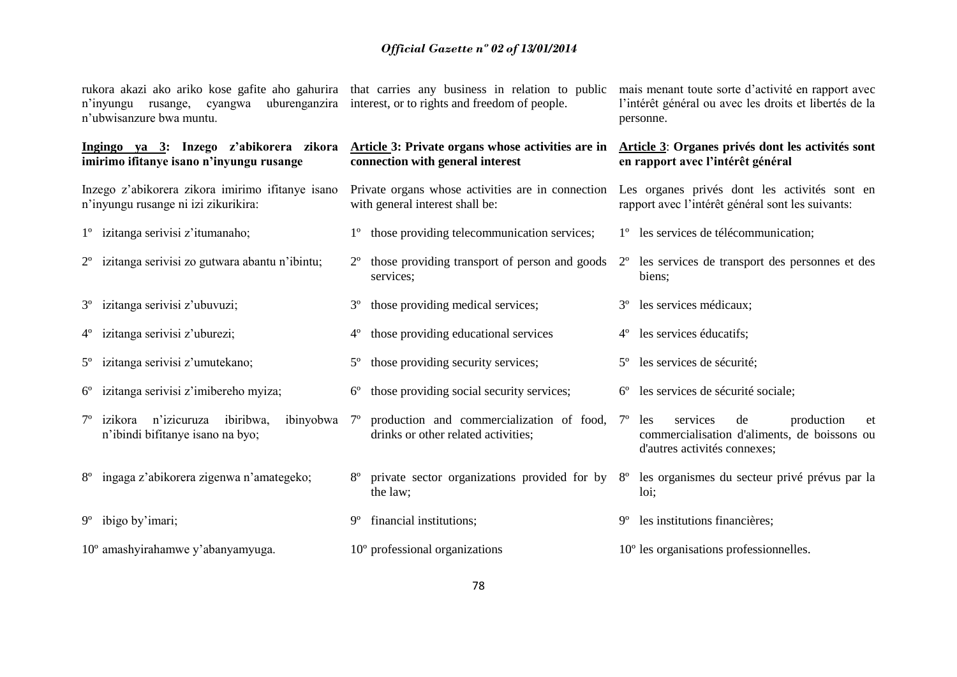| rukora akazi ako ariko kose gafite aho gahurira that carries any business in relation to public<br>n'inyungu rusange,<br>cyangwa<br>n'ubwisanzure bwa muntu. | uburenganzira interest, or to rights and freedom of people.                                                                   | mais menant toute sorte d'activité en rapport avec<br>l'intérêt général ou avec les droits et libertés de la<br>personne. |
|--------------------------------------------------------------------------------------------------------------------------------------------------------------|-------------------------------------------------------------------------------------------------------------------------------|---------------------------------------------------------------------------------------------------------------------------|
| imirimo ifitanye isano n'inyungu rusange                                                                                                                     | Ingingo ya 3: Inzego z'abikorera zikora Article 3: Private organs whose activities are in<br>connection with general interest | Article 3: Organes privés dont les activités sont<br>en rapport avec l'intérêt général                                    |
| Inzego z'abikorera zikora imirimo ifitanye isano<br>n'inyungu rusange ni izi zikurikira:                                                                     | Private organs whose activities are in connection<br>with general interest shall be:                                          | Les organes privés dont les activités sont en<br>rapport avec l'intérêt général sont les suivants:                        |
| 1 <sup>°</sup> izitanga serivisi z'itumanaho;                                                                                                                | those providing telecommunication services;<br>$1^{\circ}$                                                                    | 1 <sup>°</sup> les services de télécommunication;                                                                         |
| 2 <sup>°</sup> izitanga serivisi zo gutwara abantu n'ibintu;                                                                                                 | those providing transport of person and goods<br>$2^{\circ}$<br>services;                                                     | 2 <sup>°</sup> les services de transport des personnes et des<br>biens;                                                   |
| 3 <sup>°</sup> izitanga serivisi z'ubuvuzi;                                                                                                                  | those providing medical services;<br>$3^{\circ}$                                                                              | les services médicaux;<br>$3^{\circ}$                                                                                     |
| 4 <sup>°</sup> izitanga serivisi z'uburezi;                                                                                                                  | those providing educational services<br>$4^{\circ}$                                                                           | les services éducatifs;<br>$4^{\circ}$                                                                                    |
| 5 <sup>°</sup> izitanga serivisi z'umutekano;                                                                                                                | those providing security services;<br>$5^{\circ}$                                                                             | les services de sécurité;<br>$5^\circ$                                                                                    |
| izitanga serivisi z'imibereho myiza;<br>$6^{\circ}$                                                                                                          | those providing social security services;<br>$6^{\circ}$                                                                      | les services de sécurité sociale;<br>$6^{\circ}$                                                                          |
| n'izicuruza<br>ibiribwa,<br>ibinyobwa 7°<br>izikora<br>n'ibindi bifitanye isano na byo;                                                                      | production and commercialization of food, 7 <sup>o</sup><br>drinks or other related activities;                               | services<br>production<br>les<br>de<br>et<br>commercialisation d'aliments, de boissons ou<br>d'autres activités connexes; |
| ingaga z'abikorera zigenwa n'amategeko;<br>$8^{\circ}$                                                                                                       | private sector organizations provided for by 8°<br>the law;                                                                   | les organismes du secteur privé prévus par la<br>loi;                                                                     |
| $9^{\circ}$ ibigo by'imari;                                                                                                                                  | financial institutions;<br>$9^{\circ}$                                                                                        | les institutions financières;<br>$9^{\circ}$                                                                              |
| 10° amashyirahamwe y'abanyamyuga.                                                                                                                            | $10o$ professional organizations                                                                                              | $10o$ les organisations professionnelles.                                                                                 |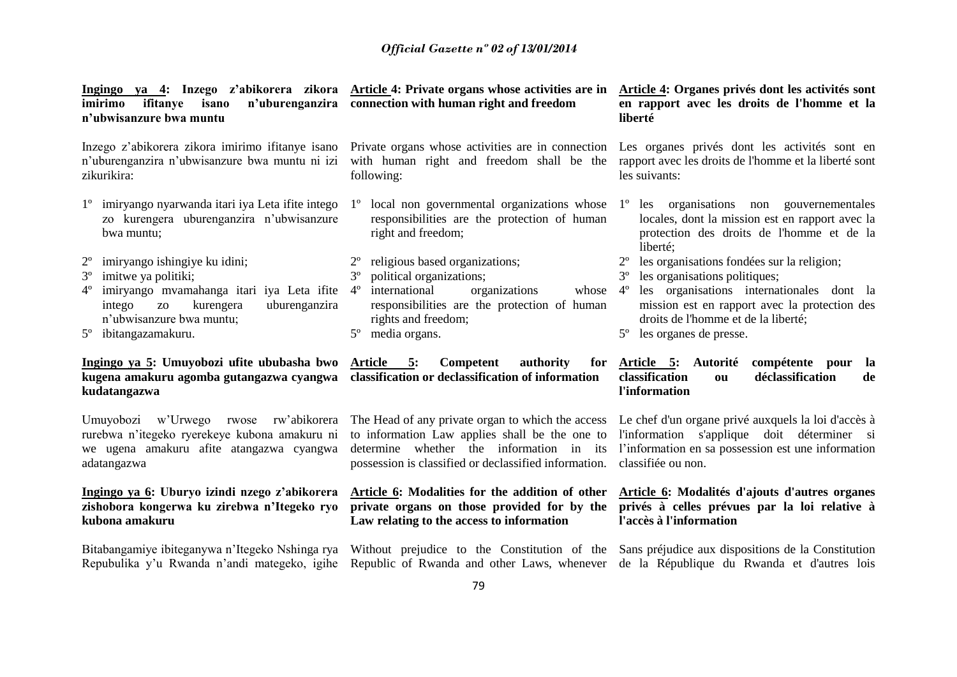| imirimo<br>ifitanye<br>isano<br>n'ubwisanzure bwa muntu                                                                                                                                            | Ingingo ya 4: Inzego z'abikorera zikora Article 4: Private organs whose activities are in<br>n'uburenganzira connection with human right and freedom                                                        | Article 4: Organes privés dont les activités sont<br>en rapport avec les droits de l'homme et la<br>liberté                                                                    |
|----------------------------------------------------------------------------------------------------------------------------------------------------------------------------------------------------|-------------------------------------------------------------------------------------------------------------------------------------------------------------------------------------------------------------|--------------------------------------------------------------------------------------------------------------------------------------------------------------------------------|
| n'uburenganzira n'ubwisanzure bwa muntu ni izi<br>zikurikira:                                                                                                                                      | Inzego z'abikorera zikora imirimo ifitanye isano Private organs whose activities are in connection Les organes privés dont les activités sont en<br>with human right and freedom shall be the<br>following: | rapport avec les droits de l'homme et la liberté sont<br>les suivants:                                                                                                         |
| 1 <sup>°</sup> imiryango nyarwanda itari iya Leta ifite intego<br>zo kurengera uburenganzira n'ubwisanzure<br>bwa muntu;                                                                           | local non governmental organizations whose<br>$1^{\circ}$<br>responsibilities are the protection of human<br>right and freedom;                                                                             | les organisations non gouvernementales<br>$1^{\circ}$<br>locales, dont la mission est en rapport avec la<br>protection des droits de l'homme et de la<br>liberté;              |
| $2^{\circ}$<br>imiryango ishingiye ku idini;                                                                                                                                                       | religious based organizations;                                                                                                                                                                              | les organisations fondées sur la religion;                                                                                                                                     |
| imitwe ya politiki;<br>$3^{\circ}$                                                                                                                                                                 | $3^{\circ}$<br>political organizations;                                                                                                                                                                     | les organisations politiques;<br>$3^{\circ}$                                                                                                                                   |
| imiryango mvamahanga itari iya Leta ifite 4 <sup>°</sup><br>$4^{\circ}$<br>kurengera<br>intego<br>uburenganzira<br>ZO <sub>1</sub><br>n'ubwisanzure bwa muntu;<br>ibitangazamakuru.<br>$5^{\circ}$ | international<br>organizations<br>whose<br>responsibilities are the protection of human<br>rights and freedom;<br>$5^{\circ}$<br>media organs.                                                              | les organisations internationales dont la<br>$4^{\circ}$<br>mission est en rapport avec la protection des<br>droits de l'homme et de la liberté;<br>les organes de presse.     |
| Ingingo ya 5: Umuyobozi ufite ububasha bwo<br>kugena amakuru agomba gutangazwa cyangwa<br>kudatangazwa                                                                                             | Article<br>5:<br>Competent<br>authority<br>for<br>classification or declassification of information                                                                                                         | Article 5: Autorité<br>compétente pour<br><b>la</b><br>déclassification<br>classification<br>de<br>ou<br>l'information                                                         |
| Umuyobozi w'Urwego rwose<br>rw'abikorera<br>rurebwa n'itegeko ryerekeye kubona amakuru ni<br>we ugena amakuru afite atangazwa cyangwa<br>adatangazwa                                               | The Head of any private organ to which the access<br>to information Law applies shall be the one to<br>determine whether the information in its<br>possession is classified or declassified information.    | Le chef d'un organe privé auxquels la loi d'accès à<br>l'information s'applique doit déterminer si<br>l'information en sa possession est une information<br>classifiée ou non. |
| Ingingo ya 6: Uburyo izindi nzego z'abikorera<br>zishobora kongerwa ku zirebwa n'Itegeko ryo<br>kubona amakuru                                                                                     | Article 6: Modalities for the addition of other<br>private organs on those provided for by the<br>Law relating to the access to information                                                                 | Article 6: Modalités d'ajouts d'autres organes<br>privés à celles prévues par la loi relative à<br>l'accès à l'information                                                     |
|                                                                                                                                                                                                    | Bitabangamiye ibiteganywa n'Itegeko Nshinga rya Without prejudice to the Constitution of the Sans préjudice aux dispositions de la Constitution                                                             |                                                                                                                                                                                |